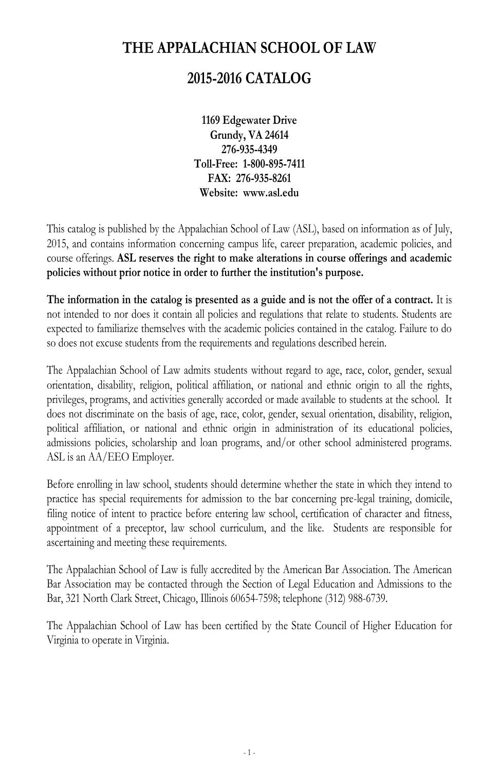## **THE APPALACHIAN SCHOOL OF LAW**

## **2015-2016 CATALOG**

**1169 Edgewater Drive Grundy, VA 24614 276-935-4349 Toll-Free: 1-800-895-7411 FAX: 276-935-8261 Website: www.asl.edu**

This catalog is published by the Appalachian School of Law (ASL), based on information as of July, 2015, and contains information concerning campus life, career preparation, academic policies, and course offerings. **ASL reserves the right to make alterations in course offerings and academic policies without prior notice in order to further the institution's purpose.**

**The information in the catalog is presented as a guide and is not the offer of a contract.** It is not intended to nor does it contain all policies and regulations that relate to students. Students are expected to familiarize themselves with the academic policies contained in the catalog. Failure to do so does not excuse students from the requirements and regulations described herein.

The Appalachian School of Law admits students without regard to age, race, color, gender, sexual orientation, disability, religion, political affiliation, or national and ethnic origin to all the rights, privileges, programs, and activities generally accorded or made available to students at the school. It does not discriminate on the basis of age, race, color, gender, sexual orientation, disability, religion, political affiliation, or national and ethnic origin in administration of its educational policies, admissions policies, scholarship and loan programs, and/or other school administered programs. ASL is an AA/EEO Employer.

Before enrolling in law school, students should determine whether the state in which they intend to practice has special requirements for admission to the bar concerning pre-legal training, domicile, filing notice of intent to practice before entering law school, certification of character and fitness, appointment of a preceptor, law school curriculum, and the like. Students are responsible for ascertaining and meeting these requirements.

The Appalachian School of Law is fully accredited by the American Bar Association. The American Bar Association may be contacted through the Section of Legal Education and Admissions to the Bar, 321 North Clark Street, Chicago, Illinois 60654-7598; telephone (312) 988-6739.

The Appalachian School of Law has been certified by the State Council of Higher Education for Virginia to operate in Virginia.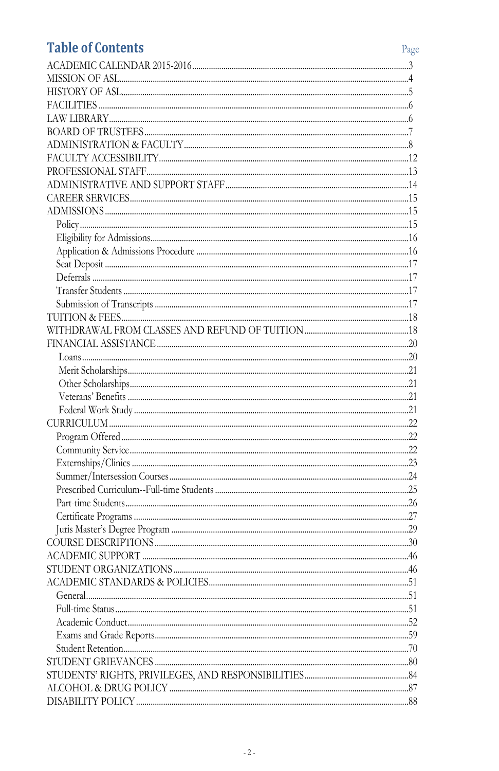# **Table of Contents**

| <b>Table of Contents</b> | Page |
|--------------------------|------|
|                          |      |
|                          |      |
|                          |      |
|                          |      |
|                          |      |
|                          |      |
|                          |      |
|                          |      |
|                          |      |
|                          |      |
|                          |      |
|                          |      |
|                          |      |
|                          |      |
|                          |      |
|                          |      |
|                          |      |
|                          |      |
|                          |      |
|                          |      |
|                          |      |
|                          |      |
|                          |      |
|                          |      |
|                          |      |
|                          |      |
|                          |      |
|                          |      |
|                          |      |
|                          |      |
|                          |      |
|                          |      |
|                          |      |
|                          |      |
|                          |      |
|                          |      |
|                          |      |
|                          |      |
|                          |      |
|                          |      |
|                          |      |
|                          |      |
|                          |      |
|                          |      |
|                          |      |
|                          |      |
|                          |      |
|                          |      |
|                          |      |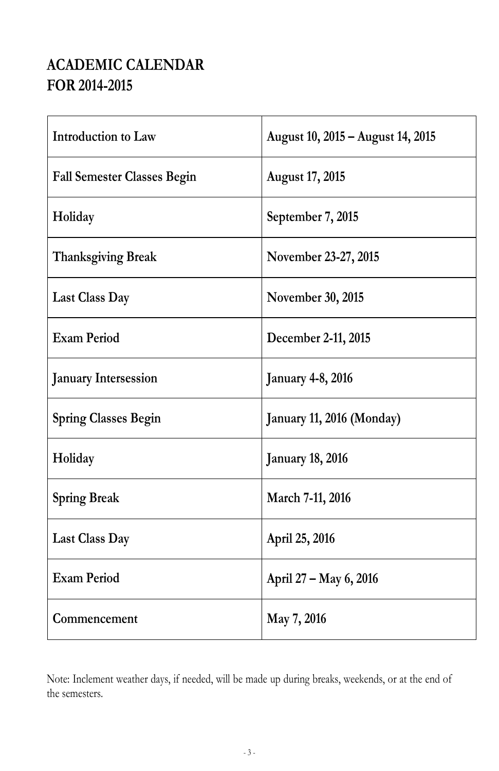# **ACADEMIC CALENDAR FOR 2014-2015**

| Introduction to Law                | August 10, 2015 - August 14, 2015 |
|------------------------------------|-----------------------------------|
| <b>Fall Semester Classes Begin</b> | <b>August 17, 2015</b>            |
| Holiday                            | September 7, 2015                 |
| <b>Thanksgiving Break</b>          | November 23-27, 2015              |
| <b>Last Class Day</b>              | November 30, 2015                 |
| <b>Exam Period</b>                 | December 2-11, 2015               |
| <b>January Intersession</b>        | <b>January 4-8, 2016</b>          |
| <b>Spring Classes Begin</b>        | January 11, 2016 (Monday)         |
| Holiday                            | <b>January 18, 2016</b>           |
| <b>Spring Break</b>                | March 7-11, 2016                  |
| <b>Last Class Day</b>              | April 25, 2016                    |
| <b>Exam Period</b>                 | April 27 - May 6, 2016            |
| Commencement                       | May 7, 2016                       |

Note: Inclement weather days, if needed, will be made up during breaks, weekends, or at the end of the semesters.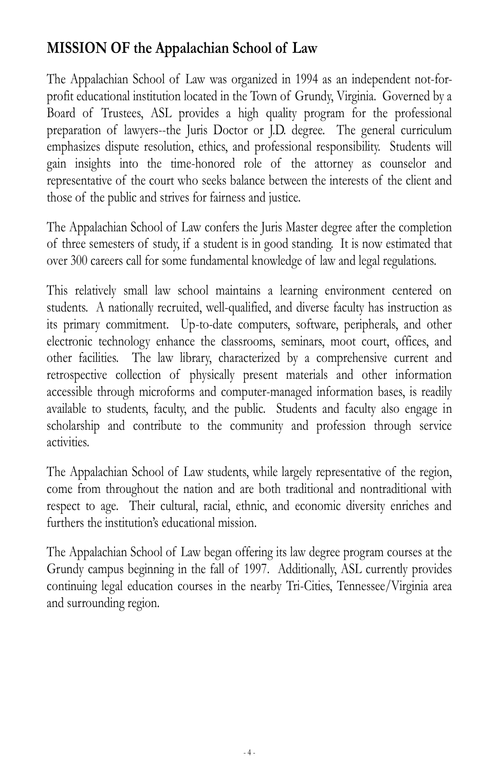# **MISSION OF the Appalachian School of Law**

The Appalachian School of Law was organized in 1994 as an independent not-forprofit educational institution located in the Town of Grundy, Virginia. Governed by a Board of Trustees, ASL provides a high quality program for the professional preparation of lawyers--the Juris Doctor or J.D. degree. The general curriculum emphasizes dispute resolution, ethics, and professional responsibility. Students will gain insights into the time-honored role of the attorney as counselor and representative of the court who seeks balance between the interests of the client and those of the public and strives for fairness and justice.

The Appalachian School of Law confers the Juris Master degree after the completion of three semesters of study, if a student is in good standing. It is now estimated that over 300 careers call for some fundamental knowledge of law and legal regulations.

This relatively small law school maintains a learning environment centered on students. A nationally recruited, well-qualified, and diverse faculty has instruction as its primary commitment. Up-to-date computers, software, peripherals, and other electronic technology enhance the classrooms, seminars, moot court, offices, and other facilities. The law library, characterized by a comprehensive current and retrospective collection of physically present materials and other information accessible through microforms and computer-managed information bases, is readily available to students, faculty, and the public. Students and faculty also engage in scholarship and contribute to the community and profession through service activities.

The Appalachian School of Law students, while largely representative of the region, come from throughout the nation and are both traditional and nontraditional with respect to age. Their cultural, racial, ethnic, and economic diversity enriches and furthers the institution's educational mission.

The Appalachian School of Law began offering its law degree program courses at the Grundy campus beginning in the fall of 1997. Additionally, ASL currently provides continuing legal education courses in the nearby Tri-Cities, Tennessee/Virginia area and surrounding region.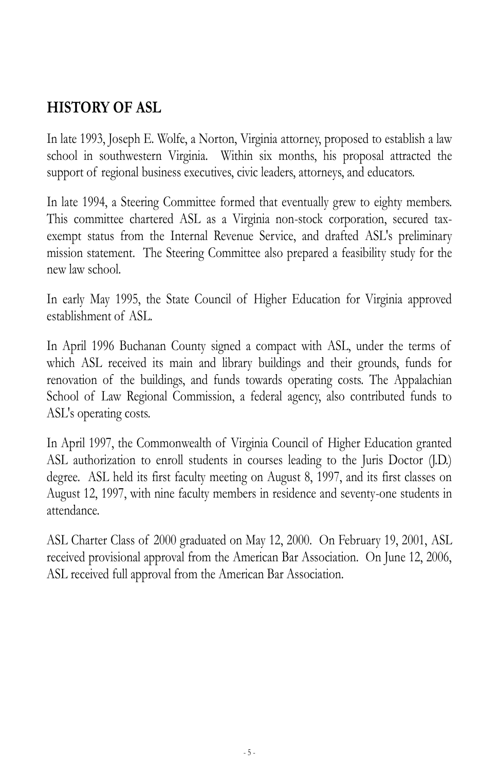# **HISTORY OF ASL**

In late 1993, Joseph E. Wolfe, a Norton, Virginia attorney, proposed to establish a law school in southwestern Virginia. Within six months, his proposal attracted the support of regional business executives, civic leaders, attorneys, and educators.

In late 1994, a Steering Committee formed that eventually grew to eighty members. This committee chartered ASL as a Virginia non-stock corporation, secured taxexempt status from the Internal Revenue Service, and drafted ASL's preliminary mission statement. The Steering Committee also prepared a feasibility study for the new law school.

In early May 1995, the State Council of Higher Education for Virginia approved establishment of ASL.

In April 1996 Buchanan County signed a compact with ASL, under the terms of which ASL received its main and library buildings and their grounds, funds for renovation of the buildings, and funds towards operating costs. The Appalachian School of Law Regional Commission, a federal agency, also contributed funds to ASL's operating costs.

In April 1997, the Commonwealth of Virginia Council of Higher Education granted ASL authorization to enroll students in courses leading to the Juris Doctor (J.D.) degree. ASL held its first faculty meeting on August 8, 1997, and its first classes on August 12, 1997, with nine faculty members in residence and seventy-one students in attendance.

ASL Charter Class of 2000 graduated on May 12, 2000. On February 19, 2001, ASL received provisional approval from the American Bar Association. On June 12, 2006, ASL received full approval from the American Bar Association.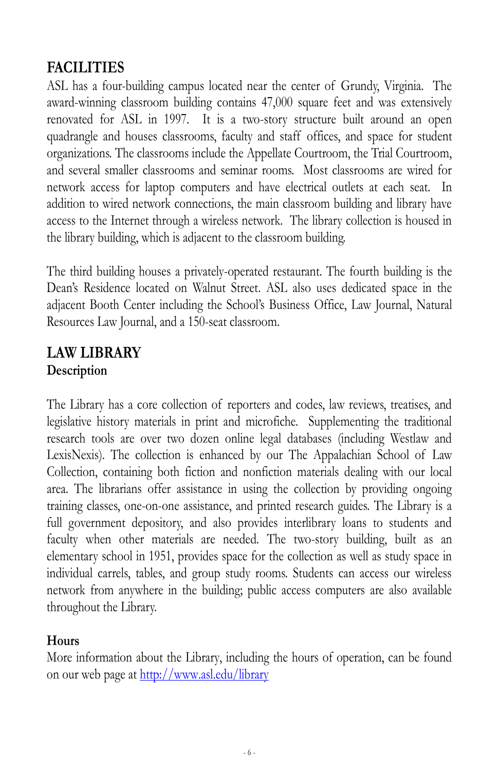# **FACILITIES**

ASL has a four-building campus located near the center of Grundy, Virginia. The award-winning classroom building contains 47,000 square feet and was extensively renovated for ASL in 1997. It is a two-story structure built around an open quadrangle and houses classrooms, faculty and staff offices, and space for student organizations. The classrooms include the Appellate Courtroom, the Trial Courtroom, and several smaller classrooms and seminar rooms. Most classrooms are wired for network access for laptop computers and have electrical outlets at each seat. In addition to wired network connections, the main classroom building and library have access to the Internet through a wireless network. The library collection is housed in the library building, which is adjacent to the classroom building.

The third building houses a privately-operated restaurant. The fourth building is the Dean's Residence located on Walnut Street. ASL also uses dedicated space in the adjacent Booth Center including the School's Business Office, Law Journal, Natural Resources Law Journal, and a 150-seat classroom.

## **LAW LIBRARY Description**

The Library has a core collection of reporters and codes, law reviews, treatises, and legislative history materials in print and microfiche. Supplementing the traditional research tools are over two dozen online legal databases (including Westlaw and LexisNexis). The collection is enhanced by our The Appalachian School of Law Collection, containing both fiction and nonfiction materials dealing with our local area. The librarians offer assistance in using the collection by providing ongoing training classes, one-on-one assistance, and printed research guides. The Library is a full government depository, and also provides interlibrary loans to students and faculty when other materials are needed. The two-story building, built as an elementary school in 1951, provides space for the collection as well as study space in individual carrels, tables, and group study rooms. Students can access our wireless network from anywhere in the building; public access computers are also available throughout the Library.

### **Hours**

More information about the Library, including the hours of operation, can be found on our web page at http://www.asl.edu/library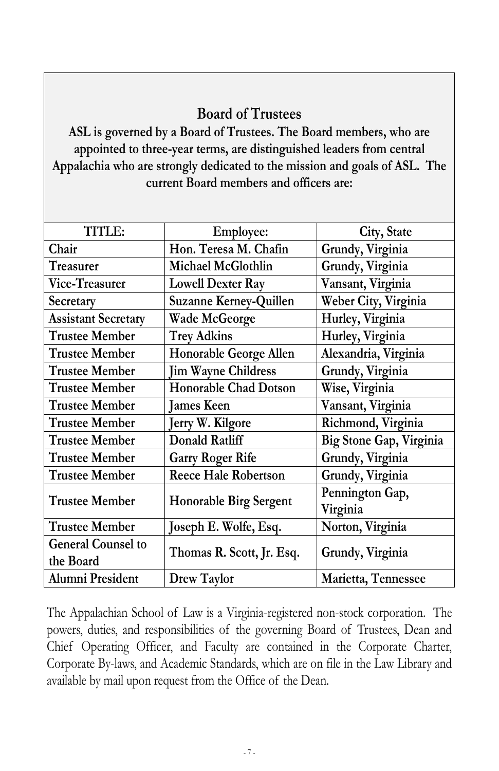## **Board of Trustees**

**ASL is governed by a Board of Trustees. The Board members, who are appointed to three-year terms, are distinguished leaders from central Appalachia who are strongly dedicated to the mission and goals of ASL. The current Board members and officers are:**

| TITLE:                     | <b>Employee:</b>              | City, State             |
|----------------------------|-------------------------------|-------------------------|
| Chair                      | Hon. Teresa M. Chafin         | Grundy, Virginia        |
| Treasurer                  | Michael McGlothlin            | Grundy, Virginia        |
| Vice-Treasurer             | <b>Lowell Dexter Ray</b>      | Vansant, Virginia       |
| Secretary                  | <b>Suzanne Kerney-Quillen</b> | Weber City, Virginia    |
| <b>Assistant Secretary</b> | Wade McGeorge                 | Hurley, Virginia        |
| <b>Trustee Member</b>      | <b>Trey Adkins</b>            | Hurley, Virginia        |
| <b>Trustee Member</b>      | Honorable George Allen        | Alexandria, Virginia    |
| <b>Trustee Member</b>      | <b>Jim Wayne Childress</b>    | Grundy, Virginia        |
| <b>Trustee Member</b>      | <b>Honorable Chad Dotson</b>  | Wise, Virginia          |
| <b>Trustee Member</b>      | James Keen                    | Vansant, Virginia       |
| <b>Trustee Member</b>      | Jerry W. Kilgore              | Richmond, Virginia      |
| <b>Trustee Member</b>      | Donald Ratliff                | Big Stone Gap, Virginia |
| <b>Trustee Member</b>      | <b>Garry Roger Rife</b>       | Grundy, Virginia        |
| <b>Trustee Member</b>      | <b>Reece Hale Robertson</b>   | Grundy, Virginia        |
| <b>Trustee Member</b>      |                               | Pennington Gap,         |
|                            | <b>Honorable Birg Sergent</b> | Virginia                |
| <b>Trustee Member</b>      | Joseph E. Wolfe, Esq.         | Norton, Virginia        |
| <b>General Counsel to</b>  | Thomas R. Scott, Jr. Esq.     |                         |
| the Board                  |                               | Grundy, Virginia        |
| Alumni President           | Drew Taylor                   | Marietta, Tennessee     |

The Appalachian School of Law is a Virginia-registered non-stock corporation. The powers, duties, and responsibilities of the governing Board of Trustees, Dean and Chief Operating Officer, and Faculty are contained in the Corporate Charter, Corporate By-laws, and Academic Standards, which are on file in the Law Library and available by mail upon request from the Office of the Dean.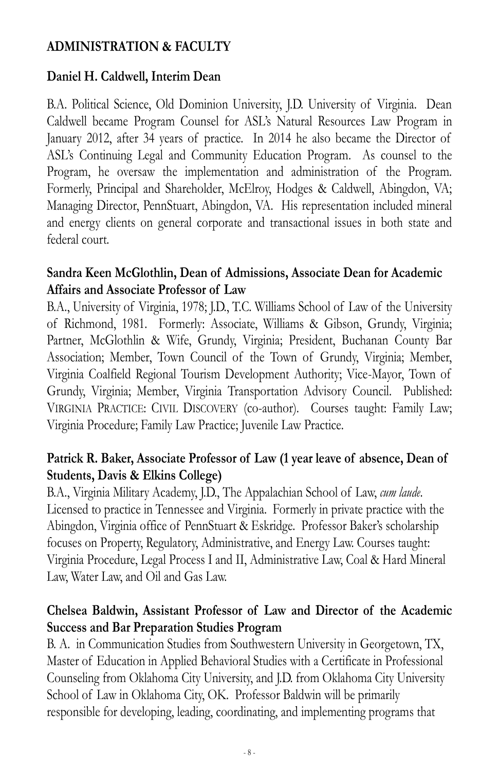## **ADMINISTRATION & FACULTY**

## **Daniel H. Caldwell, Interim Dean**

B.A. Political Science, Old Dominion University, J.D. University of Virginia. Dean Caldwell became Program Counsel for ASL's Natural Resources Law Program in January 2012, after 34 years of practice. In 2014 he also became the Director of ASL's Continuing Legal and Community Education Program. As counsel to the Program, he oversaw the implementation and administration of the Program. Formerly, Principal and Shareholder, McElroy, Hodges & Caldwell, Abingdon, VA; Managing Director, PennStuart, Abingdon, VA. His representation included mineral and energy clients on general corporate and transactional issues in both state and federal court.

#### **Sandra Keen McGlothlin, Dean of Admissions, Associate Dean for Academic Affairs and Associate Professor of Law**

B.A., University of Virginia, 1978; J.D., T.C. Williams School of Law of the University of Richmond, 1981. Formerly: Associate, Williams & Gibson, Grundy, Virginia; Partner, McGlothlin & Wife, Grundy, Virginia; President, Buchanan County Bar Association; Member, Town Council of the Town of Grundy, Virginia; Member, Virginia Coalfield Regional Tourism Development Authority; Vice-Mayor, Town of Grundy, Virginia; Member, Virginia Transportation Advisory Council. Published: VIRGINIA PRACTICE: CIVIL DISCOVERY (co-author). Courses taught: Family Law; Virginia Procedure; Family Law Practice; Juvenile Law Practice.

#### **Patrick R. Baker, Associate Professor of Law (1 year leave of absence, Dean of Students, Davis & Elkins College)**

B.A., Virginia Military Academy, J.D., The Appalachian School of Law, *cum laude*. Licensed to practice in Tennessee and Virginia. Formerly in private practice with the Abingdon, Virginia office of PennStuart & Eskridge. Professor Baker's scholarship focuses on Property, Regulatory, Administrative, and Energy Law. Courses taught: Virginia Procedure, Legal Process I and II, Administrative Law, Coal & Hard Mineral Law, Water Law, and Oil and Gas Law.

#### **Chelsea Baldwin, Assistant Professor of Law and Director of the Academic Success and Bar Preparation Studies Program**

B. A. in Communication Studies from Southwestern University in Georgetown, TX, Master of Education in Applied Behavioral Studies with a Certificate in Professional Counseling from Oklahoma City University, and J.D. from Oklahoma City University School of Law in Oklahoma City, OK. Professor Baldwin will be primarily responsible for developing, leading, coordinating, and implementing programs that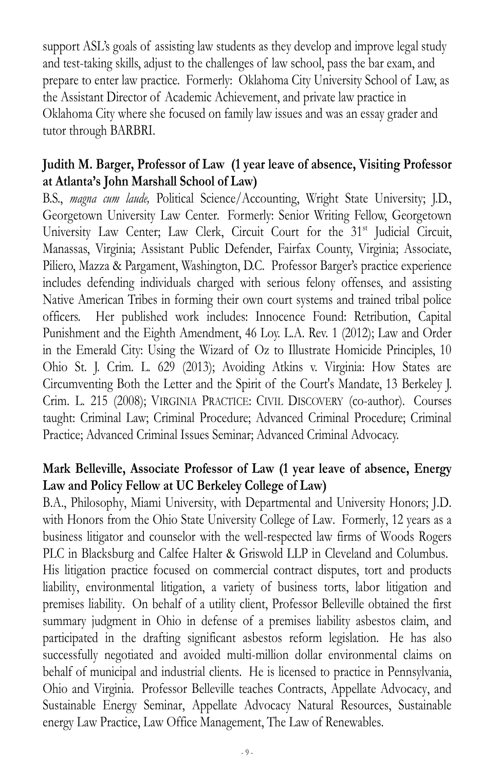support ASL's goals of assisting law students as they develop and improve legal study and test-taking skills, adjust to the challenges of law school, pass the bar exam, and prepare to enter law practice. Formerly: Oklahoma City University School of Law, as the Assistant Director of Academic Achievement, and private law practice in Oklahoma City where she focused on family law issues and was an essay grader and tutor through BARBRI.

#### **Judith M. Barger, Professor of Law (1 year leave of absence, Visiting Professor at Atlanta's John Marshall School of Law)**

B.S., *magna cum laude,* Political Science/Accounting, Wright State University; J.D., Georgetown University Law Center. Formerly: Senior Writing Fellow, Georgetown University Law Center; Law Clerk, Circuit Court for the 31<sup>st</sup> Judicial Circuit, Manassas, Virginia; Assistant Public Defender, Fairfax County, Virginia; Associate, Piliero, Mazza & Pargament, Washington, D.C. Professor Barger's practice experience includes defending individuals charged with serious felony offenses, and assisting Native American Tribes in forming their own court systems and trained tribal police officers. Her published work includes: Innocence Found: Retribution, Capital Punishment and the Eighth Amendment, 46 Loy. L.A. Rev. 1 (2012); Law and Order in the Emerald City: Using the Wizard of Oz to Illustrate Homicide Principles, 10 Ohio St. J. Crim. L. 629 (2013); Avoiding Atkins v. Virginia: How States are Circumventing Both the Letter and the Spirit of the Court's Mandate, 13 Berkeley J. Crim. L. 215 (2008); VIRGINIA PRACTICE: CIVIL DISCOVERY (co-author). Courses taught: Criminal Law; Criminal Procedure; Advanced Criminal Procedure; Criminal Practice; Advanced Criminal Issues Seminar; Advanced Criminal Advocacy.

### **Mark Belleville, Associate Professor of Law (1 year leave of absence, Energy Law and Policy Fellow at UC Berkeley College of Law)**

B.A., Philosophy, Miami University, with Departmental and University Honors; J.D. with Honors from the Ohio State University College of Law. Formerly, 12 years as a business litigator and counselor with the well-respected law firms of Woods Rogers PLC in Blacksburg and Calfee Halter & Griswold LLP in Cleveland and Columbus. His litigation practice focused on commercial contract disputes, tort and products liability, environmental litigation, a variety of business torts, labor litigation and premises liability. On behalf of a utility client, Professor Belleville obtained the first summary judgment in Ohio in defense of a premises liability asbestos claim, and participated in the drafting significant asbestos reform legislation. He has also successfully negotiated and avoided multi-million dollar environmental claims on behalf of municipal and industrial clients. He is licensed to practice in Pennsylvania, Ohio and Virginia. Professor Belleville teaches Contracts, Appellate Advocacy, and Sustainable Energy Seminar, Appellate Advocacy Natural Resources, Sustainable energy Law Practice, Law Office Management, The Law of Renewables.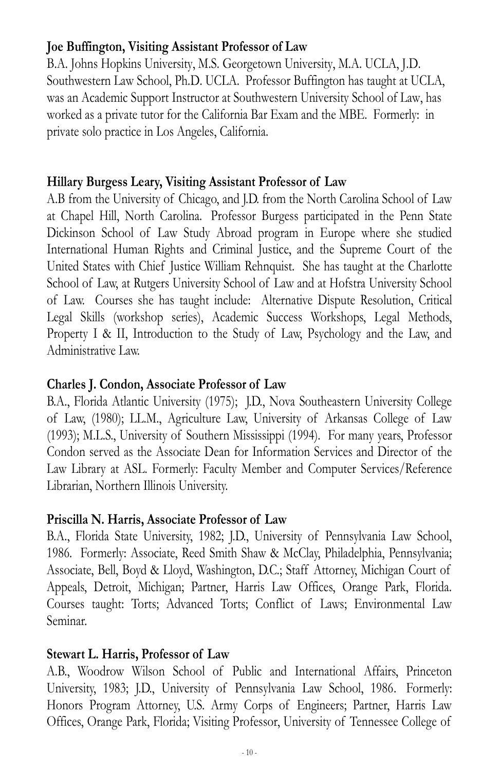#### **Joe Buffington, Visiting Assistant Professor of Law**

B.A. Johns Hopkins University, M.S. Georgetown University, M.A. UCLA, J.D. Southwestern Law School, Ph.D. UCLA. Professor Buffington has taught at UCLA, was an Academic Support Instructor at Southwestern University School of Law, has worked as a private tutor for the California Bar Exam and the MBE. Formerly: in private solo practice in Los Angeles, California.

## **Hillary Burgess Leary, Visiting Assistant Professor of Law**

A.B from the University of Chicago, and J.D. from the North Carolina School of Law at Chapel Hill, North Carolina. Professor Burgess participated in the Penn State Dickinson School of Law Study Abroad program in Europe where she studied International Human Rights and Criminal Justice, and the Supreme Court of the United States with Chief Justice William Rehnquist. She has taught at the Charlotte School of Law, at Rutgers University School of Law and at Hofstra University School of Law. Courses she has taught include: Alternative Dispute Resolution, Critical Legal Skills (workshop series), Academic Success Workshops, Legal Methods, Property I & II, Introduction to the Study of Law, Psychology and the Law, and Administrative Law.

#### **Charles J. Condon, Associate Professor of Law**

B.A., Florida Atlantic University (1975); J.D., Nova Southeastern University College of Law, (1980); LL.M., Agriculture Law, University of Arkansas College of Law (1993); M.L.S., University of Southern Mississippi (1994). For many years, Professor Condon served as the Associate Dean for Information Services and Director of the Law Library at ASL. Formerly: Faculty Member and Computer Services/Reference Librarian, Northern Illinois University.

#### **Priscilla N. Harris, Associate Professor of Law**

B.A., Florida State University, 1982; J.D., University of Pennsylvania Law School, 1986. Formerly: Associate, Reed Smith Shaw & McClay, Philadelphia, Pennsylvania; Associate, Bell, Boyd & Lloyd, Washington, D.C.; Staff Attorney, Michigan Court of Appeals, Detroit, Michigan; Partner, Harris Law Offices, Orange Park, Florida. Courses taught: Torts; Advanced Torts; Conflict of Laws; Environmental Law Seminar.

### **Stewart L. Harris, Professor of Law**

A.B., Woodrow Wilson School of Public and International Affairs, Princeton University, 1983; J.D., University of Pennsylvania Law School, 1986. Formerly: Honors Program Attorney, U.S. Army Corps of Engineers; Partner, Harris Law Offices, Orange Park, Florida; Visiting Professor, University of Tennessee College of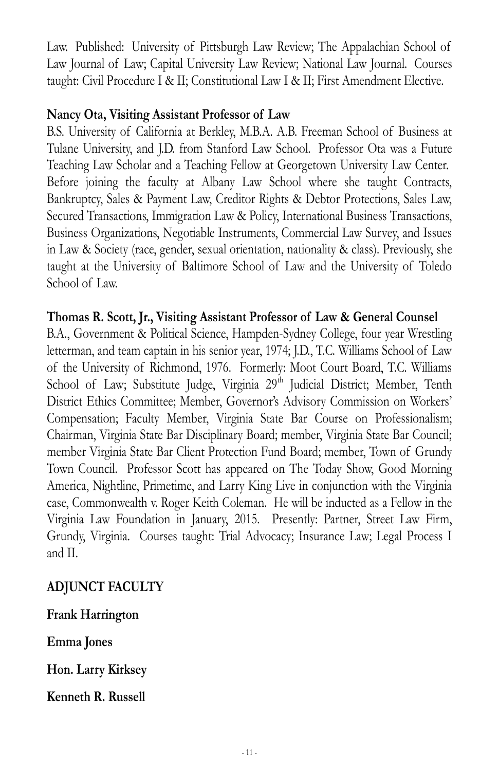Law. Published: University of Pittsburgh Law Review; The Appalachian School of Law Journal of Law; Capital University Law Review; National Law Journal. Courses taught: Civil Procedure I & II; Constitutional Law I & II; First Amendment Elective.

#### **Nancy Ota, Visiting Assistant Professor of Law**

B.S. University of California at Berkley, M.B.A. A.B. Freeman School of Business at Tulane University, and J.D. from Stanford Law School. Professor Ota was a Future Teaching Law Scholar and a Teaching Fellow at Georgetown University Law Center. Before joining the faculty at Albany Law School where she taught Contracts, Bankruptcy, Sales & Payment Law, Creditor Rights & Debtor Protections, Sales Law, Secured Transactions, Immigration Law & Policy, International Business Transactions, Business Organizations, Negotiable Instruments, Commercial Law Survey, and Issues in Law & Society (race, gender, sexual orientation, nationality & class). Previously, she taught at the University of Baltimore School of Law and the University of Toledo School of Law.

#### **Thomas R. Scott, Jr., Visiting Assistant Professor of Law & General Counsel**

B.A., Government & Political Science, Hampden-Sydney College, four year Wrestling letterman, and team captain in his senior year, 1974; J.D., T.C. Williams School of Law of the University of Richmond, 1976. Formerly: Moot Court Board, T.C. Williams School of Law; Substitute Judge, Virginia 29<sup>th</sup> Judicial District; Member, Tenth District Ethics Committee; Member, Governor's Advisory Commission on Workers' Compensation; Faculty Member, Virginia State Bar Course on Professionalism; Chairman, Virginia State Bar Disciplinary Board; member, Virginia State Bar Council; member Virginia State Bar Client Protection Fund Board; member, Town of Grundy Town Council. Professor Scott has appeared on The Today Show, Good Morning America, Nightline, Primetime, and Larry King Live in conjunction with the Virginia case, Commonwealth v. Roger Keith Coleman. He will be inducted as a Fellow in the Virginia Law Foundation in January, 2015. Presently: Partner, Street Law Firm, Grundy, Virginia. Courses taught: Trial Advocacy; Insurance Law; Legal Process I and II.

### **ADJUNCT FACULTY**

**Frank Harrington**

**Emma Jones**

**Hon. Larry Kirksey**

**Kenneth R. Russell**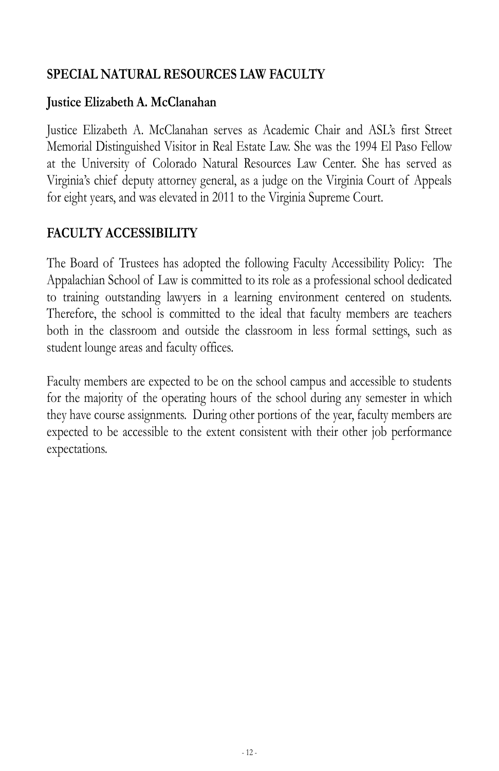## **SPECIAL NATURAL RESOURCES LAW FACULTY**

#### **Justice Elizabeth A. McClanahan**

Justice Elizabeth A. McClanahan serves as Academic Chair and ASL's first Street Memorial Distinguished Visitor in Real Estate Law. She was the 1994 El Paso Fellow at the University of Colorado Natural Resources Law Center. She has served as Virginia's chief deputy attorney general, as a judge on the Virginia Court of Appeals for eight years, and was elevated in 2011 to the Virginia Supreme Court.

## **FACULTY ACCESSIBILITY**

The Board of Trustees has adopted the following Faculty Accessibility Policy: The Appalachian School of Law is committed to its role as a professional school dedicated to training outstanding lawyers in a learning environment centered on students. Therefore, the school is committed to the ideal that faculty members are teachers both in the classroom and outside the classroom in less formal settings, such as student lounge areas and faculty offices.

Faculty members are expected to be on the school campus and accessible to students for the majority of the operating hours of the school during any semester in which they have course assignments. During other portions of the year, faculty members are expected to be accessible to the extent consistent with their other job performance expectations.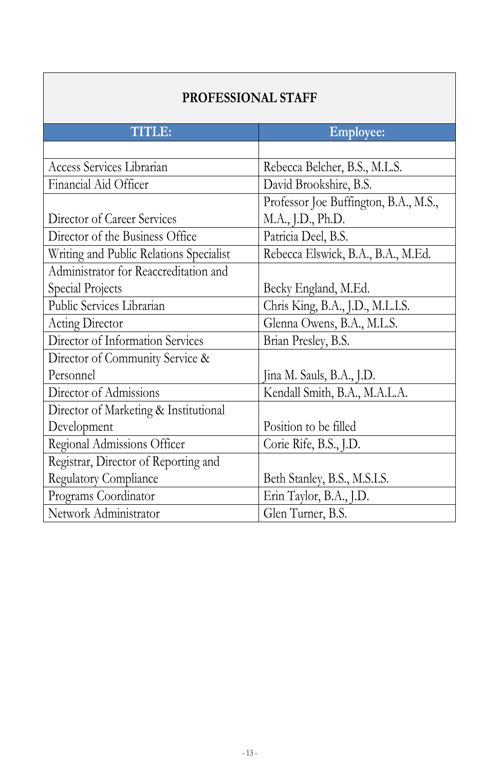| <b>PROFESSIONAL STAFF</b>               |                                       |  |  |
|-----------------------------------------|---------------------------------------|--|--|
| <b>TITLE:</b>                           | <b>Employee:</b>                      |  |  |
|                                         |                                       |  |  |
| Access Services Librarian               | Rebecca Belcher, B.S., M.L.S.         |  |  |
| Financial Aid Officer                   | David Brookshire, B.S.                |  |  |
|                                         | Professor Joe Buffington, B.A., M.S., |  |  |
| Director of Career Services             | M.A., J.D., Ph.D.                     |  |  |
| Director of the Business Office         | Patricia Deel, B.S.                   |  |  |
| Writing and Public Relations Specialist | Rebecca Elswick, B.A., B.A., M.Ed.    |  |  |
| Administrator for Reaccreditation and   |                                       |  |  |
| Special Projects                        | Becky England, M.Ed.                  |  |  |
| Public Services Librarian               | Chris King, B.A., J.D., M.L.I.S.      |  |  |
| Acting Director                         | Glenna Owens, B.A., M.L.S.            |  |  |
| Director of Information Services        | Brian Presley, B.S.                   |  |  |
| Director of Community Service &         |                                       |  |  |
| Personnel                               | Jina M. Sauls, B.A., J.D.             |  |  |
| Director of Admissions                  | Kendall Smith, B.A., M.A.L.A.         |  |  |
| Director of Marketing & Institutional   |                                       |  |  |
| Development                             | Position to be filled                 |  |  |
| Regional Admissions Officer             | Corie Rife, B.S., J.D.                |  |  |
| Registrar, Director of Reporting and    |                                       |  |  |
| Regulatory Compliance                   | Beth Stanley, B.S., M.S.I.S.          |  |  |
| Programs Coordinator                    | Erin Taylor, B.A., J.D.               |  |  |
| Network Administrator                   | Glen Turner, B.S.                     |  |  |

٦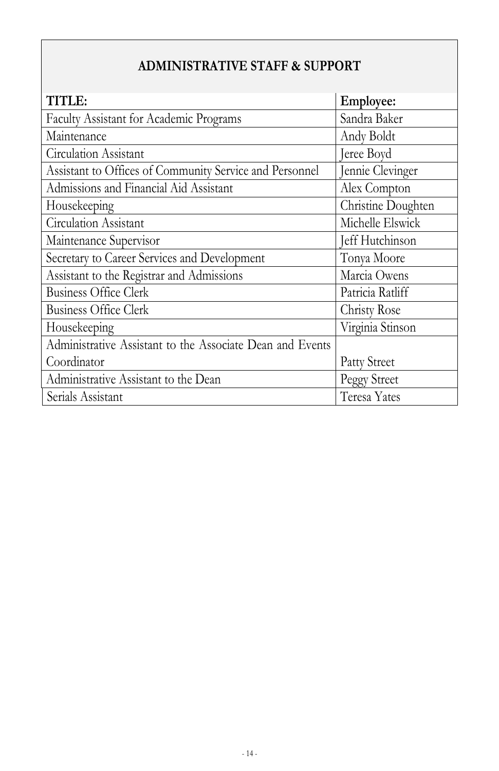## **ADMINISTRATIVE STAFF & SUPPORT**

| <b>TITLE:</b>                                             | Employee:          |
|-----------------------------------------------------------|--------------------|
| Faculty Assistant for Academic Programs                   | Sandra Baker       |
| Maintenance                                               | Andy Boldt         |
| Circulation Assistant                                     | Jeree Boyd         |
| Assistant to Offices of Community Service and Personnel   | Jennie Clevinger   |
| Admissions and Financial Aid Assistant                    | Alex Compton       |
| Housekeeping                                              | Christine Doughten |
| Circulation Assistant                                     | Michelle Elswick   |
| Maintenance Supervisor                                    | Jeff Hutchinson    |
| Secretary to Career Services and Development              | Tonya Moore        |
| Assistant to the Registrar and Admissions                 | Marcia Owens       |
| <b>Business Office Clerk</b>                              | Patricia Ratliff   |
| <b>Business Office Clerk</b>                              | Christy Rose       |
| Housekeeping                                              | Virginia Stinson   |
| Administrative Assistant to the Associate Dean and Events |                    |
| Coordinator                                               | Patty Street       |
| Administrative Assistant to the Dean                      | Peggy Street       |
| Serials Assistant                                         | Teresa Yates       |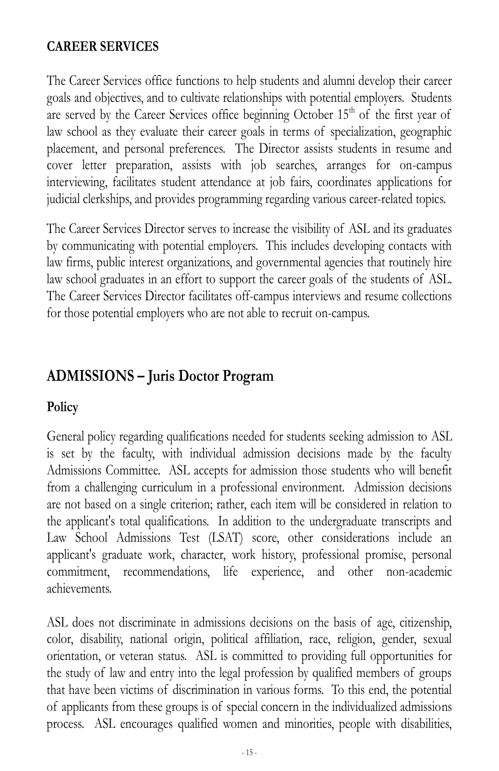## **CAREER SERVICES**

The Career Services office functions to help students and alumni develop their career goals and objectives, and to cultivate relationships with potential employers. Students are served by the Career Services office beginning October  $15<sup>th</sup>$  of the first year of law school as they evaluate their career goals in terms of specialization, geographic placement, and personal preferences. The Director assists students in resume and cover letter preparation, assists with job searches, arranges for on-campus interviewing, facilitates student attendance at job fairs, coordinates applications for judicial clerkships, and provides programming regarding various career-related topics.

The Career Services Director serves to increase the visibility of ASL and its graduates by communicating with potential employers. This includes developing contacts with law firms, public interest organizations, and governmental agencies that routinely hire law school graduates in an effort to support the career goals of the students of ASL. The Career Services Director facilitates off-campus interviews and resume collections for those potential employers who are not able to recruit on-campus.

## **ADMISSIONS – Juris Doctor Program**

#### **Policy**

General policy regarding qualifications needed for students seeking admission to ASL is set by the faculty, with individual admission decisions made by the faculty Admissions Committee. ASL accepts for admission those students who will benefit from a challenging curriculum in a professional environment. Admission decisions are not based on a single criterion; rather, each item will be considered in relation to the applicant's total qualifications. In addition to the undergraduate transcripts and Law School Admissions Test (LSAT) score, other considerations include an applicant's graduate work, character, work history, professional promise, personal commitment, recommendations, life experience, and other non-academic achievements.

ASL does not discriminate in admissions decisions on the basis of age, citizenship, color, disability, national origin, political affiliation, race, religion, gender, sexual orientation, or veteran status. ASL is committed to providing full opportunities for the study of law and entry into the legal profession by qualified members of groups that have been victims of discrimination in various forms. To this end, the potential of applicants from these groups is of special concern in the individualized admissions process. ASL encourages qualified women and minorities, people with disabilities,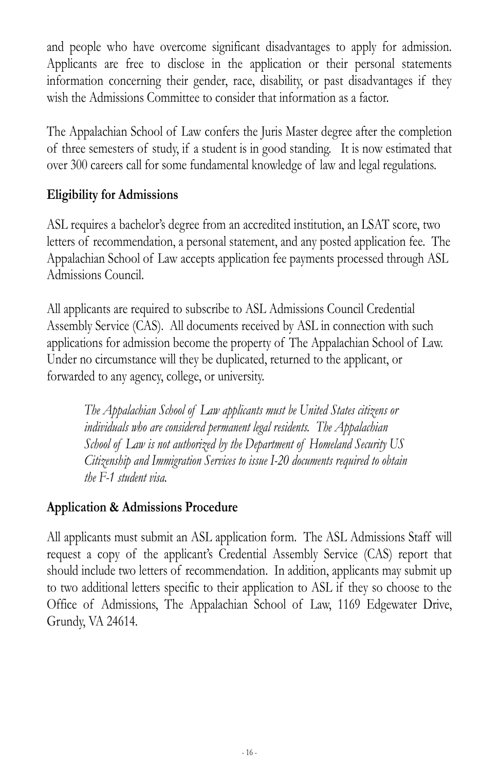and people who have overcome significant disadvantages to apply for admission. Applicants are free to disclose in the application or their personal statements information concerning their gender, race, disability, or past disadvantages if they wish the Admissions Committee to consider that information as a factor.

The Appalachian School of Law confers the Juris Master degree after the completion of three semesters of study, if a student is in good standing. It is now estimated that over 300 careers call for some fundamental knowledge of law and legal regulations.

### **Eligibility for Admissions**

ASL requires a bachelor's degree from an accredited institution, an LSAT score, two letters of recommendation, a personal statement, and any posted application fee. The Appalachian School of Law accepts application fee payments processed through ASL Admissions Council.

All applicants are required to subscribe to ASL Admissions Council Credential Assembly Service (CAS). All documents received by ASL in connection with such applications for admission become the property of The Appalachian School of Law. Under no circumstance will they be duplicated, returned to the applicant, or forwarded to any agency, college, or university.

*The Appalachian School of Law applicants must be United States citizens or individuals who are considered permanent legal residents. The Appalachian School of Law is not authorized by the Department of Homeland Security US Citizenship and Immigration Services to issue I-20 documents required to obtain the F-1 student visa.* 

#### **Application & Admissions Procedure**

All applicants must submit an ASL application form. The ASL Admissions Staff will request a copy of the applicant's Credential Assembly Service (CAS) report that should include two letters of recommendation. In addition, applicants may submit up to two additional letters specific to their application to ASL if they so choose to the Office of Admissions, The Appalachian School of Law, 1169 Edgewater Drive, Grundy, VA 24614.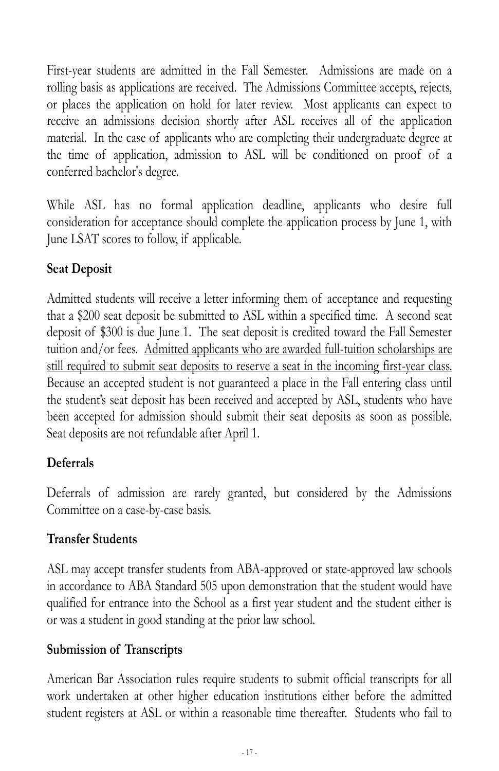First-year students are admitted in the Fall Semester. Admissions are made on a rolling basis as applications are received. The Admissions Committee accepts, rejects, or places the application on hold for later review. Most applicants can expect to receive an admissions decision shortly after ASL receives all of the application material. In the case of applicants who are completing their undergraduate degree at the time of application, admission to ASL will be conditioned on proof of a conferred bachelor's degree.

While ASL has no formal application deadline, applicants who desire full consideration for acceptance should complete the application process by June 1, with June LSAT scores to follow, if applicable.

## **Seat Deposit**

Admitted students will receive a letter informing them of acceptance and requesting that a \$200 seat deposit be submitted to ASL within a specified time. A second seat deposit of \$300 is due June 1. The seat deposit is credited toward the Fall Semester tuition and/or fees. Admitted applicants who are awarded full-tuition scholarships are still required to submit seat deposits to reserve a seat in the incoming first-year class. Because an accepted student is not guaranteed a place in the Fall entering class until the student's seat deposit has been received and accepted by ASL, students who have been accepted for admission should submit their seat deposits as soon as possible. Seat deposits are not refundable after April 1.

### **Deferrals**

Deferrals of admission are rarely granted, but considered by the Admissions Committee on a case-by-case basis.

### **Transfer Students**

ASL may accept transfer students from ABA-approved or state-approved law schools in accordance to ABA Standard 505 upon demonstration that the student would have qualified for entrance into the School as a first year student and the student either is or was a student in good standing at the prior law school.

### **Submission of Transcripts**

American Bar Association rules require students to submit official transcripts for all work undertaken at other higher education institutions either before the admitted student registers at ASL or within a reasonable time thereafter. Students who fail to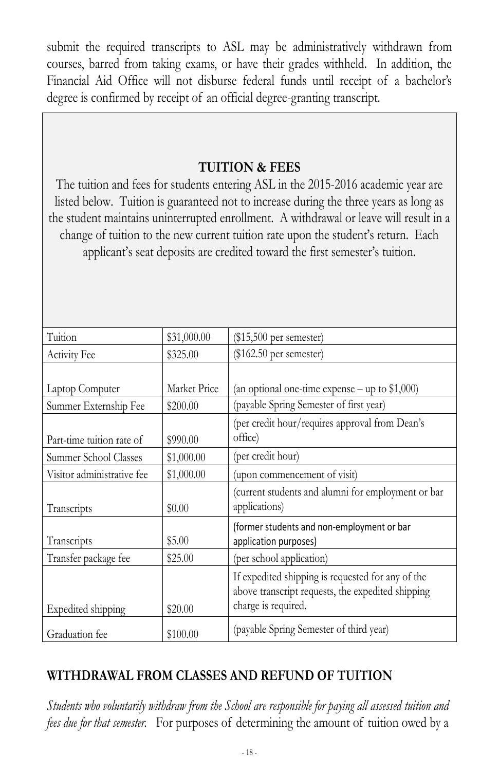submit the required transcripts to ASL may be administratively withdrawn from courses, barred from taking exams, or have their grades withheld. In addition, the Financial Aid Office will not disburse federal funds until receipt of a bachelor's degree is confirmed by receipt of an official degree-granting transcript.

#### **TUITION & FEES**

The tuition and fees for students entering ASL in the 2015-2016 academic year are listed below. Tuition is guaranteed not to increase during the three years as long as the student maintains uninterrupted enrollment. A withdrawal or leave will result in a change of tuition to the new current tuition rate upon the student's return. Each applicant's seat deposits are credited toward the first semester's tuition.

| Tuition                    | \$31,000.00  | $(\$15,500$ per semester)                                                                                                     |
|----------------------------|--------------|-------------------------------------------------------------------------------------------------------------------------------|
| Activity Fee               | \$325.00     | $(\$162.50$ per semester)                                                                                                     |
|                            |              |                                                                                                                               |
| Laptop Computer            | Market Price | (an optional one-time expense $-$ up to \$1,000)                                                                              |
| Summer Externship Fee      | \$200.00     | (payable Spring Semester of first year)                                                                                       |
| Part-time tuition rate of  | \$990.00     | (per credit hour/requires approval from Dean's<br>office)                                                                     |
| Summer School Classes      | \$1,000.00   | (per credit hour)                                                                                                             |
| Visitor administrative fee | \$1,000.00   | (upon commencement of visit)                                                                                                  |
| Transcripts                | \$0.00       | (current students and alumni for employment or bar<br>applications)                                                           |
| Transcripts                | \$5.00       | (former students and non-employment or bar<br>application purposes)                                                           |
| Transfer package fee       | \$25.00      | (per school application)                                                                                                      |
| Expedited shipping         | \$20.00      | If expedited shipping is requested for any of the<br>above transcript requests, the expedited shipping<br>charge is required. |
| Graduation fee             | \$100.00     | (payable Spring Semester of third year)                                                                                       |

## **WITHDRAWAL FROM CLASSES AND REFUND OF TUITION**

*Students who voluntarily withdraw from the School are responsible for paying all assessed tuition and fees due for that semester.* For purposes of determining the amount of tuition owed by a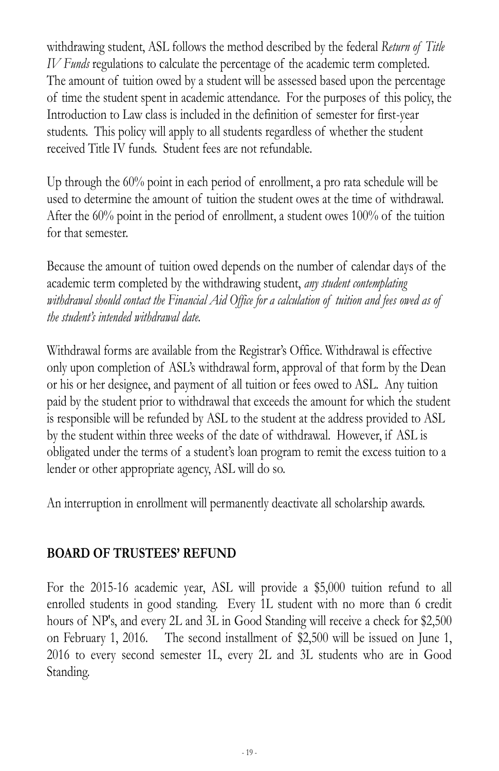withdrawing student, ASL follows the method described by the federal *Return of Title IV Funds* regulations to calculate the percentage of the academic term completed. The amount of tuition owed by a student will be assessed based upon the percentage of time the student spent in academic attendance. For the purposes of this policy, the Introduction to Law class is included in the definition of semester for first-year students. This policy will apply to all students regardless of whether the student received Title IV funds. Student fees are not refundable.

Up through the 60% point in each period of enrollment, a pro rata schedule will be used to determine the amount of tuition the student owes at the time of withdrawal. After the 60% point in the period of enrollment, a student owes 100% of the tuition for that semester.

Because the amount of tuition owed depends on the number of calendar days of the academic term completed by the withdrawing student, *any student contemplating withdrawal should contact the Financial Aid Office for a calculation of tuition and fees owed as of the student's intended withdrawal date.*

Withdrawal forms are available from the Registrar's Office. Withdrawal is effective only upon completion of ASL's withdrawal form, approval of that form by the Dean or his or her designee, and payment of all tuition or fees owed to ASL. Any tuition paid by the student prior to withdrawal that exceeds the amount for which the student is responsible will be refunded by ASL to the student at the address provided to ASL by the student within three weeks of the date of withdrawal. However, if ASL is obligated under the terms of a student's loan program to remit the excess tuition to a lender or other appropriate agency, ASL will do so.

An interruption in enrollment will permanently deactivate all scholarship awards.

### **BOARD OF TRUSTEES' REFUND**

For the 2015-16 academic year, ASL will provide a \$5,000 tuition refund to all enrolled students in good standing. Every 1L student with no more than 6 credit hours of NP's, and every 2L and 3L in Good Standing will receive a check for \$2,500 on February 1, 2016. The second installment of \$2,500 will be issued on June 1, 2016 to every second semester 1L, every 2L and 3L students who are in Good Standing.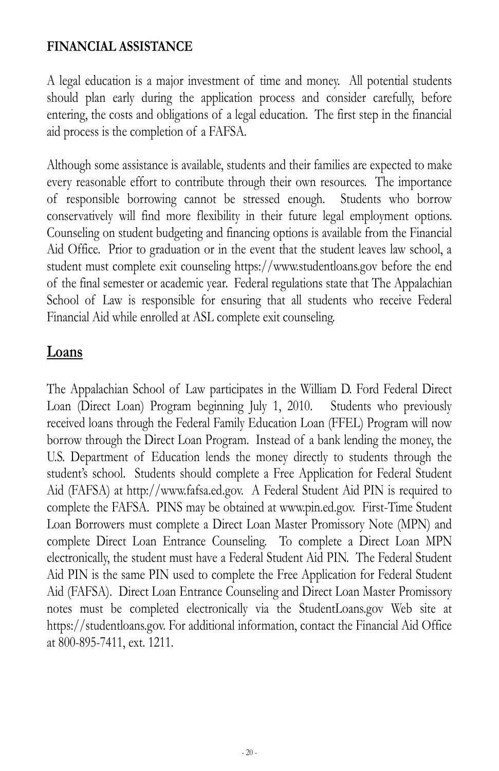#### **FINANCIAL ASSISTANCE**

A legal education is a major investment of time and money. All potential students should plan early during the application process and consider carefully, before entering, the costs and obligations of a legal education. The first step in the financial aid process is the completion of a FAFSA.

Although some assistance is available, students and their families are expected to make every reasonable effort to contribute through their own resources. The importance of responsible borrowing cannot be stressed enough. Students who borrow conservatively will find more flexibility in their future legal employment options. Counseling on student budgeting and financing options is available from the Financial Aid Office. Prior to graduation or in the event that the student leaves law school, a student must complete exit counseling https://www.studentloans.gov before the end of the final semester or academic year. Federal regulations state that The Appalachian School of Law is responsible for ensuring that all students who receive Federal Financial Aid while enrolled at ASL complete exit counseling.

## **Loans**

The Appalachian School of Law participates in the William D. Ford Federal Direct Loan (Direct Loan) Program beginning July 1, 2010. Students who previously received loans through the Federal Family Education Loan (FFEL) Program will now borrow through the Direct Loan Program. Instead of a bank lending the money, the U.S. Department of Education lends the money directly to students through the student's school. Students should complete a Free Application for Federal Student Aid (FAFSA) at http://www.fafsa.ed.gov. A Federal Student Aid PIN is required to complete the FAFSA. PINS may be obtained at www.pin.ed.gov. First-Time Student Loan Borrowers must complete a Direct Loan Master Promissory Note (MPN) and complete Direct Loan Entrance Counseling. To complete a Direct Loan MPN electronically, the student must have a Federal Student Aid PIN. The Federal Student Aid PIN is the same PIN used to complete the Free Application for Federal Student Aid (FAFSA). Direct Loan Entrance Counseling and Direct Loan Master Promissory notes must be completed electronically via the StudentLoans.gov Web site at https://studentloans.gov. For additional information, contact the Financial Aid Office at 800-895-7411, ext. 1211.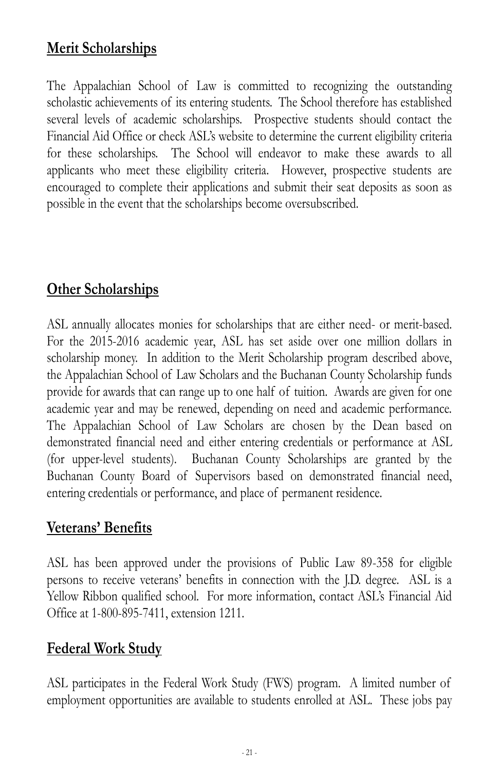# **Merit Scholarships**

The Appalachian School of Law is committed to recognizing the outstanding scholastic achievements of its entering students. The School therefore has established several levels of academic scholarships. Prospective students should contact the Financial Aid Office or check ASL's website to determine the current eligibility criteria for these scholarships. The School will endeavor to make these awards to all applicants who meet these eligibility criteria. However, prospective students are encouraged to complete their applications and submit their seat deposits as soon as possible in the event that the scholarships become oversubscribed.

# **Other Scholarships**

ASL annually allocates monies for scholarships that are either need- or merit-based. For the 2015-2016 academic year, ASL has set aside over one million dollars in scholarship money. In addition to the Merit Scholarship program described above, the Appalachian School of Law Scholars and the Buchanan County Scholarship funds provide for awards that can range up to one half of tuition. Awards are given for one academic year and may be renewed, depending on need and academic performance. The Appalachian School of Law Scholars are chosen by the Dean based on demonstrated financial need and either entering credentials or performance at ASL (for upper-level students). Buchanan County Scholarships are granted by the Buchanan County Board of Supervisors based on demonstrated financial need, entering credentials or performance, and place of permanent residence.

## **Veterans' Benefits**

ASL has been approved under the provisions of Public Law 89-358 for eligible persons to receive veterans' benefits in connection with the J.D. degree. ASL is a Yellow Ribbon qualified school. For more information, contact ASL's Financial Aid Office at 1-800-895-7411, extension 1211.

## **Federal Work Study**

ASL participates in the Federal Work Study (FWS) program. A limited number of employment opportunities are available to students enrolled at ASL. These jobs pay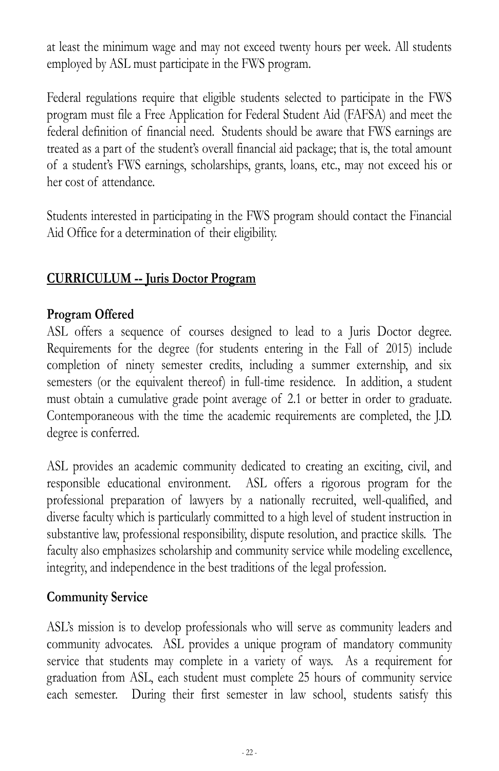at least the minimum wage and may not exceed twenty hours per week. All students employed by ASL must participate in the FWS program.

Federal regulations require that eligible students selected to participate in the FWS program must file a Free Application for Federal Student Aid (FAFSA) and meet the federal definition of financial need. Students should be aware that FWS earnings are treated as a part of the student's overall financial aid package;; that is, the total amount of a student's FWS earnings, scholarships, grants, loans, etc., may not exceed his or her cost of attendance.

Students interested in participating in the FWS program should contact the Financial Aid Office for a determination of their eligibility.

### **CURRICULUM -- Juris Doctor Program**

#### **Program Offered**

ASL offers a sequence of courses designed to lead to a Juris Doctor degree. Requirements for the degree (for students entering in the Fall of 2015) include completion of ninety semester credits, including a summer externship, and six semesters (or the equivalent thereof) in full-time residence. In addition, a student must obtain a cumulative grade point average of 2.1 or better in order to graduate. Contemporaneous with the time the academic requirements are completed, the J.D. degree is conferred.

ASL provides an academic community dedicated to creating an exciting, civil, and responsible educational environment. ASL offers a rigorous program for the professional preparation of lawyers by a nationally recruited, well-qualified, and diverse faculty which is particularly committed to a high level of student instruction in substantive law, professional responsibility, dispute resolution, and practice skills. The faculty also emphasizes scholarship and community service while modeling excellence, integrity, and independence in the best traditions of the legal profession.

### **Community Service**

ASL's mission is to develop professionals who will serve as community leaders and community advocates. ASL provides a unique program of mandatory community service that students may complete in a variety of ways. As a requirement for graduation from ASL, each student must complete 25 hours of community service each semester. During their first semester in law school, students satisfy this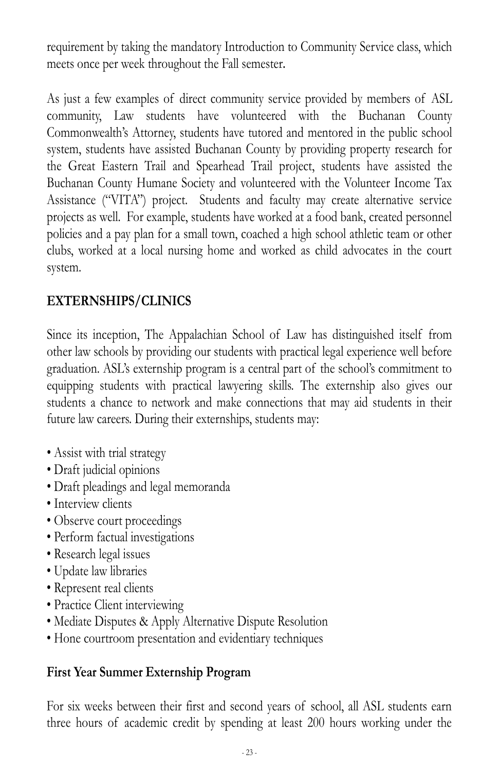requirement by taking the mandatory Introduction to Community Service class, which meets once per week throughout the Fall semester.

As just a few examples of direct community service provided by members of ASL community, Law students have volunteered with the Buchanan County Commonwealth's Attorney, students have tutored and mentored in the public school system, students have assisted Buchanan County by providing property research for the Great Eastern Trail and Spearhead Trail project, students have assisted the Buchanan County Humane Society and volunteered with the Volunteer Income Tax Assistance ("VITA") project. Students and faculty may create alternative service projects as well. For example, students have worked at a food bank, created personnel policies and a pay plan for a small town, coached a high school athletic team or other clubs, worked at a local nursing home and worked as child advocates in the court system.

## **EXTERNSHIPS/CLINICS**

Since its inception, The Appalachian School of Law has distinguished itself from other law schools by providing our students with practical legal experience well before graduation. ASL's externship program is a central part of the school's commitment to equipping students with practical lawyering skills. The externship also gives our students a chance to network and make connections that may aid students in their future law careers. During their externships, students may:

- Assist with trial strategy
- Draft judicial opinions
- Draft pleadings and legal memoranda
- Interview clients
- Observe court proceedings
- Perform factual investigations
- Research legal issues
- Update law libraries
- Represent real clients
- Practice Client interviewing
- Mediate Disputes & Apply Alternative Dispute Resolution
- Hone courtroom presentation and evidentiary techniques

### **First Year Summer Externship Program**

For six weeks between their first and second years of school, all ASL students earn three hours of academic credit by spending at least 200 hours working under the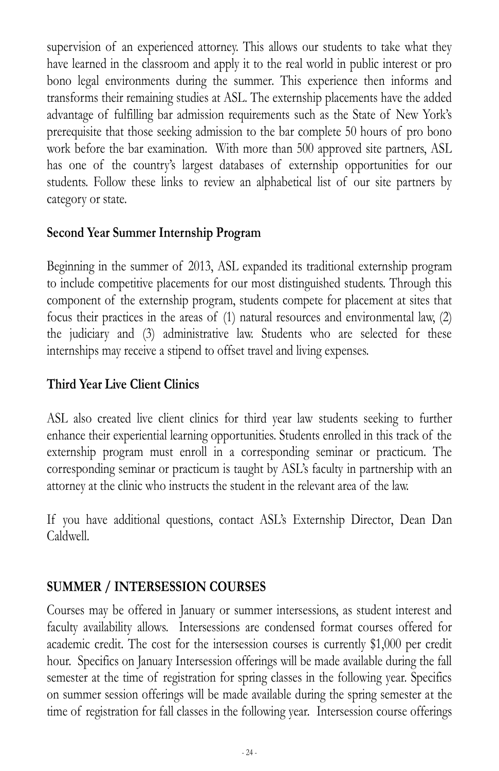supervision of an experienced attorney. This allows our students to take what they have learned in the classroom and apply it to the real world in public interest or pro bono legal environments during the summer. This experience then informs and transforms their remaining studies at ASL. The externship placements have the added advantage of fulfilling bar admission requirements such as the State of New York's prerequisite that those seeking admission to the bar complete 50 hours of pro bono work before the bar examination. With more than 500 approved site partners, ASL has one of the country's largest databases of externship opportunities for our students. Follow these links to review an alphabetical list of our site partners by category or state.

#### **Second Year Summer Internship Program**

Beginning in the summer of 2013, ASL expanded its traditional externship program to include competitive placements for our most distinguished students. Through this component of the externship program, students compete for placement at sites that focus their practices in the areas of (1) natural resources and environmental law, (2) the judiciary and (3) administrative law. Students who are selected for these internships may receive a stipend to offset travel and living expenses.

### **Third Year Live Client Clinics**

ASL also created live client clinics for third year law students seeking to further enhance their experiential learning opportunities. Students enrolled in this track of the externship program must enroll in a corresponding seminar or practicum. The corresponding seminar or practicum is taught by ASL's faculty in partnership with an attorney at the clinic who instructs the student in the relevant area of the law.

If you have additional questions, contact ASL's Externship Director, Dean Dan Caldwell.

### **SUMMER / INTERSESSION COURSES**

Courses may be offered in January or summer intersessions, as student interest and faculty availability allows. Intersessions are condensed format courses offered for academic credit. The cost for the intersession courses is currently \$1,000 per credit hour. Specifics on January Intersession offerings will be made available during the fall semester at the time of registration for spring classes in the following year. Specifics on summer session offerings will be made available during the spring semester at the time of registration for fall classes in the following year. Intersession course offerings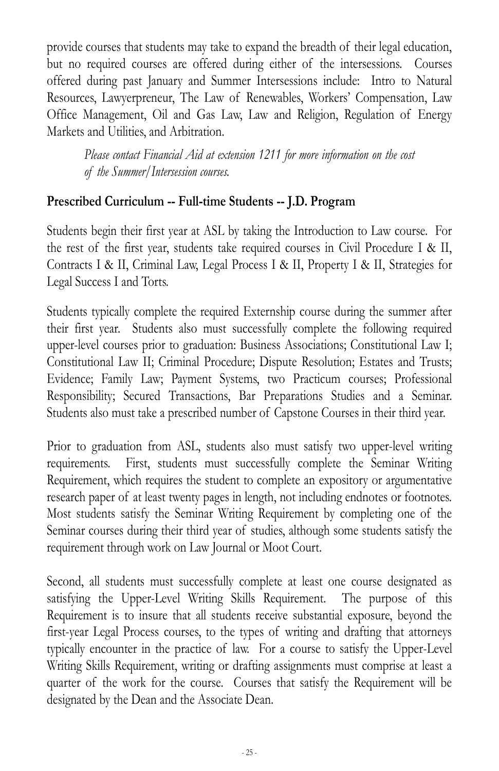provide courses that students may take to expand the breadth of their legal education, but no required courses are offered during either of the intersessions. Courses offered during past January and Summer Intersessions include: Intro to Natural Resources, Lawyerpreneur, The Law of Renewables, Workers' Compensation, Law Office Management, Oil and Gas Law, Law and Religion, Regulation of Energy Markets and Utilities, and Arbitration.

*Please contact Financial Aid at extension 1211 for more information on the cost of the Summer/Intersession courses.*

#### **Prescribed Curriculum -- Full-time Students -- J.D. Program**

Students begin their first year at ASL by taking the Introduction to Law course. For the rest of the first year, students take required courses in Civil Procedure I & II, Contracts I & II, Criminal Law, Legal Process I & II, Property I & II, Strategies for Legal Success I and Torts.

Students typically complete the required Externship course during the summer after their first year. Students also must successfully complete the following required upper-level courses prior to graduation: Business Associations; Constitutional Law I; Constitutional Law II; Criminal Procedure; Dispute Resolution; Estates and Trusts; Evidence; Family Law; Payment Systems, two Practicum courses; Professional Responsibility; Secured Transactions, Bar Preparations Studies and a Seminar. Students also must take a prescribed number of Capstone Courses in their third year.

Prior to graduation from ASL, students also must satisfy two upper-level writing requirements. First, students must successfully complete the Seminar Writing Requirement, which requires the student to complete an expository or argumentative research paper of at least twenty pages in length, not including endnotes or footnotes. Most students satisfy the Seminar Writing Requirement by completing one of the Seminar courses during their third year of studies, although some students satisfy the requirement through work on Law Journal or Moot Court.

Second, all students must successfully complete at least one course designated as satisfying the Upper-Level Writing Skills Requirement. The purpose of this Requirement is to insure that all students receive substantial exposure, beyond the first-year Legal Process courses, to the types of writing and drafting that attorneys typically encounter in the practice of law. For a course to satisfy the Upper-Level Writing Skills Requirement, writing or drafting assignments must comprise at least a quarter of the work for the course. Courses that satisfy the Requirement will be designated by the Dean and the Associate Dean.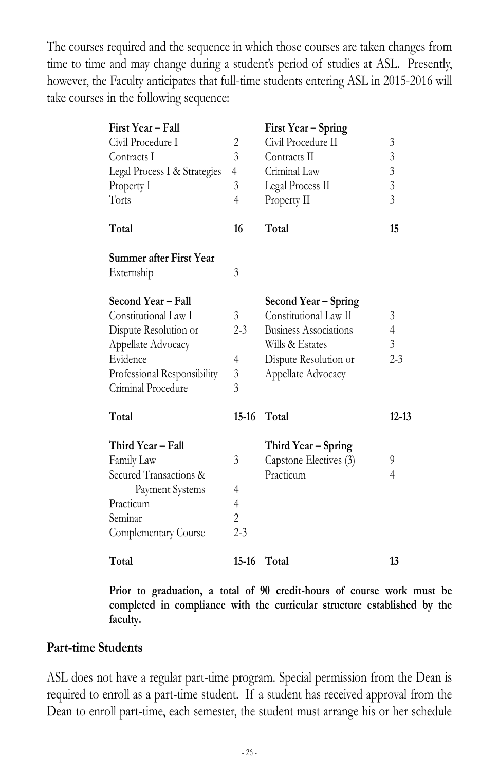The courses required and the sequence in which those courses are taken changes from time to time and may change during a student's period of studies at ASL. Presently, however, the Faculty anticipates that full-time students entering ASL in 2015-2016 will take courses in the following sequence:

| First Year - Fall<br>Civil Procedure I | 2              | First Year – Spring<br>Civil Procedure II | 3              |
|----------------------------------------|----------------|-------------------------------------------|----------------|
| Contracts I                            | 3              | Contracts II                              | $\mathfrak{Z}$ |
| Legal Process I & Strategies           | 4              | Criminal Law                              | $\mathfrak{Z}$ |
| Property I                             | 3              | Legal Process II                          | $\overline{3}$ |
| Torts                                  | 4              | Property II                               | $\overline{3}$ |
| Total                                  | 16             | Total                                     | 15             |
| Summer after First Year                |                |                                           |                |
| Externship                             | 3              |                                           |                |
| Second Year – Fall                     |                | Second Year - Spring                      |                |
| Constitutional Law I                   | 3              | Constitutional Law II                     | 3              |
| Dispute Resolution or                  | 2-3            | <b>Business Associations</b>              | $\overline{4}$ |
| Appellate Advocacy                     |                | Wills & Estates                           | $\mathfrak{Z}$ |
| Evidence                               | 4              | Dispute Resolution or                     | $2 - 3$        |
| Professional Responsibility            | 3              | Appellate Advocacy                        |                |
| Criminal Procedure                     | 3              |                                           |                |
| Total                                  | $15-16$        | Total                                     | $12 - 13$      |
| Third Year - Fall                      |                | Third Year – Spring                       |                |
| Family Law                             | 3              | Capstone Electives (3)                    | 9              |
| Secured Transactions &                 |                | Practicum                                 | 4              |
| Payment Systems                        | 4              |                                           |                |
| Practicum                              | $\overline{4}$ |                                           |                |
| Seminar                                | $\overline{2}$ |                                           |                |
| Complementary Course                   | $2 - 3$        |                                           |                |
| Total                                  | $15-16$        | Total                                     | 13             |

**Prior to graduation, a total of 90 credit-hours of course work must be completed in compliance with the curricular structure established by the faculty.**

#### **Part-time Students**

ASL does not have a regular part-time program. Special permission from the Dean is required to enroll as a part-time student. If a student has received approval from the Dean to enroll part-time, each semester, the student must arrange his or her schedule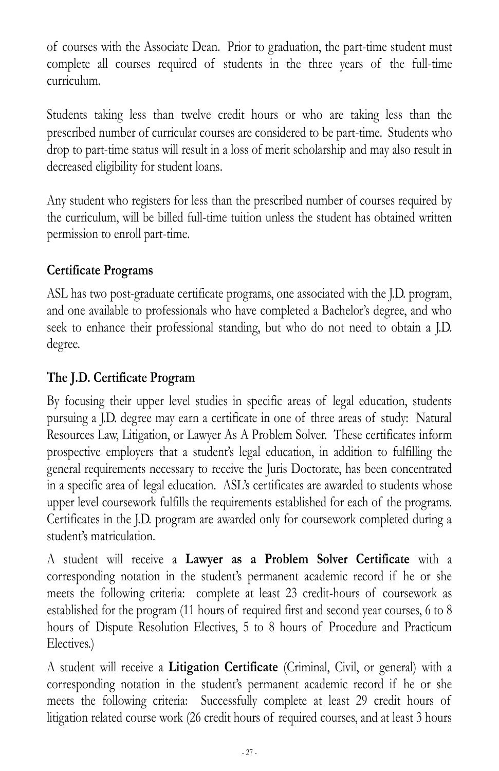of courses with the Associate Dean. Prior to graduation, the part-time student must complete all courses required of students in the three years of the full-time curriculum.

Students taking less than twelve credit hours or who are taking less than the prescribed number of curricular courses are considered to be part-time. Students who drop to part-time status will result in a loss of merit scholarship and may also result in decreased eligibility for student loans.

Any student who registers for less than the prescribed number of courses required by the curriculum, will be billed full-time tuition unless the student has obtained written permission to enroll part-time.

## **Certificate Programs**

ASL has two post-graduate certificate programs, one associated with the J.D. program, and one available to professionals who have completed a Bachelor's degree, and who seek to enhance their professional standing, but who do not need to obtain a J.D. degree.

## **The J.D. Certificate Program**

By focusing their upper level studies in specific areas of legal education, students pursuing a J.D. degree may earn a certificate in one of three areas of study: Natural Resources Law, Litigation, or Lawyer As A Problem Solver. These certificates inform prospective employers that a student's legal education, in addition to fulfilling the general requirements necessary to receive the Juris Doctorate, has been concentrated in a specific area of legal education. ASL's certificates are awarded to students whose upper level coursework fulfills the requirements established for each of the programs. Certificates in the J.D. program are awarded only for coursework completed during a student's matriculation.

A student will receive a **Lawyer as a Problem Solver Certificate** with a corresponding notation in the student's permanent academic record if he or she meets the following criteria: complete at least 23 credit-hours of coursework as established for the program (11 hours of required first and second year courses, 6 to 8 hours of Dispute Resolution Electives, 5 to 8 hours of Procedure and Practicum Electives.)

A student will receive a **Litigation Certificate** (Criminal, Civil, or general) with a corresponding notation in the student's permanent academic record if he or she meets the following criteria: Successfully complete at least 29 credit hours of litigation related course work (26 credit hours of required courses, and at least 3 hours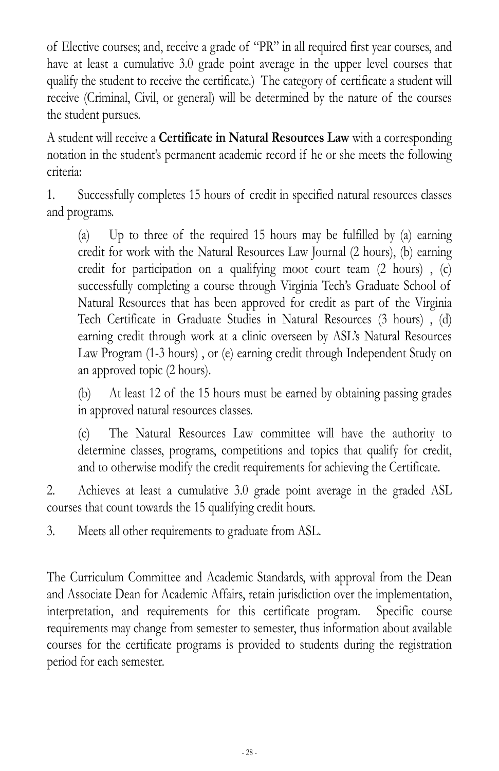of Elective courses; and, receive a grade of "PR" in all required first year courses, and have at least a cumulative 3.0 grade point average in the upper level courses that qualify the student to receive the certificate.) The category of certificate a student will receive (Criminal, Civil, or general) will be determined by the nature of the courses the student pursues.

A student will receive a **Certificate in Natural Resources Law** with a corresponding notation in the student's permanent academic record if he or she meets the following criteria:

1. Successfully completes 15 hours of credit in specified natural resources classes and programs.

(a) Up to three of the required 15 hours may be fulfilled by (a) earning credit for work with the Natural Resources Law Journal (2 hours), (b) earning credit for participation on a qualifying moot court team (2 hours) , (c) successfully completing a course through Virginia Tech's Graduate School of Natural Resources that has been approved for credit as part of the Virginia Tech Certificate in Graduate Studies in Natural Resources (3 hours) , (d) earning credit through work at a clinic overseen by ASL's Natural Resources Law Program (1-3 hours) , or (e) earning credit through Independent Study on an approved topic (2 hours).

(b) At least 12 of the 15 hours must be earned by obtaining passing grades in approved natural resources classes.

(c) The Natural Resources Law committee will have the authority to determine classes, programs, competitions and topics that qualify for credit, and to otherwise modify the credit requirements for achieving the Certificate.

2. Achieves at least a cumulative 3.0 grade point average in the graded ASL courses that count towards the 15 qualifying credit hours.

3. Meets all other requirements to graduate from ASL.

The Curriculum Committee and Academic Standards, with approval from the Dean and Associate Dean for Academic Affairs, retain jurisdiction over the implementation, interpretation, and requirements for this certificate program. Specific course requirements may change from semester to semester, thus information about available courses for the certificate programs is provided to students during the registration period for each semester.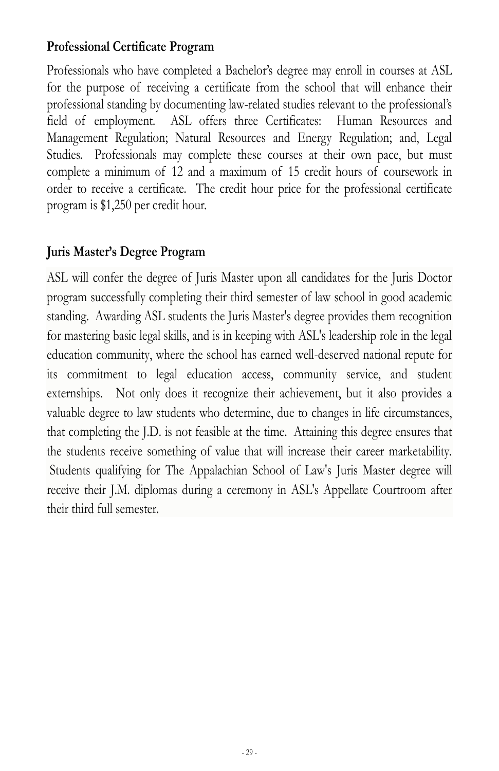#### **Professional Certificate Program**

Professionals who have completed a Bachelor's degree may enroll in courses at ASL for the purpose of receiving a certificate from the school that will enhance their professional standing by documenting law-related studies relevant to the professional's field of employment. ASL offers three Certificates: Human Resources and Management Regulation; Natural Resources and Energy Regulation; and, Legal Studies. Professionals may complete these courses at their own pace, but must complete a minimum of 12 and a maximum of 15 credit hours of coursework in order to receive a certificate. The credit hour price for the professional certificate program is \$1,250 per credit hour.

## **Juris Master's Degree Program**

ASL will confer the degree of Juris Master upon all candidates for the Juris Doctor program successfully completing their third semester of law school in good academic standing. Awarding ASL students the Juris Master's degree provides them recognition for mastering basic legal skills, and is in keeping with ASL's leadership role in the legal education community, where the school has earned well-deserved national repute for its commitment to legal education access, community service, and student externships. Not only does it recognize their achievement, but it also provides a valuable degree to law students who determine, due to changes in life circumstances, that completing the J.D. is not feasible at the time. Attaining this degree ensures that the students receive something of value that will increase their career marketability. Students qualifying for The Appalachian School of Law's Juris Master degree will receive their J.M. diplomas during a ceremony in ASL's Appellate Courtroom after their third full semester.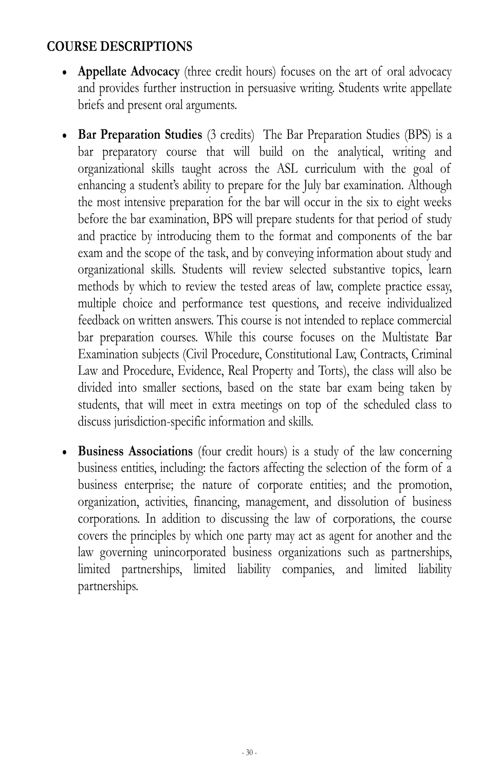### **COURSE DESCRIPTIONS**

- **Appellate Advocacy** (three credit hours) focuses on the art of oral advocacy and provides further instruction in persuasive writing. Students write appellate briefs and present oral arguments.
- **Bar Preparation Studies** (3 credits) The Bar Preparation Studies (BPS) is a bar preparatory course that will build on the analytical, writing and organizational skills taught across the ASL curriculum with the goal of enhancing a student's ability to prepare for the July bar examination. Although the most intensive preparation for the bar will occur in the six to eight weeks before the bar examination, BPS will prepare students for that period of study and practice by introducing them to the format and components of the bar exam and the scope of the task, and by conveying information about study and organizational skills. Students will review selected substantive topics, learn methods by which to review the tested areas of law, complete practice essay, multiple choice and performance test questions, and receive individualized feedback on written answers. This course is not intended to replace commercial bar preparation courses. While this course focuses on the Multistate Bar Examination subjects (Civil Procedure, Constitutional Law, Contracts, Criminal Law and Procedure, Evidence, Real Property and Torts), the class will also be divided into smaller sections, based on the state bar exam being taken by students, that will meet in extra meetings on top of the scheduled class to discuss jurisdiction-specific information and skills.
- **Business Associations** (four credit hours) is a study of the law concerning business entities, including: the factors affecting the selection of the form of a business enterprise; the nature of corporate entities; and the promotion, organization, activities, financing, management, and dissolution of business corporations. In addition to discussing the law of corporations, the course covers the principles by which one party may act as agent for another and the law governing unincorporated business organizations such as partnerships, limited partnerships, limited liability companies, and limited liability partnerships.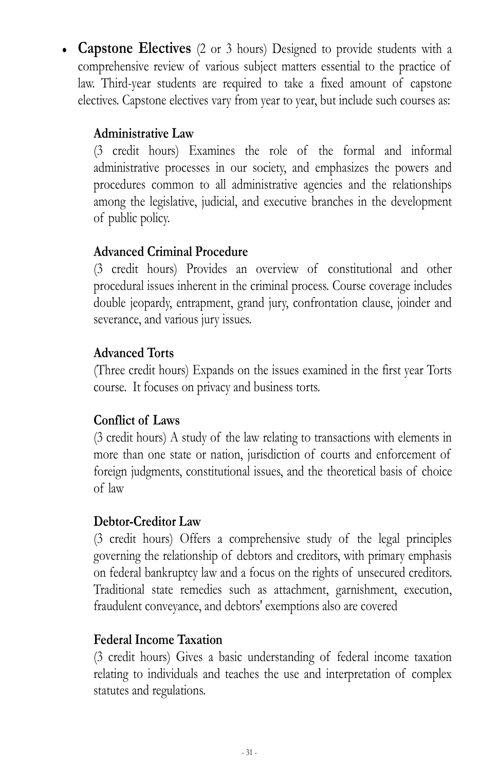**Capstone Electives** (2 or 3 hours) Designed to provide students with a comprehensive review of various subject matters essential to the practice of law. Third-year students are required to take a fixed amount of capstone electives. Capstone electives vary from year to year, but include such courses as:

## **Administrative Law**

(3 credit hours) Examines the role of the formal and informal administrative processes in our society, and emphasizes the powers and procedures common to all administrative agencies and the relationships among the legislative, judicial, and executive branches in the development of public policy.

## **Advanced Criminal Procedure**

(3 credit hours) Provides an overview of constitutional and other procedural issues inherent in the criminal process. Course coverage includes double jeopardy, entrapment, grand jury, confrontation clause, joinder and severance, and various jury issues.

## **Advanced Torts**

(Three credit hours) Expands on the issues examined in the first year Torts course. It focuses on privacy and business torts.

### **Conflict of Laws**

(3 credit hours) A study of the law relating to transactions with elements in more than one state or nation, jurisdiction of courts and enforcement of foreign judgments, constitutional issues, and the theoretical basis of choice of law

### **Debtor-Creditor Law**

(3 credit hours) Offers a comprehensive study of the legal principles governing the relationship of debtors and creditors, with primary emphasis on federal bankruptcy law and a focus on the rights of unsecured creditors. Traditional state remedies such as attachment, garnishment, execution, fraudulent conveyance, and debtors' exemptions also are covered

### **Federal Income Taxation**

(3 credit hours) Gives a basic understanding of federal income taxation relating to individuals and teaches the use and interpretation of complex statutes and regulations.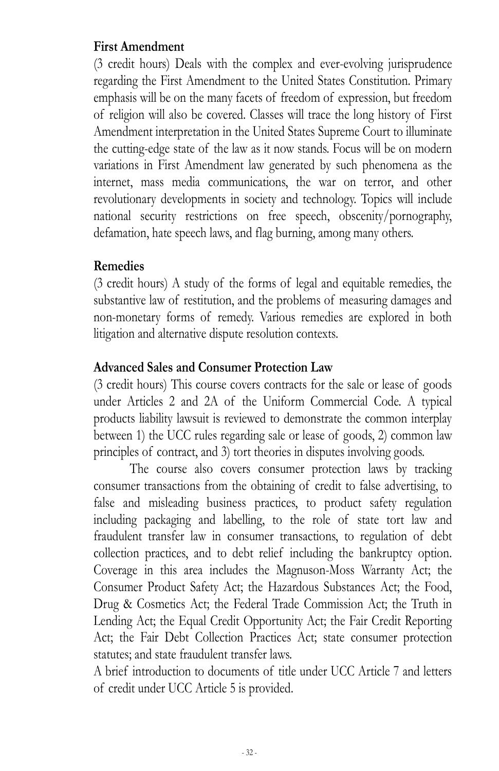#### **First Amendment**

(3 credit hours) Deals with the complex and ever-evolving jurisprudence regarding the First Amendment to the United States Constitution. Primary emphasis will be on the many facets of freedom of expression, but freedom of religion will also be covered. Classes will trace the long history of First Amendment interpretation in the United States Supreme Court to illuminate the cutting-edge state of the law as it now stands. Focus will be on modern variations in First Amendment law generated by such phenomena as the internet, mass media communications, the war on terror, and other revolutionary developments in society and technology. Topics will include national security restrictions on free speech, obscenity/pornography, defamation, hate speech laws, and flag burning, among many others.

#### **Remedies**

(3 credit hours) A study of the forms of legal and equitable remedies, the substantive law of restitution, and the problems of measuring damages and non-monetary forms of remedy. Various remedies are explored in both litigation and alternative dispute resolution contexts.

### **Advanced Sales and Consumer Protection Law**

(3 credit hours) This course covers contracts for the sale or lease of goods under Articles 2 and 2A of the Uniform Commercial Code. A typical products liability lawsuit is reviewed to demonstrate the common interplay between 1) the UCC rules regarding sale or lease of goods, 2) common law principles of contract, and 3) tort theories in disputes involving goods.

 The course also covers consumer protection laws by tracking consumer transactions from the obtaining of credit to false advertising, to false and misleading business practices, to product safety regulation including packaging and labelling, to the role of state tort law and fraudulent transfer law in consumer transactions, to regulation of debt collection practices, and to debt relief including the bankruptcy option. Coverage in this area includes the Magnuson-Moss Warranty Act; the Consumer Product Safety Act; the Hazardous Substances Act; the Food, Drug & Cosmetics Act; the Federal Trade Commission Act; the Truth in Lending Act; the Equal Credit Opportunity Act; the Fair Credit Reporting Act; the Fair Debt Collection Practices Act; state consumer protection statutes; and state fraudulent transfer laws.

A brief introduction to documents of title under UCC Article 7 and letters of credit under UCC Article 5 is provided.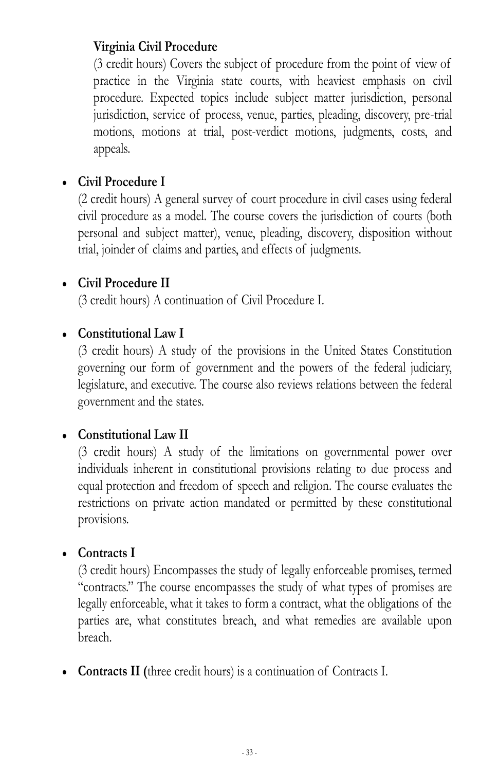## **Virginia Civil Procedure**

(3 credit hours) Covers the subject of procedure from the point of view of practice in the Virginia state courts, with heaviest emphasis on civil procedure. Expected topics include subject matter jurisdiction, personal jurisdiction, service of process, venue, parties, pleading, discovery, pre-trial motions, motions at trial, post-verdict motions, judgments, costs, and appeals.

## **Civil Procedure I**

(2 credit hours) A general survey of court procedure in civil cases using federal civil procedure as a model. The course covers the jurisdiction of courts (both personal and subject matter), venue, pleading, discovery, disposition without trial, joinder of claims and parties, and effects of judgments.

### **Civil Procedure II**

(3 credit hours) A continuation of Civil Procedure I.

### **Constitutional Law I**

(3 credit hours) A study of the provisions in the United States Constitution governing our form of government and the powers of the federal judiciary, legislature, and executive. The course also reviews relations between the federal government and the states.

### **Constitutional Law II**

(3 credit hours) A study of the limitations on governmental power over individuals inherent in constitutional provisions relating to due process and equal protection and freedom of speech and religion. The course evaluates the restrictions on private action mandated or permitted by these constitutional provisions.

#### **Contracts I**

(3 credit hours) Encompasses the study of legally enforceable promises, termed "contracts." The course encompasses the study of what types of promises are legally enforceable, what it takes to form a contract, what the obligations of the parties are, what constitutes breach, and what remedies are available upon breach.

**Contracts II (**three credit hours) is a continuation of Contracts I.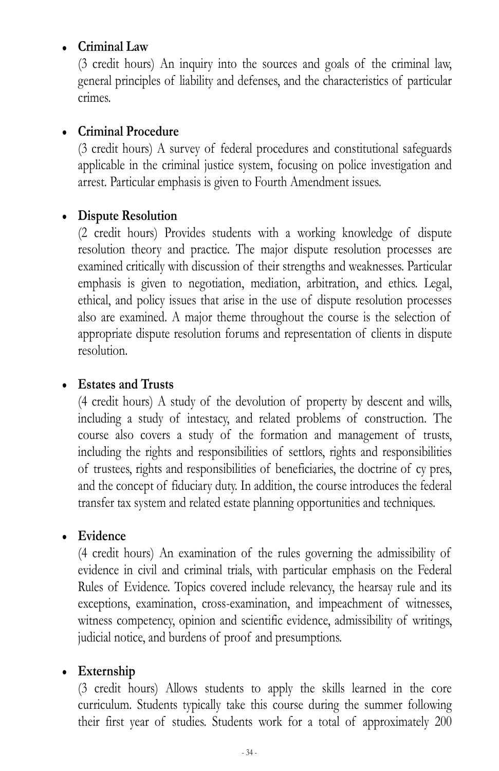#### **Criminal Law**

(3 credit hours) An inquiry into the sources and goals of the criminal law, general principles of liability and defenses, and the characteristics of particular crimes.

#### **Criminal Procedure**

(3 credit hours) A survey of federal procedures and constitutional safeguards applicable in the criminal justice system, focusing on police investigation and arrest. Particular emphasis is given to Fourth Amendment issues.

### **Dispute Resolution**

(2 credit hours) Provides students with a working knowledge of dispute resolution theory and practice. The major dispute resolution processes are examined critically with discussion of their strengths and weaknesses. Particular emphasis is given to negotiation, mediation, arbitration, and ethics. Legal, ethical, and policy issues that arise in the use of dispute resolution processes also are examined. A major theme throughout the course is the selection of appropriate dispute resolution forums and representation of clients in dispute resolution.

#### **Estates and Trusts**

(4 credit hours) A study of the devolution of property by descent and wills, including a study of intestacy, and related problems of construction. The course also covers a study of the formation and management of trusts, including the rights and responsibilities of settlors, rights and responsibilities of trustees, rights and responsibilities of beneficiaries, the doctrine of cy pres, and the concept of fiduciary duty. In addition, the course introduces the federal transfer tax system and related estate planning opportunities and techniques.

### **Evidence**

(4 credit hours) An examination of the rules governing the admissibility of evidence in civil and criminal trials, with particular emphasis on the Federal Rules of Evidence. Topics covered include relevancy, the hearsay rule and its exceptions, examination, cross-examination, and impeachment of witnesses, witness competency, opinion and scientific evidence, admissibility of writings, judicial notice, and burdens of proof and presumptions.

### **Externship**

(3 credit hours) Allows students to apply the skills learned in the core curriculum. Students typically take this course during the summer following their first year of studies. Students work for a total of approximately 200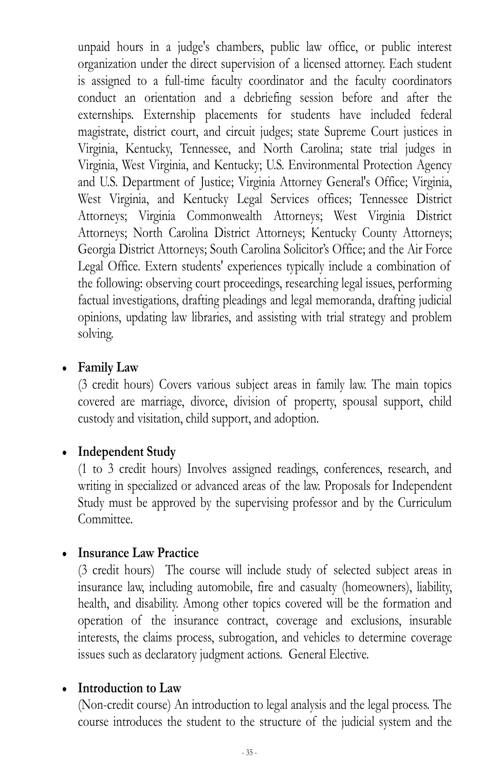unpaid hours in a judge's chambers, public law office, or public interest organization under the direct supervision of a licensed attorney. Each student is assigned to a full-time faculty coordinator and the faculty coordinators conduct an orientation and a debriefing session before and after the externships. Externship placements for students have included federal magistrate, district court, and circuit judges; state Supreme Court justices in Virginia, Kentucky, Tennessee, and North Carolina; state trial judges in Virginia, West Virginia, and Kentucky; U.S. Environmental Protection Agency and U.S. Department of Justice; Virginia Attorney General's Office; Virginia, West Virginia, and Kentucky Legal Services offices; Tennessee District Attorneys; Virginia Commonwealth Attorneys; West Virginia District Attorneys; North Carolina District Attorneys; Kentucky County Attorneys; Georgia District Attorneys;; South Carolina Solicitor's Office;; and the Air Force Legal Office. Extern students' experiences typically include a combination of the following: observing court proceedings, researching legal issues, performing factual investigations, drafting pleadings and legal memoranda, drafting judicial opinions, updating law libraries, and assisting with trial strategy and problem solving.

#### **Family Law**

(3 credit hours) Covers various subject areas in family law. The main topics covered are marriage, divorce, division of property, spousal support, child custody and visitation, child support, and adoption.

### **Independent Study**

(1 to 3 credit hours) Involves assigned readings, conferences, research, and writing in specialized or advanced areas of the law. Proposals for Independent Study must be approved by the supervising professor and by the Curriculum Committee.

### **Insurance Law Practice**

(3 credit hours) The course will include study of selected subject areas in insurance law, including automobile, fire and casualty (homeowners), liability, health, and disability. Among other topics covered will be the formation and operation of the insurance contract, coverage and exclusions, insurable interests, the claims process, subrogation, and vehicles to determine coverage issues such as declaratory judgment actions. General Elective.

#### **Introduction to Law**

(Non-credit course) An introduction to legal analysis and the legal process. The course introduces the student to the structure of the judicial system and the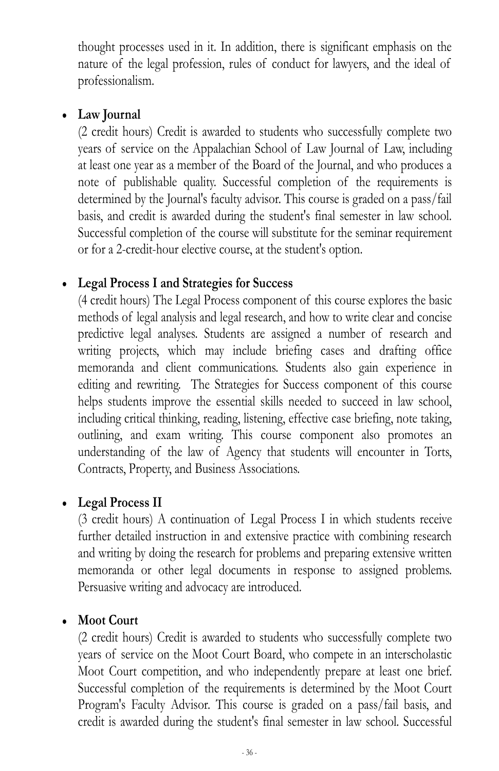thought processes used in it. In addition, there is significant emphasis on the nature of the legal profession, rules of conduct for lawyers, and the ideal of professionalism.

#### **Law Journal**

(2 credit hours) Credit is awarded to students who successfully complete two years of service on the Appalachian School of Law Journal of Law, including at least one year as a member of the Board of the Journal, and who produces a note of publishable quality. Successful completion of the requirements is determined by the Journal's faculty advisor. This course is graded on a pass/fail basis, and credit is awarded during the student's final semester in law school. Successful completion of the course will substitute for the seminar requirement or for a 2-credit-hour elective course, at the student's option.

### **Legal Process I and Strategies for Success**

(4 credit hours) The Legal Process component of this course explores the basic methods of legal analysis and legal research, and how to write clear and concise predictive legal analyses. Students are assigned a number of research and writing projects, which may include briefing cases and drafting office memoranda and client communications. Students also gain experience in editing and rewriting. The Strategies for Success component of this course helps students improve the essential skills needed to succeed in law school, including critical thinking, reading, listening, effective case briefing, note taking, outlining, and exam writing. This course component also promotes an understanding of the law of Agency that students will encounter in Torts, Contracts, Property, and Business Associations.

#### **Legal Process II**

(3 credit hours) A continuation of Legal Process I in which students receive further detailed instruction in and extensive practice with combining research and writing by doing the research for problems and preparing extensive written memoranda or other legal documents in response to assigned problems. Persuasive writing and advocacy are introduced.

#### **Moot Court**

(2 credit hours) Credit is awarded to students who successfully complete two years of service on the Moot Court Board, who compete in an interscholastic Moot Court competition, and who independently prepare at least one brief. Successful completion of the requirements is determined by the Moot Court Program's Faculty Advisor. This course is graded on a pass/fail basis, and credit is awarded during the student's final semester in law school. Successful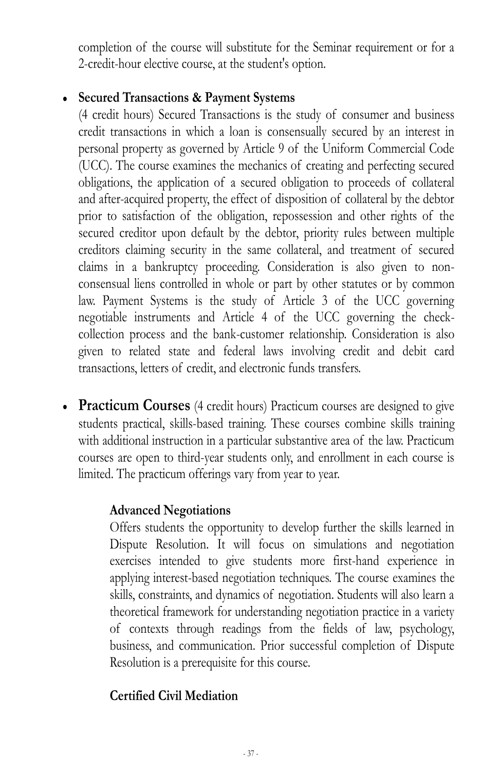completion of the course will substitute for the Seminar requirement or for a 2-credit-hour elective course, at the student's option.

#### **Secured Transactions & Payment Systems**

(4 credit hours) Secured Transactions is the study of consumer and business credit transactions in which a loan is consensually secured by an interest in personal property as governed by Article 9 of the Uniform Commercial Code (UCC). The course examines the mechanics of creating and perfecting secured obligations, the application of a secured obligation to proceeds of collateral and after-acquired property, the effect of disposition of collateral by the debtor prior to satisfaction of the obligation, repossession and other rights of the secured creditor upon default by the debtor, priority rules between multiple creditors claiming security in the same collateral, and treatment of secured claims in a bankruptcy proceeding. Consideration is also given to nonconsensual liens controlled in whole or part by other statutes or by common law. Payment Systems is the study of Article 3 of the UCC governing negotiable instruments and Article 4 of the UCC governing the checkcollection process and the bank-customer relationship. Consideration is also given to related state and federal laws involving credit and debit card transactions, letters of credit, and electronic funds transfers.

**Practicum Courses** (4 credit hours) Practicum courses are designed to give students practical, skills-based training. These courses combine skills training with additional instruction in a particular substantive area of the law. Practicum courses are open to third-year students only, and enrollment in each course is limited. The practicum offerings vary from year to year.

### **Advanced Negotiations**

Offers students the opportunity to develop further the skills learned in Dispute Resolution. It will focus on simulations and negotiation exercises intended to give students more first-hand experience in applying interest-based negotiation techniques. The course examines the skills, constraints, and dynamics of negotiation. Students will also learn a theoretical framework for understanding negotiation practice in a variety of contexts through readings from the fields of law, psychology, business, and communication. Prior successful completion of Dispute Resolution is a prerequisite for this course.

# **Certified Civil Mediation**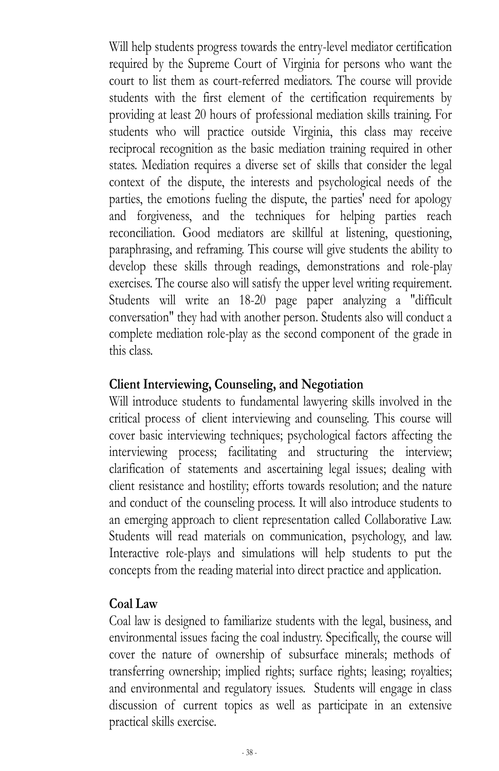Will help students progress towards the entry-level mediator certification required by the Supreme Court of Virginia for persons who want the court to list them as court-referred mediators. The course will provide students with the first element of the certification requirements by providing at least 20 hours of professional mediation skills training. For students who will practice outside Virginia, this class may receive reciprocal recognition as the basic mediation training required in other states. Mediation requires a diverse set of skills that consider the legal context of the dispute, the interests and psychological needs of the parties, the emotions fueling the dispute, the parties' need for apology and forgiveness, and the techniques for helping parties reach reconciliation. Good mediators are skillful at listening, questioning, paraphrasing, and reframing. This course will give students the ability to develop these skills through readings, demonstrations and role-play exercises. The course also will satisfy the upper level writing requirement. Students will write an 18-20 page paper analyzing a "difficult conversation" they had with another person. Students also will conduct a complete mediation role-play as the second component of the grade in this class.

#### **Client Interviewing, Counseling, and Negotiation**

Will introduce students to fundamental lawyering skills involved in the critical process of client interviewing and counseling. This course will cover basic interviewing techniques; psychological factors affecting the interviewing process; facilitating and structuring the interview; clarification of statements and ascertaining legal issues; dealing with client resistance and hostility; efforts towards resolution; and the nature and conduct of the counseling process. It will also introduce students to an emerging approach to client representation called Collaborative Law. Students will read materials on communication, psychology, and law. Interactive role-plays and simulations will help students to put the concepts from the reading material into direct practice and application.

#### **Coal Law**

Coal law is designed to familiarize students with the legal, business, and environmental issues facing the coal industry. Specifically, the course will cover the nature of ownership of subsurface minerals; methods of transferring ownership; implied rights; surface rights; leasing; royalties; and environmental and regulatory issues. Students will engage in class discussion of current topics as well as participate in an extensive practical skills exercise.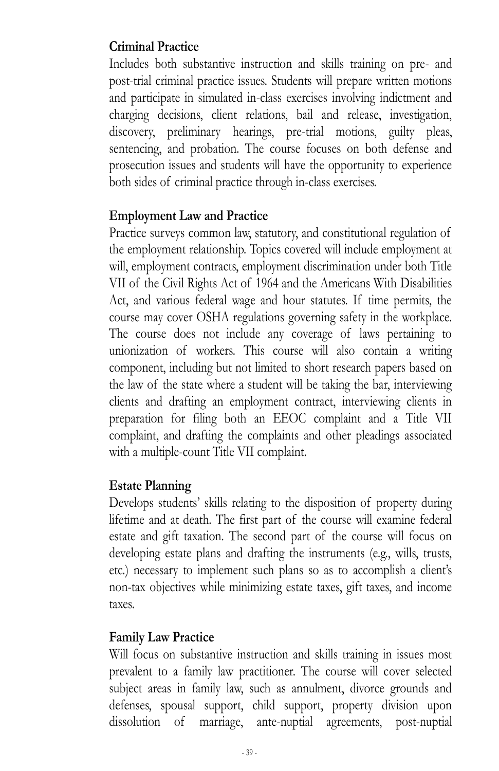## **Criminal Practice**

Includes both substantive instruction and skills training on pre- and post-trial criminal practice issues. Students will prepare written motions and participate in simulated in-class exercises involving indictment and charging decisions, client relations, bail and release, investigation, discovery, preliminary hearings, pre-trial motions, guilty pleas, sentencing, and probation. The course focuses on both defense and prosecution issues and students will have the opportunity to experience both sides of criminal practice through in-class exercises.

#### **Employment Law and Practice**

Practice surveys common law, statutory, and constitutional regulation of the employment relationship. Topics covered will include employment at will, employment contracts, employment discrimination under both Title VII of the Civil Rights Act of 1964 and the Americans With Disabilities Act, and various federal wage and hour statutes. If time permits, the course may cover OSHA regulations governing safety in the workplace. The course does not include any coverage of laws pertaining to unionization of workers. This course will also contain a writing component, including but not limited to short research papers based on the law of the state where a student will be taking the bar, interviewing clients and drafting an employment contract, interviewing clients in preparation for filing both an EEOC complaint and a Title VII complaint, and drafting the complaints and other pleadings associated with a multiple-count Title VII complaint.

#### **Estate Planning**

Develops students' skills relating to the disposition of property during lifetime and at death. The first part of the course will examine federal estate and gift taxation. The second part of the course will focus on developing estate plans and drafting the instruments (e.g., wills, trusts, etc.) necessary to implement such plans so as to accomplish a client's non-tax objectives while minimizing estate taxes, gift taxes, and income taxes.

#### **Family Law Practice**

Will focus on substantive instruction and skills training in issues most prevalent to a family law practitioner. The course will cover selected subject areas in family law, such as annulment, divorce grounds and defenses, spousal support, child support, property division upon dissolution of marriage, ante-nuptial agreements, post-nuptial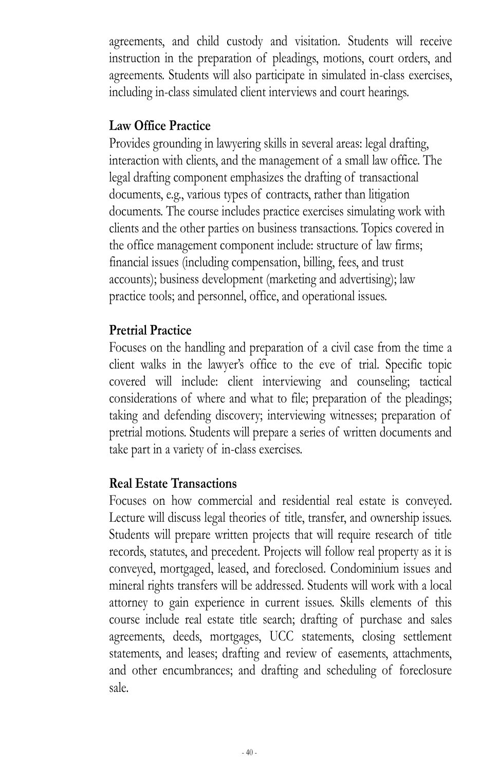agreements, and child custody and visitation. Students will receive instruction in the preparation of pleadings, motions, court orders, and agreements. Students will also participate in simulated in-class exercises, including in-class simulated client interviews and court hearings.

#### **Law Office Practice**

Provides grounding in lawyering skills in several areas: legal drafting, interaction with clients, and the management of a small law office. The legal drafting component emphasizes the drafting of transactional documents, e.g., various types of contracts, rather than litigation documents. The course includes practice exercises simulating work with clients and the other parties on business transactions. Topics covered in the office management component include: structure of law firms; financial issues (including compensation, billing, fees, and trust accounts); business development (marketing and advertising); law practice tools; and personnel, office, and operational issues.

#### **Pretrial Practice**

Focuses on the handling and preparation of a civil case from the time a client walks in the lawyer's office to the eve of trial. Specific topic covered will include: client interviewing and counseling; tactical considerations of where and what to file; preparation of the pleadings; taking and defending discovery; interviewing witnesses; preparation of pretrial motions. Students will prepare a series of written documents and take part in a variety of in-class exercises.

#### **Real Estate Transactions**

Focuses on how commercial and residential real estate is conveyed. Lecture will discuss legal theories of title, transfer, and ownership issues. Students will prepare written projects that will require research of title records, statutes, and precedent. Projects will follow real property as it is conveyed, mortgaged, leased, and foreclosed. Condominium issues and mineral rights transfers will be addressed. Students will work with a local attorney to gain experience in current issues. Skills elements of this course include real estate title search; drafting of purchase and sales agreements, deeds, mortgages, UCC statements, closing settlement statements, and leases; drafting and review of easements, attachments, and other encumbrances; and drafting and scheduling of foreclosure sale.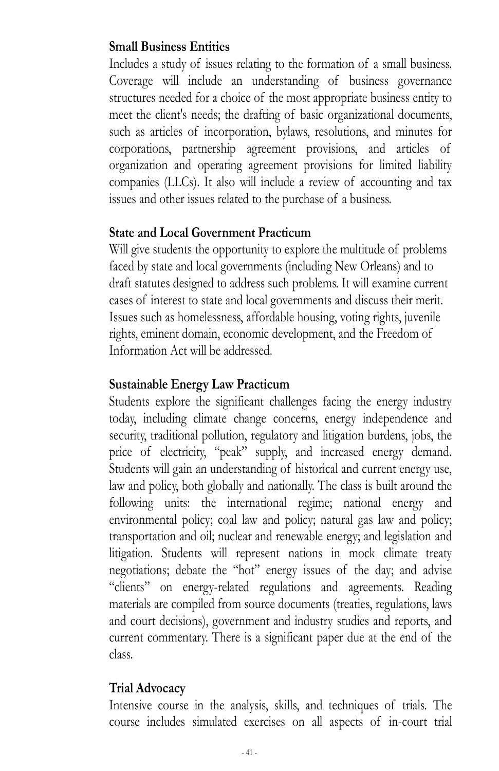#### **Small Business Entities**

Includes a study of issues relating to the formation of a small business. Coverage will include an understanding of business governance structures needed for a choice of the most appropriate business entity to meet the client's needs; the drafting of basic organizational documents, such as articles of incorporation, bylaws, resolutions, and minutes for corporations, partnership agreement provisions, and articles of organization and operating agreement provisions for limited liability companies (LLCs). It also will include a review of accounting and tax issues and other issues related to the purchase of a business.

#### **State and Local Government Practicum**

Will give students the opportunity to explore the multitude of problems faced by state and local governments (including New Orleans) and to draft statutes designed to address such problems. It will examine current cases of interest to state and local governments and discuss their merit. Issues such as homelessness, affordable housing, voting rights, juvenile rights, eminent domain, economic development, and the Freedom of Information Act will be addressed.

#### **Sustainable Energy Law Practicum**

Students explore the significant challenges facing the energy industry today, including climate change concerns, energy independence and security, traditional pollution, regulatory and litigation burdens, jobs, the price of electricity, "peak" supply, and increased energy demand. Students will gain an understanding of historical and current energy use, law and policy, both globally and nationally. The class is built around the following units: the international regime; national energy and environmental policy; coal law and policy; natural gas law and policy; transportation and oil; nuclear and renewable energy; and legislation and litigation. Students will represent nations in mock climate treaty negotiations; debate the "hot" energy issues of the day; and advise "clients" on energy-related regulations and agreements. Reading materials are compiled from source documents (treaties, regulations, laws and court decisions), government and industry studies and reports, and current commentary. There is a significant paper due at the end of the class.

### **Trial Advocacy**

Intensive course in the analysis, skills, and techniques of trials. The course includes simulated exercises on all aspects of in-court trial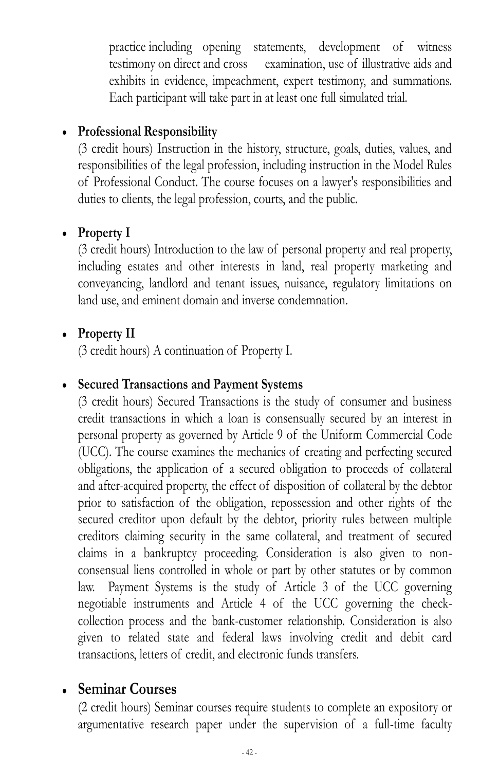practice including opening statements, development of witness testimony on direct and cross examination, use of illustrative aids and exhibits in evidence, impeachment, expert testimony, and summations. Each participant will take part in at least one full simulated trial.

#### **Professional Responsibility**

(3 credit hours) Instruction in the history, structure, goals, duties, values, and responsibilities of the legal profession, including instruction in the Model Rules of Professional Conduct. The course focuses on a lawyer's responsibilities and duties to clients, the legal profession, courts, and the public.

#### **Property I**

(3 credit hours) Introduction to the law of personal property and real property, including estates and other interests in land, real property marketing and conveyancing, landlord and tenant issues, nuisance, regulatory limitations on land use, and eminent domain and inverse condemnation.

#### **Property II**

(3 credit hours) A continuation of Property I.

#### **Secured Transactions and Payment Systems**

(3 credit hours) Secured Transactions is the study of consumer and business credit transactions in which a loan is consensually secured by an interest in personal property as governed by Article 9 of the Uniform Commercial Code (UCC). The course examines the mechanics of creating and perfecting secured obligations, the application of a secured obligation to proceeds of collateral and after-acquired property, the effect of disposition of collateral by the debtor prior to satisfaction of the obligation, repossession and other rights of the secured creditor upon default by the debtor, priority rules between multiple creditors claiming security in the same collateral, and treatment of secured claims in a bankruptcy proceeding. Consideration is also given to nonconsensual liens controlled in whole or part by other statutes or by common law. Payment Systems is the study of Article 3 of the UCC governing negotiable instruments and Article 4 of the UCC governing the checkcollection process and the bank-customer relationship. Consideration is also given to related state and federal laws involving credit and debit card transactions, letters of credit, and electronic funds transfers.

### **Seminar Courses**

(2 credit hours) Seminar courses require students to complete an expository or argumentative research paper under the supervision of a full-time faculty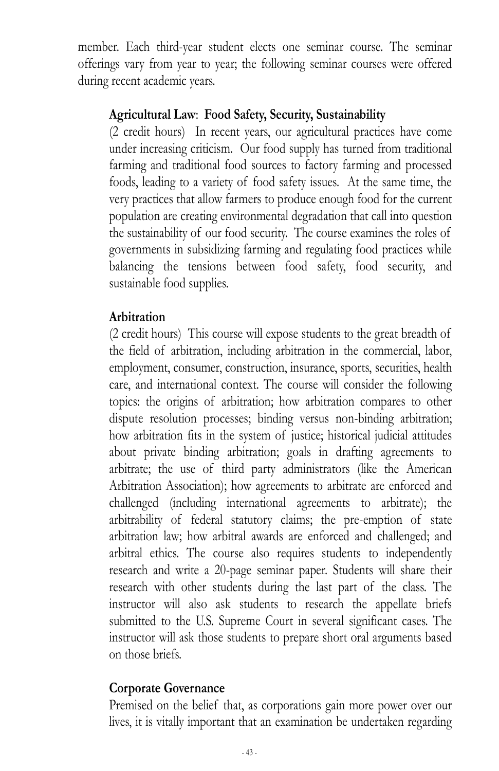member. Each third-year student elects one seminar course. The seminar offerings vary from year to year; the following seminar courses were offered during recent academic years.

#### **Agricultural Law**: **Food Safety, Security, Sustainability**

(2 credit hours) In recent years, our agricultural practices have come under increasing criticism. Our food supply has turned from traditional farming and traditional food sources to factory farming and processed foods, leading to a variety of food safety issues. At the same time, the very practices that allow farmers to produce enough food for the current population are creating environmental degradation that call into question the sustainability of our food security. The course examines the roles of governments in subsidizing farming and regulating food practices while balancing the tensions between food safety, food security, and sustainable food supplies.

#### **Arbitration**

(2 credit hours) This course will expose students to the great breadth of the field of arbitration, including arbitration in the commercial, labor, employment, consumer, construction, insurance, sports, securities, health care, and international context. The course will consider the following topics: the origins of arbitration; how arbitration compares to other dispute resolution processes; binding versus non-binding arbitration; how arbitration fits in the system of justice; historical judicial attitudes about private binding arbitration; goals in drafting agreements to arbitrate; the use of third party administrators (like the American Arbitration Association); how agreements to arbitrate are enforced and challenged (including international agreements to arbitrate); the arbitrability of federal statutory claims; the pre-emption of state arbitration law; how arbitral awards are enforced and challenged; and arbitral ethics. The course also requires students to independently research and write a 20-page seminar paper. Students will share their research with other students during the last part of the class. The instructor will also ask students to research the appellate briefs submitted to the U.S. Supreme Court in several significant cases. The instructor will ask those students to prepare short oral arguments based on those briefs.

#### **Corporate Governance**

Premised on the belief that, as corporations gain more power over our lives, it is vitally important that an examination be undertaken regarding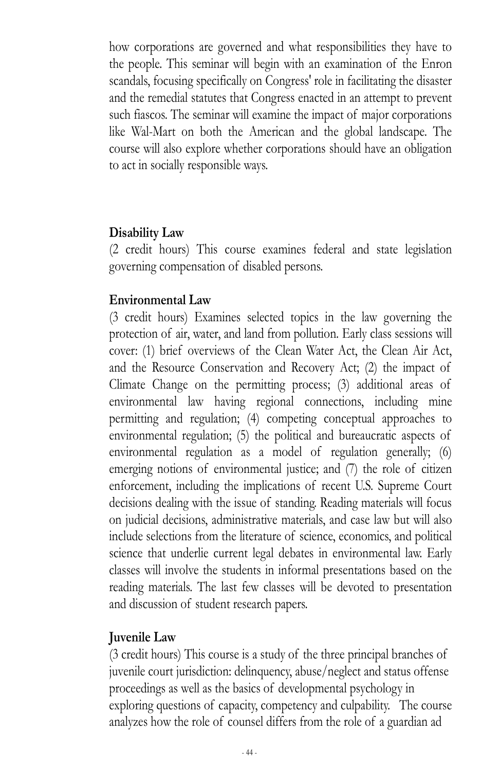how corporations are governed and what responsibilities they have to the people. This seminar will begin with an examination of the Enron scandals, focusing specifically on Congress' role in facilitating the disaster and the remedial statutes that Congress enacted in an attempt to prevent such fiascos. The seminar will examine the impact of major corporations like Wal-Mart on both the American and the global landscape. The course will also explore whether corporations should have an obligation to act in socially responsible ways.

#### **Disability Law**

(2 credit hours) This course examines federal and state legislation governing compensation of disabled persons.

#### **Environmental Law**

(3 credit hours) Examines selected topics in the law governing the protection of air, water, and land from pollution. Early class sessions will cover: (1) brief overviews of the Clean Water Act, the Clean Air Act, and the Resource Conservation and Recovery Act; (2) the impact of Climate Change on the permitting process; (3) additional areas of environmental law having regional connections, including mine permitting and regulation; (4) competing conceptual approaches to environmental regulation; (5) the political and bureaucratic aspects of environmental regulation as a model of regulation generally; (6) emerging notions of environmental justice; and (7) the role of citizen enforcement, including the implications of recent U.S. Supreme Court decisions dealing with the issue of standing. Reading materials will focus on judicial decisions, administrative materials, and case law but will also include selections from the literature of science, economics, and political science that underlie current legal debates in environmental law. Early classes will involve the students in informal presentations based on the reading materials. The last few classes will be devoted to presentation and discussion of student research papers.

#### **Juvenile Law**

(3 credit hours) This course is a study of the three principal branches of juvenile court jurisdiction: delinquency, abuse/neglect and status offense proceedings as well as the basics of developmental psychology in exploring questions of capacity, competency and culpability. The course analyzes how the role of counsel differs from the role of a guardian ad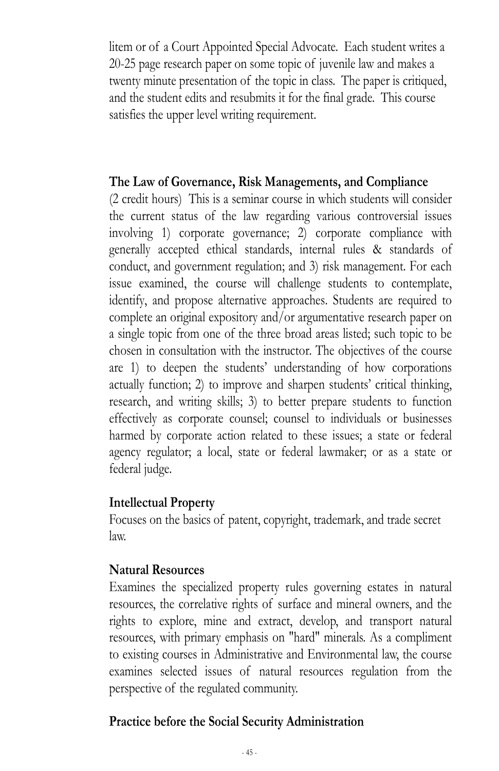litem or of a Court Appointed Special Advocate. Each student writes a 20-25 page research paper on some topic of juvenile law and makes a twenty minute presentation of the topic in class. The paper is critiqued, and the student edits and resubmits it for the final grade. This course satisfies the upper level writing requirement.

#### **The Law of Governance, Risk Managements, and Compliance**

(2 credit hours) This is a seminar course in which students will consider the current status of the law regarding various controversial issues involving 1) corporate governance; 2) corporate compliance with generally accepted ethical standards, internal rules & standards of conduct, and government regulation; and 3) risk management. For each issue examined, the course will challenge students to contemplate, identify, and propose alternative approaches. Students are required to complete an original expository and/or argumentative research paper on a single topic from one of the three broad areas listed; such topic to be chosen in consultation with the instructor. The objectives of the course are 1) to deepen the students' understanding of how corporations actually function;; 2) to improve and sharpen students' critical thinking, research, and writing skills; 3) to better prepare students to function effectively as corporate counsel; counsel to individuals or businesses harmed by corporate action related to these issues; a state or federal agency regulator; a local, state or federal lawmaker; or as a state or federal judge.

#### **Intellectual Property**

Focuses on the basics of patent, copyright, trademark, and trade secret law.

#### **Natural Resources**

Examines the specialized property rules governing estates in natural resources, the correlative rights of surface and mineral owners, and the rights to explore, mine and extract, develop, and transport natural resources, with primary emphasis on "hard" minerals. As a compliment to existing courses in Administrative and Environmental law, the course examines selected issues of natural resources regulation from the perspective of the regulated community.

### **Practice before the Social Security Administration**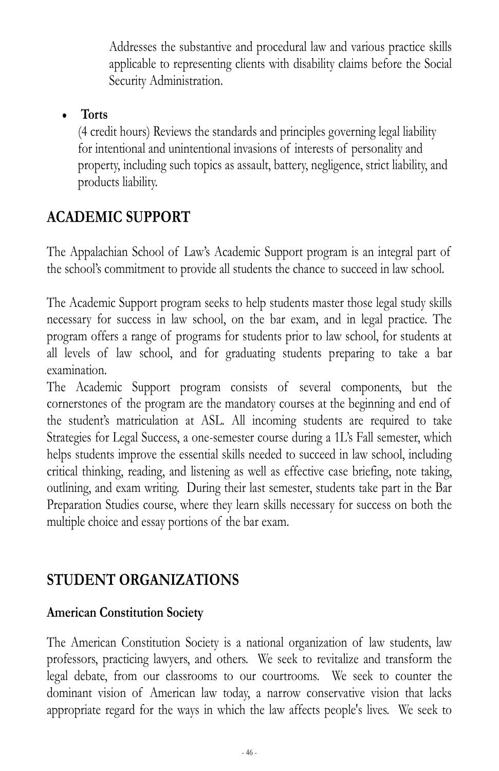Addresses the substantive and procedural law and various practice skills applicable to representing clients with disability claims before the Social Security Administration.

#### **Torts**

(4 credit hours) Reviews the standards and principles governing legal liability for intentional and unintentional invasions of interests of personality and property, including such topics as assault, battery, negligence, strict liability, and products liability.

# **ACADEMIC SUPPORT**

The Appalachian School of Law's Academic Support program is an integral part of the school's commitment to provide all students the chance to succeed in law school.

The Academic Support program seeks to help students master those legal study skills necessary for success in law school, on the bar exam, and in legal practice. The program offers a range of programs for students prior to law school, for students at all levels of law school, and for graduating students preparing to take a bar examination.

The Academic Support program consists of several components, but the cornerstones of the program are the mandatory courses at the beginning and end of the student's matriculation at ASL. All incoming students are required to take Strategies for Legal Success, a one-semester course during a 1L's Fall semester, which helps students improve the essential skills needed to succeed in law school, including critical thinking, reading, and listening as well as effective case briefing, note taking, outlining, and exam writing. During their last semester, students take part in the Bar Preparation Studies course, where they learn skills necessary for success on both the multiple choice and essay portions of the bar exam.

# **STUDENT ORGANIZATIONS**

### **American Constitution Society**

The American Constitution Society is a national organization of law students, law professors, practicing lawyers, and others. We seek to revitalize and transform the legal debate, from our classrooms to our courtrooms. We seek to counter the dominant vision of American law today, a narrow conservative vision that lacks appropriate regard for the ways in which the law affects people's lives. We seek to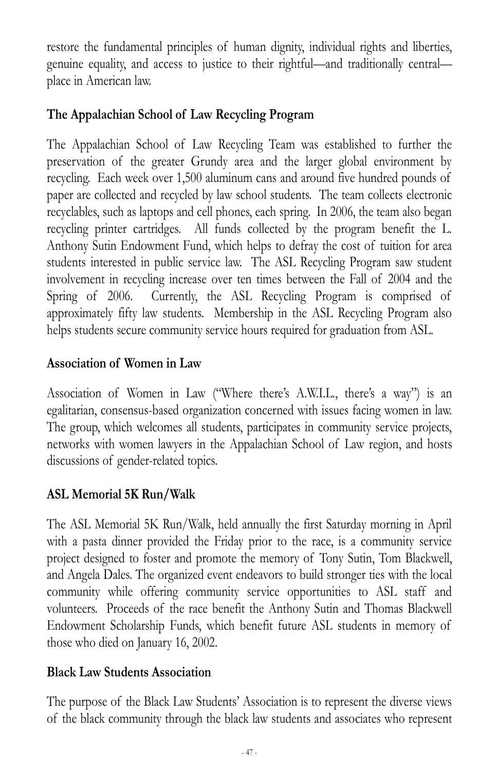restore the fundamental principles of human dignity, individual rights and liberties, genuine equality, and access to justice to their rightful—and traditionally central place in American law.

# **The Appalachian School of Law Recycling Program**

The Appalachian School of Law Recycling Team was established to further the preservation of the greater Grundy area and the larger global environment by recycling. Each week over 1,500 aluminum cans and around five hundred pounds of paper are collected and recycled by law school students. The team collects electronic recyclables, such as laptops and cell phones, each spring. In 2006, the team also began recycling printer cartridges. All funds collected by the program benefit the L. Anthony Sutin Endowment Fund, which helps to defray the cost of tuition for area students interested in public service law. The ASL Recycling Program saw student involvement in recycling increase over ten times between the Fall of 2004 and the Spring of 2006. Currently, the ASL Recycling Program is comprised of approximately fifty law students. Membership in the ASL Recycling Program also helps students secure community service hours required for graduation from ASL.

#### **Association of Women in Law**

Association of Women in Law ("Where there's A.W.I.L., there's a way") is an egalitarian, consensus-based organization concerned with issues facing women in law. The group, which welcomes all students, participates in community service projects, networks with women lawyers in the Appalachian School of Law region, and hosts discussions of gender-related topics.

### **ASL Memorial 5K Run/Walk**

The ASL Memorial 5K Run/Walk, held annually the first Saturday morning in April with a pasta dinner provided the Friday prior to the race, is a community service project designed to foster and promote the memory of Tony Sutin, Tom Blackwell, and Angela Dales. The organized event endeavors to build stronger ties with the local community while offering community service opportunities to ASL staff and volunteers. Proceeds of the race benefit the Anthony Sutin and Thomas Blackwell Endowment Scholarship Funds, which benefit future ASL students in memory of those who died on January 16, 2002.

#### **Black Law Students Association**

The purpose of the Black Law Students' Association is to represent the diverse views of the black community through the black law students and associates who represent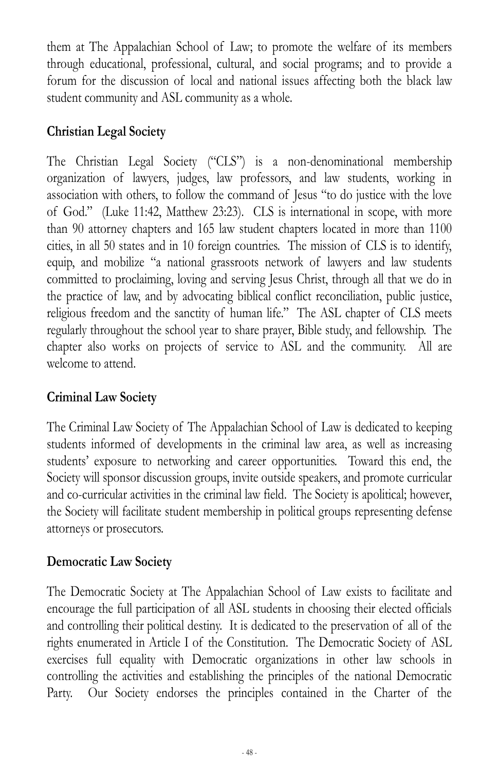them at The Appalachian School of Law; to promote the welfare of its members through educational, professional, cultural, and social programs; and to provide a forum for the discussion of local and national issues affecting both the black law student community and ASL community as a whole.

## **Christian Legal Society**

The Christian Legal Society ("CLS") is a non-denominational membership organization of lawyers, judges, law professors, and law students, working in association with others, to follow the command of Jesus "to do justice with the love of God." (Luke 11:42, Matthew 23:23). CLS is international in scope, with more than 90 attorney chapters and 165 law student chapters located in more than 1100 cities, in all 50 states and in 10 foreign countries. The mission of CLS is to identify, equip, and mobilize "a national grassroots network of lawyers and law students committed to proclaiming, loving and serving Jesus Christ, through all that we do in the practice of law, and by advocating biblical conflict reconciliation, public justice, religious freedom and the sanctity of human life." The ASL chapter of CLS meets regularly throughout the school year to share prayer, Bible study, and fellowship. The chapter also works on projects of service to ASL and the community. All are welcome to attend.

### **Criminal Law Society**

The Criminal Law Society of The Appalachian School of Law is dedicated to keeping students informed of developments in the criminal law area, as well as increasing students' exposure to networking and career opportunities. Toward this end, the Society will sponsor discussion groups, invite outside speakers, and promote curricular and co-curricular activities in the criminal law field. The Society is apolitical; however, the Society will facilitate student membership in political groups representing defense attorneys or prosecutors.

# **Democratic Law Society**

The Democratic Society at The Appalachian School of Law exists to facilitate and encourage the full participation of all ASL students in choosing their elected officials and controlling their political destiny. It is dedicated to the preservation of all of the rights enumerated in Article I of the Constitution. The Democratic Society of ASL exercises full equality with Democratic organizations in other law schools in controlling the activities and establishing the principles of the national Democratic Party. Our Society endorses the principles contained in the Charter of the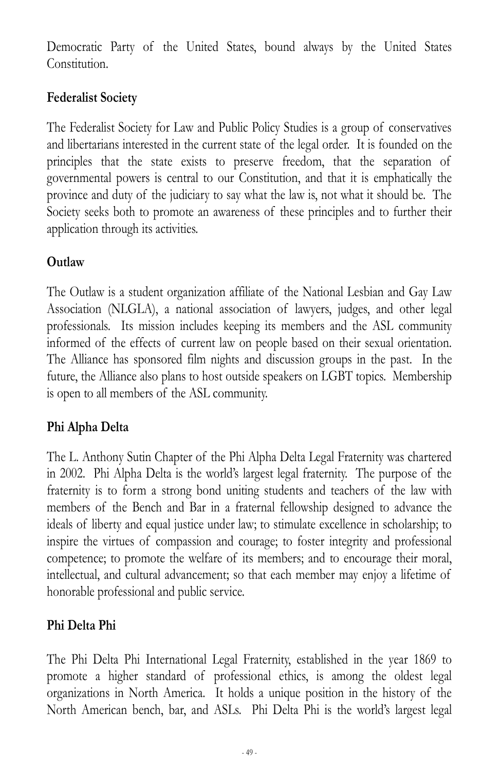Democratic Party of the United States, bound always by the United States Constitution.

# **Federalist Society**

The Federalist Society for Law and Public Policy Studies is a group of conservatives and libertarians interested in the current state of the legal order. It is founded on the principles that the state exists to preserve freedom, that the separation of governmental powers is central to our Constitution, and that it is emphatically the province and duty of the judiciary to say what the law is, not what it should be. The Society seeks both to promote an awareness of these principles and to further their application through its activities.

# **Outlaw**

The Outlaw is a student organization affiliate of the National Lesbian and Gay Law Association (NLGLA), a national association of lawyers, judges, and other legal professionals. Its mission includes keeping its members and the ASL community informed of the effects of current law on people based on their sexual orientation. The Alliance has sponsored film nights and discussion groups in the past. In the future, the Alliance also plans to host outside speakers on LGBT topics. Membership is open to all members of the ASL community.

### **Phi Alpha Delta**

The L. Anthony Sutin Chapter of the Phi Alpha Delta Legal Fraternity was chartered in 2002. Phi Alpha Delta is the world's largest legal fraternity. The purpose of the fraternity is to form a strong bond uniting students and teachers of the law with members of the Bench and Bar in a fraternal fellowship designed to advance the ideals of liberty and equal justice under law; to stimulate excellence in scholarship; to inspire the virtues of compassion and courage; to foster integrity and professional competence; to promote the welfare of its members; and to encourage their moral, intellectual, and cultural advancement; so that each member may enjoy a lifetime of honorable professional and public service.

### **Phi Delta Phi**

The Phi Delta Phi International Legal Fraternity, established in the year 1869 to promote a higher standard of professional ethics, is among the oldest legal organizations in North America. It holds a unique position in the history of the North American bench, bar, and ASLs. Phi Delta Phi is the world's largest legal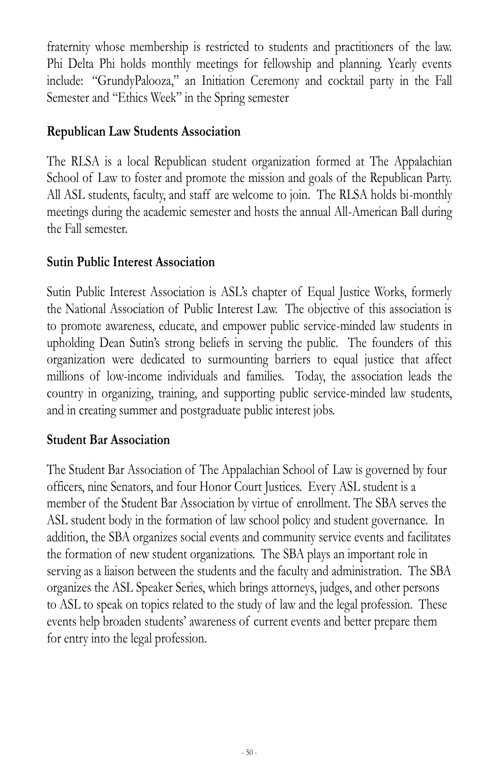fraternity whose membership is restricted to students and practitioners of the law. Phi Delta Phi holds monthly meetings for fellowship and planning. Yearly events include: "GrundyPalooza," an Initiation Ceremony and cocktail party in the Fall Semester and "Ethics Week" in the Spring semester

#### **Republican Law Students Association**

The RLSA is a local Republican student organization formed at The Appalachian School of Law to foster and promote the mission and goals of the Republican Party. All ASL students, faculty, and staff are welcome to join. The RLSA holds bi-monthly meetings during the academic semester and hosts the annual All-American Ball during the Fall semester.

#### **Sutin Public Interest Association**

Sutin Public Interest Association is ASL's chapter of Equal Justice Works, formerly the National Association of Public Interest Law. The objective of this association is to promote awareness, educate, and empower public service-minded law students in upholding Dean Sutin's strong beliefs in serving the public. The founders of this organization were dedicated to surmounting barriers to equal justice that affect millions of low-income individuals and families. Today, the association leads the country in organizing, training, and supporting public service-minded law students, and in creating summer and postgraduate public interest jobs.

#### **Student Bar Association**

The Student Bar Association of The Appalachian School of Law is governed by four officers, nine Senators, and four Honor Court Justices. Every ASL student is a member of the Student Bar Association by virtue of enrollment. The SBA serves the ASL student body in the formation of law school policy and student governance. In addition, the SBA organizes social events and community service events and facilitates the formation of new student organizations. The SBA plays an important role in serving as a liaison between the students and the faculty and administration. The SBA organizes the ASL Speaker Series, which brings attorneys, judges, and other persons to ASL to speak on topics related to the study of law and the legal profession. These events help broaden students' awareness of current events and better prepare them for entry into the legal profession.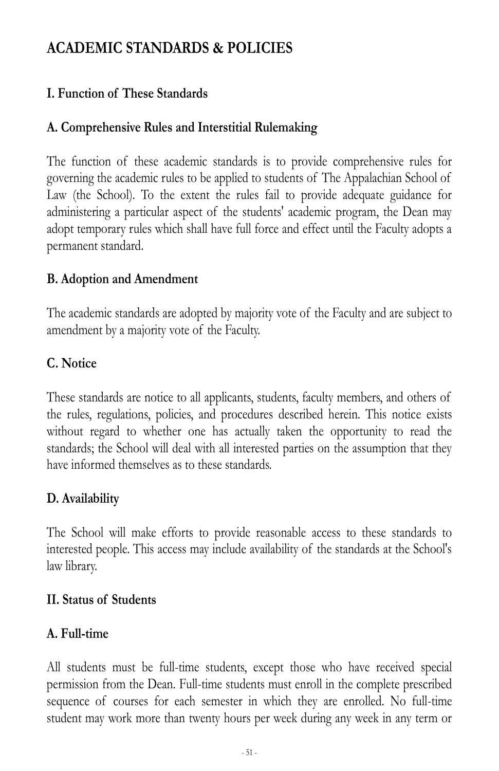# **ACADEMIC STANDARDS & POLICIES**

# **I. Function of These Standards**

# **A. Comprehensive Rules and Interstitial Rulemaking**

The function of these academic standards is to provide comprehensive rules for governing the academic rules to be applied to students of The Appalachian School of Law (the School). To the extent the rules fail to provide adequate guidance for administering a particular aspect of the students' academic program, the Dean may adopt temporary rules which shall have full force and effect until the Faculty adopts a permanent standard.

#### **B. Adoption and Amendment**

The academic standards are adopted by majority vote of the Faculty and are subject to amendment by a majority vote of the Faculty.

### **C. Notice**

These standards are notice to all applicants, students, faculty members, and others of the rules, regulations, policies, and procedures described herein. This notice exists without regard to whether one has actually taken the opportunity to read the standards; the School will deal with all interested parties on the assumption that they have informed themselves as to these standards.

### **D. Availability**

The School will make efforts to provide reasonable access to these standards to interested people. This access may include availability of the standards at the School's law library.

### **II. Status of Students**

### **A. Full-time**

All students must be full-time students, except those who have received special permission from the Dean. Full-time students must enroll in the complete prescribed sequence of courses for each semester in which they are enrolled. No full-time student may work more than twenty hours per week during any week in any term or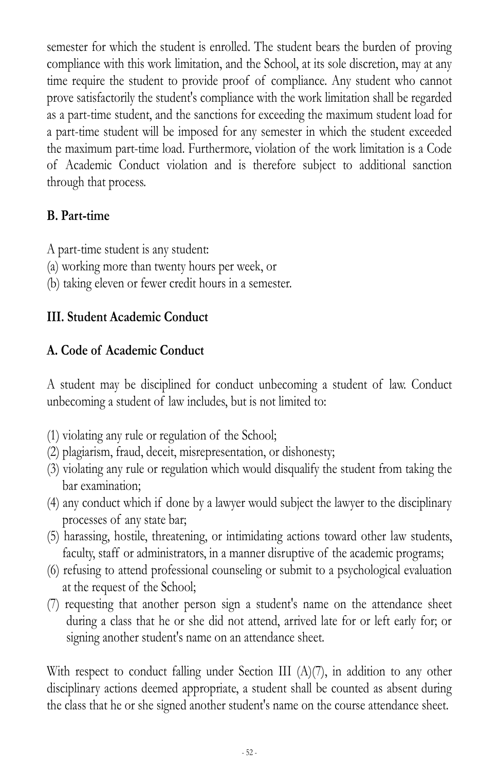semester for which the student is enrolled. The student bears the burden of proving compliance with this work limitation, and the School, at its sole discretion, may at any time require the student to provide proof of compliance. Any student who cannot prove satisfactorily the student's compliance with the work limitation shall be regarded as a part-time student, and the sanctions for exceeding the maximum student load for a part-time student will be imposed for any semester in which the student exceeded the maximum part-time load. Furthermore, violation of the work limitation is a Code of Academic Conduct violation and is therefore subject to additional sanction through that process.

### **B. Part-time**

A part-time student is any student:

- (a) working more than twenty hours per week, or
- (b) taking eleven or fewer credit hours in a semester.

### **III. Student Academic Conduct**

### **A. Code of Academic Conduct**

A student may be disciplined for conduct unbecoming a student of law. Conduct unbecoming a student of law includes, but is not limited to:

- (1) violating any rule or regulation of the School;
- (2) plagiarism, fraud, deceit, misrepresentation, or dishonesty;
- (3) violating any rule or regulation which would disqualify the student from taking the bar examination;
- (4) any conduct which if done by a lawyer would subject the lawyer to the disciplinary processes of any state bar;
- (5) harassing, hostile, threatening, or intimidating actions toward other law students, faculty, staff or administrators, in a manner disruptive of the academic programs;
- (6) refusing to attend professional counseling or submit to a psychological evaluation at the request of the School;
- (7) requesting that another person sign a student's name on the attendance sheet during a class that he or she did not attend, arrived late for or left early for; or signing another student's name on an attendance sheet.

With respect to conduct falling under Section III (A)(7), in addition to any other disciplinary actions deemed appropriate, a student shall be counted as absent during the class that he or she signed another student's name on the course attendance sheet.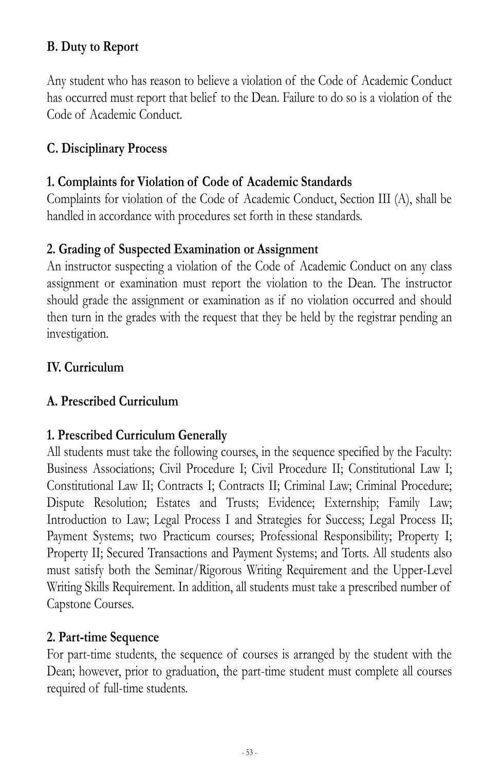# **B. Duty to Report**

Any student who has reason to believe a violation of the Code of Academic Conduct has occurred must report that belief to the Dean. Failure to do so is a violation of the Code of Academic Conduct.

#### **C. Disciplinary Process**

#### **1. Complaints for Violation of Code of Academic Standards**

Complaints for violation of the Code of Academic Conduct, Section III (A), shall be handled in accordance with procedures set forth in these standards.

#### **2. Grading of Suspected Examination or Assignment**

An instructor suspecting a violation of the Code of Academic Conduct on any class assignment or examination must report the violation to the Dean. The instructor should grade the assignment or examination as if no violation occurred and should then turn in the grades with the request that they be held by the registrar pending an investigation.

#### **IV. Curriculum**

#### **A. Prescribed Curriculum**

#### **1. Prescribed Curriculum Generally**

All students must take the following courses, in the sequence specified by the Faculty: Business Associations; Civil Procedure I; Civil Procedure II; Constitutional Law I; Constitutional Law II; Contracts I; Contracts II; Criminal Law; Criminal Procedure; Dispute Resolution; Estates and Trusts; Evidence; Externship; Family Law; Introduction to Law; Legal Process I and Strategies for Success; Legal Process II; Payment Systems; two Practicum courses; Professional Responsibility; Property I; Property II; Secured Transactions and Payment Systems; and Torts. All students also must satisfy both the Seminar/Rigorous Writing Requirement and the Upper-Level Writing Skills Requirement. In addition, all students must take a prescribed number of Capstone Courses.

#### **2. Part-time Sequence**

For part-time students, the sequence of courses is arranged by the student with the Dean; however, prior to graduation, the part-time student must complete all courses required of full-time students.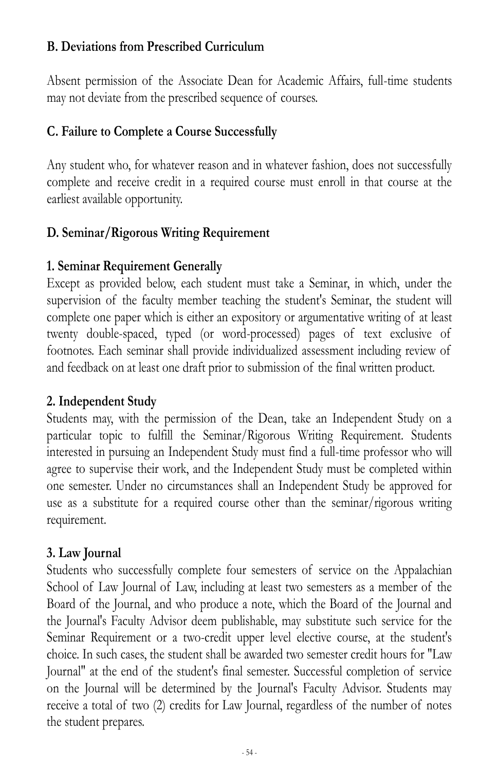#### **B. Deviations from Prescribed Curriculum**

Absent permission of the Associate Dean for Academic Affairs, full-time students may not deviate from the prescribed sequence of courses.

#### **C. Failure to Complete a Course Successfully**

Any student who, for whatever reason and in whatever fashion, does not successfully complete and receive credit in a required course must enroll in that course at the earliest available opportunity.

### **D. Seminar/Rigorous Writing Requirement**

#### **1. Seminar Requirement Generally**

Except as provided below, each student must take a Seminar, in which, under the supervision of the faculty member teaching the student's Seminar, the student will complete one paper which is either an expository or argumentative writing of at least twenty double-spaced, typed (or word-processed) pages of text exclusive of footnotes. Each seminar shall provide individualized assessment including review of and feedback on at least one draft prior to submission of the final written product.

### **2. Independent Study**

Students may, with the permission of the Dean, take an Independent Study on a particular topic to fulfill the Seminar/Rigorous Writing Requirement. Students interested in pursuing an Independent Study must find a full-time professor who will agree to supervise their work, and the Independent Study must be completed within one semester. Under no circumstances shall an Independent Study be approved for use as a substitute for a required course other than the seminar/rigorous writing requirement.

### **3. Law Journal**

Students who successfully complete four semesters of service on the Appalachian School of Law Journal of Law, including at least two semesters as a member of the Board of the Journal, and who produce a note, which the Board of the Journal and the Journal's Faculty Advisor deem publishable, may substitute such service for the Seminar Requirement or a two-credit upper level elective course, at the student's choice. In such cases, the student shall be awarded two semester credit hours for "Law Journal" at the end of the student's final semester. Successful completion of service on the Journal will be determined by the Journal's Faculty Advisor. Students may receive a total of two (2) credits for Law Journal, regardless of the number of notes the student prepares.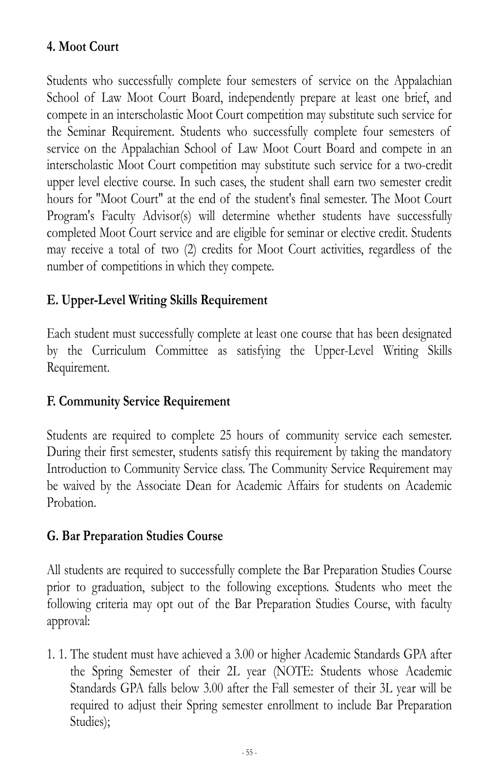# **4. Moot Court**

Students who successfully complete four semesters of service on the Appalachian School of Law Moot Court Board, independently prepare at least one brief, and compete in an interscholastic Moot Court competition may substitute such service for the Seminar Requirement. Students who successfully complete four semesters of service on the Appalachian School of Law Moot Court Board and compete in an interscholastic Moot Court competition may substitute such service for a two-credit upper level elective course. In such cases, the student shall earn two semester credit hours for "Moot Court" at the end of the student's final semester. The Moot Court Program's Faculty Advisor(s) will determine whether students have successfully completed Moot Court service and are eligible for seminar or elective credit. Students may receive a total of two (2) credits for Moot Court activities, regardless of the number of competitions in which they compete.

# **E. Upper-Level Writing Skills Requirement**

Each student must successfully complete at least one course that has been designated by the Curriculum Committee as satisfying the Upper-Level Writing Skills Requirement.

#### **F. Community Service Requirement**

Students are required to complete 25 hours of community service each semester. During their first semester, students satisfy this requirement by taking the mandatory Introduction to Community Service class. The Community Service Requirement may be waived by the Associate Dean for Academic Affairs for students on Academic Probation.

#### **G. Bar Preparation Studies Course**

All students are required to successfully complete the Bar Preparation Studies Course prior to graduation, subject to the following exceptions. Students who meet the following criteria may opt out of the Bar Preparation Studies Course, with faculty approval:

1. 1. The student must have achieved a 3.00 or higher Academic Standards GPA after the Spring Semester of their 2L year (NOTE: Students whose Academic Standards GPA falls below 3.00 after the Fall semester of their 3L year will be required to adjust their Spring semester enrollment to include Bar Preparation Studies);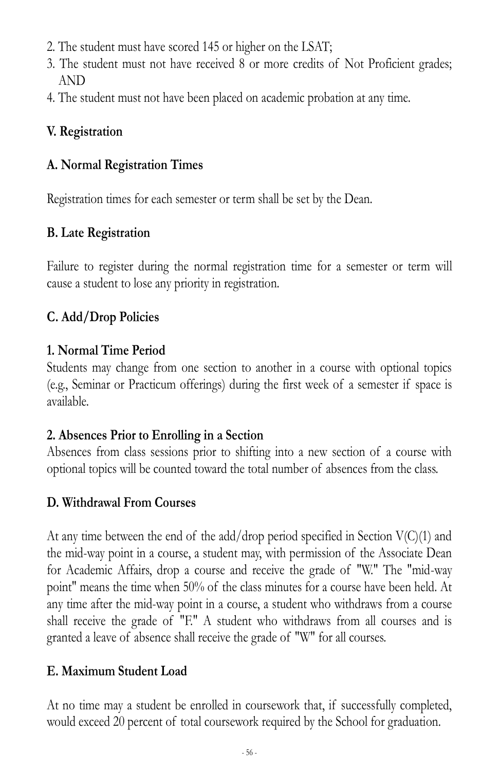- 2. The student must have scored 145 or higher on the LSAT;
- 3. The student must not have received 8 or more credits of Not Proficient grades; AND
- 4. The student must not have been placed on academic probation at any time.

# **V. Registration**

#### **A. Normal Registration Times**

Registration times for each semester or term shall be set by the Dean.

# **B. Late Registration**

Failure to register during the normal registration time for a semester or term will cause a student to lose any priority in registration.

# **C. Add/Drop Policies**

### **1. Normal Time Period**

Students may change from one section to another in a course with optional topics (e.g., Seminar or Practicum offerings) during the first week of a semester if space is available.

### **2. Absences Prior to Enrolling in a Section**

Absences from class sessions prior to shifting into a new section of a course with optional topics will be counted toward the total number of absences from the class.

### **D. Withdrawal From Courses**

At any time between the end of the add/drop period specified in Section  $V(C)(1)$  and the mid-way point in a course, a student may, with permission of the Associate Dean for Academic Affairs, drop a course and receive the grade of "W." The "mid-way point" means the time when 50% of the class minutes for a course have been held. At any time after the mid-way point in a course, a student who withdraws from a course shall receive the grade of "F." A student who withdraws from all courses and is granted a leave of absence shall receive the grade of "W" for all courses.

# **E. Maximum Student Load**

At no time may a student be enrolled in coursework that, if successfully completed, would exceed 20 percent of total coursework required by the School for graduation.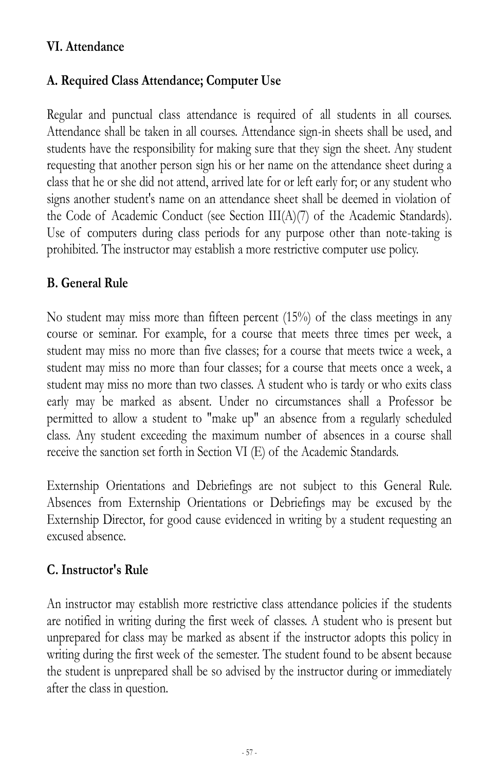#### **VI. Attendance**

### **A. Required Class Attendance; Computer Use**

Regular and punctual class attendance is required of all students in all courses. Attendance shall be taken in all courses. Attendance sign-in sheets shall be used, and students have the responsibility for making sure that they sign the sheet. Any student requesting that another person sign his or her name on the attendance sheet during a class that he or she did not attend, arrived late for or left early for; or any student who signs another student's name on an attendance sheet shall be deemed in violation of the Code of Academic Conduct (see Section III(A)(7) of the Academic Standards). Use of computers during class periods for any purpose other than note-taking is prohibited. The instructor may establish a more restrictive computer use policy.

#### **B. General Rule**

No student may miss more than fifteen percent (15%) of the class meetings in any course or seminar. For example, for a course that meets three times per week, a student may miss no more than five classes; for a course that meets twice a week, a student may miss no more than four classes; for a course that meets once a week, a student may miss no more than two classes. A student who is tardy or who exits class early may be marked as absent. Under no circumstances shall a Professor be permitted to allow a student to "make up" an absence from a regularly scheduled class. Any student exceeding the maximum number of absences in a course shall receive the sanction set forth in Section VI (E) of the Academic Standards.

Externship Orientations and Debriefings are not subject to this General Rule. Absences from Externship Orientations or Debriefings may be excused by the Externship Director, for good cause evidenced in writing by a student requesting an excused absence.

### **C. Instructor's Rule**

An instructor may establish more restrictive class attendance policies if the students are notified in writing during the first week of classes. A student who is present but unprepared for class may be marked as absent if the instructor adopts this policy in writing during the first week of the semester. The student found to be absent because the student is unprepared shall be so advised by the instructor during or immediately after the class in question.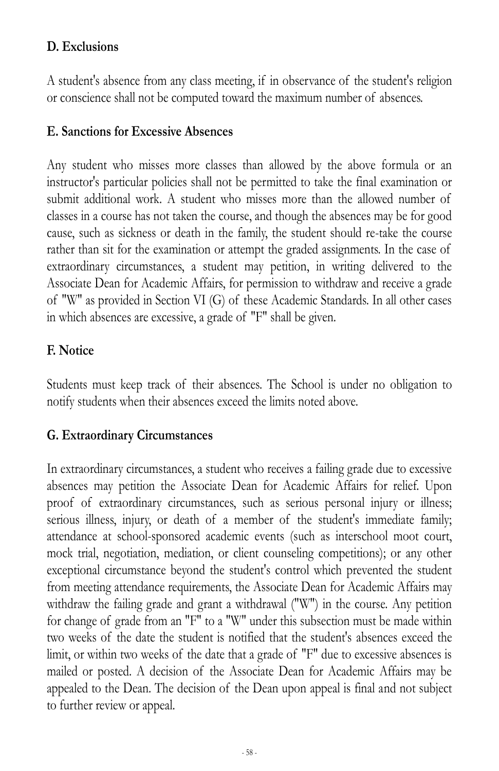### **D. Exclusions**

A student's absence from any class meeting, if in observance of the student's religion or conscience shall not be computed toward the maximum number of absences.

#### **E. Sanctions for Excessive Absences**

Any student who misses more classes than allowed by the above formula or an instructor's particular policies shall not be permitted to take the final examination or submit additional work. A student who misses more than the allowed number of classes in a course has not taken the course, and though the absences may be for good cause, such as sickness or death in the family, the student should re-take the course rather than sit for the examination or attempt the graded assignments. In the case of extraordinary circumstances, a student may petition, in writing delivered to the Associate Dean for Academic Affairs, for permission to withdraw and receive a grade of "W" as provided in Section VI (G) of these Academic Standards. In all other cases in which absences are excessive, a grade of "F" shall be given.

#### **F. Notice**

Students must keep track of their absences. The School is under no obligation to notify students when their absences exceed the limits noted above.

#### **G. Extraordinary Circumstances**

In extraordinary circumstances, a student who receives a failing grade due to excessive absences may petition the Associate Dean for Academic Affairs for relief. Upon proof of extraordinary circumstances, such as serious personal injury or illness; serious illness, injury, or death of a member of the student's immediate family; attendance at school-sponsored academic events (such as interschool moot court, mock trial, negotiation, mediation, or client counseling competitions); or any other exceptional circumstance beyond the student's control which prevented the student from meeting attendance requirements, the Associate Dean for Academic Affairs may withdraw the failing grade and grant a withdrawal ("W") in the course. Any petition for change of grade from an "F" to a "W" under this subsection must be made within two weeks of the date the student is notified that the student's absences exceed the limit, or within two weeks of the date that a grade of "F" due to excessive absences is mailed or posted. A decision of the Associate Dean for Academic Affairs may be appealed to the Dean. The decision of the Dean upon appeal is final and not subject to further review or appeal.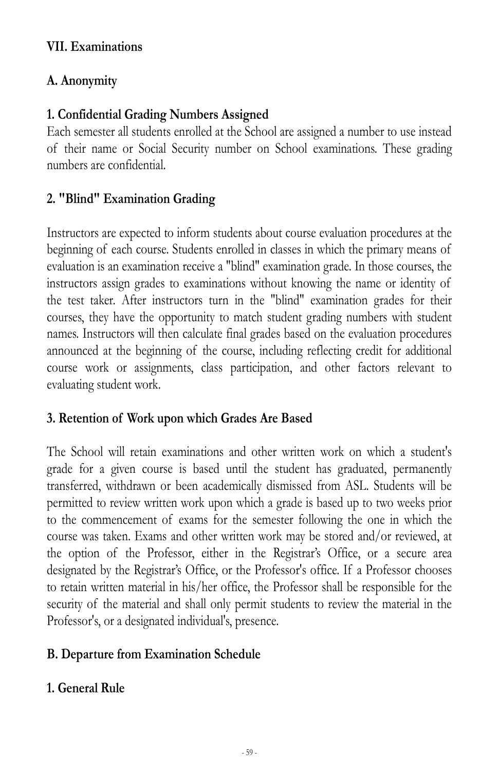#### **VII. Examinations**

# **A. Anonymity**

# **1. Confidential Grading Numbers Assigned**

Each semester all students enrolled at the School are assigned a number to use instead of their name or Social Security number on School examinations. These grading numbers are confidential.

# **2. "Blind" Examination Grading**

Instructors are expected to inform students about course evaluation procedures at the beginning of each course. Students enrolled in classes in which the primary means of evaluation is an examination receive a "blind" examination grade. In those courses, the instructors assign grades to examinations without knowing the name or identity of the test taker. After instructors turn in the "blind" examination grades for their courses, they have the opportunity to match student grading numbers with student names. Instructors will then calculate final grades based on the evaluation procedures announced at the beginning of the course, including reflecting credit for additional course work or assignments, class participation, and other factors relevant to evaluating student work.

### **3. Retention of Work upon which Grades Are Based**

The School will retain examinations and other written work on which a student's grade for a given course is based until the student has graduated, permanently transferred, withdrawn or been academically dismissed from ASL. Students will be permitted to review written work upon which a grade is based up to two weeks prior to the commencement of exams for the semester following the one in which the course was taken. Exams and other written work may be stored and/or reviewed, at the option of the Professor, either in the Registrar's Office, or a secure area designated by the Registrar's Office, or the Professor's office. If a Professor chooses to retain written material in his/her office, the Professor shall be responsible for the security of the material and shall only permit students to review the material in the Professor's, or a designated individual's, presence.

### **B. Departure from Examination Schedule**

### **1. General Rule**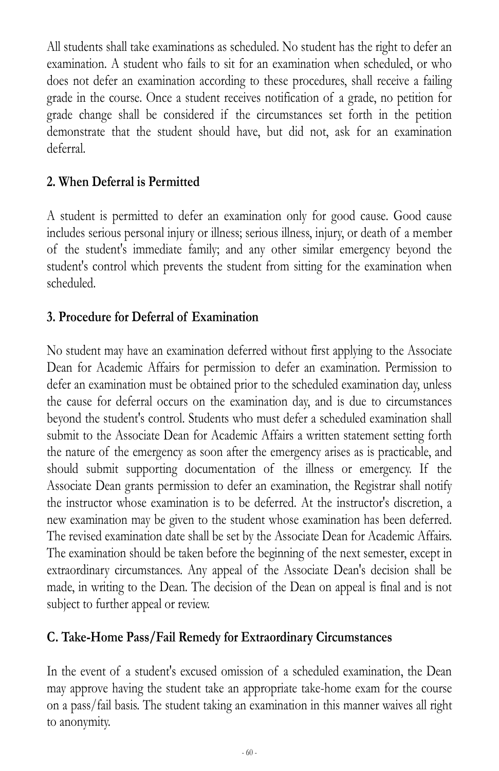All students shall take examinations as scheduled. No student has the right to defer an examination. A student who fails to sit for an examination when scheduled, or who does not defer an examination according to these procedures, shall receive a failing grade in the course. Once a student receives notification of a grade, no petition for grade change shall be considered if the circumstances set forth in the petition demonstrate that the student should have, but did not, ask for an examination deferral.

## **2. When Deferral is Permitted**

A student is permitted to defer an examination only for good cause. Good cause includes serious personal injury or illness; serious illness, injury, or death of a member of the student's immediate family; and any other similar emergency beyond the student's control which prevents the student from sitting for the examination when scheduled.

### **3. Procedure for Deferral of Examination**

No student may have an examination deferred without first applying to the Associate Dean for Academic Affairs for permission to defer an examination. Permission to defer an examination must be obtained prior to the scheduled examination day, unless the cause for deferral occurs on the examination day, and is due to circumstances beyond the student's control. Students who must defer a scheduled examination shall submit to the Associate Dean for Academic Affairs a written statement setting forth the nature of the emergency as soon after the emergency arises as is practicable, and should submit supporting documentation of the illness or emergency. If the Associate Dean grants permission to defer an examination, the Registrar shall notify the instructor whose examination is to be deferred. At the instructor's discretion, a new examination may be given to the student whose examination has been deferred. The revised examination date shall be set by the Associate Dean for Academic Affairs. The examination should be taken before the beginning of the next semester, except in extraordinary circumstances. Any appeal of the Associate Dean's decision shall be made, in writing to the Dean. The decision of the Dean on appeal is final and is not subject to further appeal or review.

#### **C. Take-Home Pass/Fail Remedy for Extraordinary Circumstances**

In the event of a student's excused omission of a scheduled examination, the Dean may approve having the student take an appropriate take-home exam for the course on a pass/fail basis. The student taking an examination in this manner waives all right to anonymity.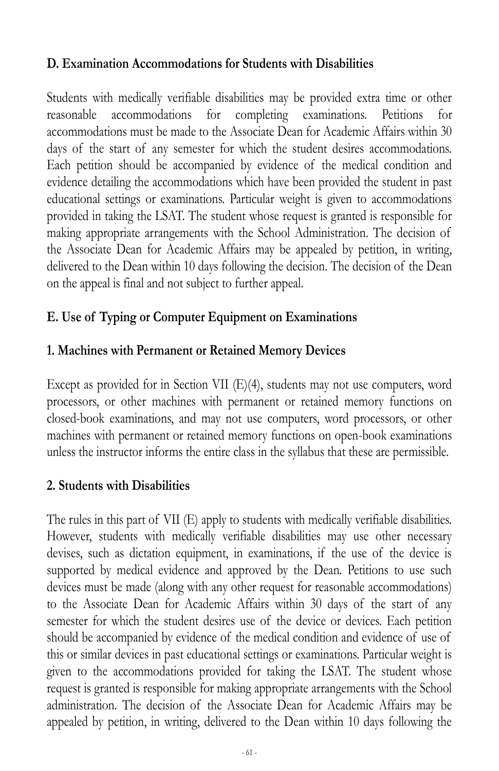#### **D. Examination Accommodations for Students with Disabilities**

Students with medically verifiable disabilities may be provided extra time or other reasonable accommodations for completing examinations. Petitions for accommodations must be made to the Associate Dean for Academic Affairs within 30 days of the start of any semester for which the student desires accommodations. Each petition should be accompanied by evidence of the medical condition and evidence detailing the accommodations which have been provided the student in past educational settings or examinations. Particular weight is given to accommodations provided in taking the LSAT. The student whose request is granted is responsible for making appropriate arrangements with the School Administration. The decision of the Associate Dean for Academic Affairs may be appealed by petition, in writing, delivered to the Dean within 10 days following the decision. The decision of the Dean on the appeal is final and not subject to further appeal.

# **E. Use of Typing or Computer Equipment on Examinations**

### **1. Machines with Permanent or Retained Memory Devices**

Except as provided for in Section VII (E)(4), students may not use computers, word processors, or other machines with permanent or retained memory functions on closed-book examinations, and may not use computers, word processors, or other machines with permanent or retained memory functions on open-book examinations unless the instructor informs the entire class in the syllabus that these are permissible.

### **2. Students with Disabilities**

The rules in this part of VII (E) apply to students with medically verifiable disabilities. However, students with medically verifiable disabilities may use other necessary devises, such as dictation equipment, in examinations, if the use of the device is supported by medical evidence and approved by the Dean. Petitions to use such devices must be made (along with any other request for reasonable accommodations) to the Associate Dean for Academic Affairs within 30 days of the start of any semester for which the student desires use of the device or devices. Each petition should be accompanied by evidence of the medical condition and evidence of use of this or similar devices in past educational settings or examinations. Particular weight is given to the accommodations provided for taking the LSAT. The student whose request is granted is responsible for making appropriate arrangements with the School administration. The decision of the Associate Dean for Academic Affairs may be appealed by petition, in writing, delivered to the Dean within 10 days following the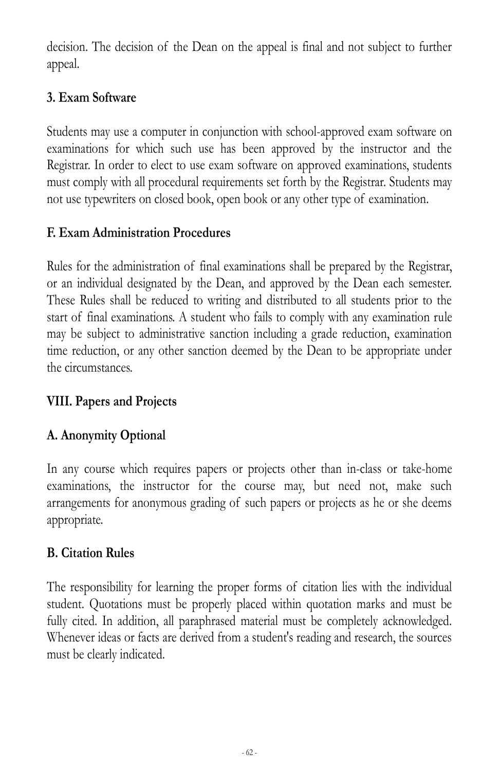decision. The decision of the Dean on the appeal is final and not subject to further appeal.

# **3. Exam Software**

Students may use a computer in conjunction with school-approved exam software on examinations for which such use has been approved by the instructor and the Registrar. In order to elect to use exam software on approved examinations, students must comply with all procedural requirements set forth by the Registrar. Students may not use typewriters on closed book, open book or any other type of examination.

# **F. Exam Administration Procedures**

Rules for the administration of final examinations shall be prepared by the Registrar, or an individual designated by the Dean, and approved by the Dean each semester. These Rules shall be reduced to writing and distributed to all students prior to the start of final examinations. A student who fails to comply with any examination rule may be subject to administrative sanction including a grade reduction, examination time reduction, or any other sanction deemed by the Dean to be appropriate under the circumstances.

### **VIII. Papers and Projects**

# **A. Anonymity Optional**

In any course which requires papers or projects other than in-class or take-home examinations, the instructor for the course may, but need not, make such arrangements for anonymous grading of such papers or projects as he or she deems appropriate.

### **B. Citation Rules**

The responsibility for learning the proper forms of citation lies with the individual student. Quotations must be properly placed within quotation marks and must be fully cited. In addition, all paraphrased material must be completely acknowledged. Whenever ideas or facts are derived from a student's reading and research, the sources must be clearly indicated.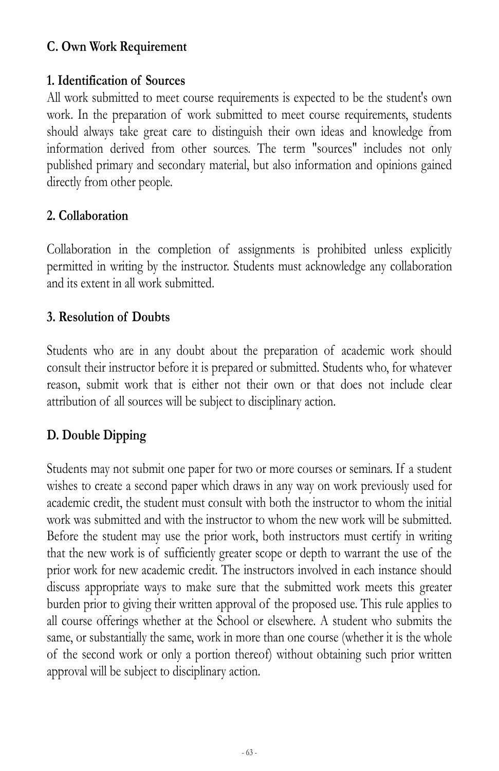### **C. Own Work Requirement**

#### **1. Identification of Sources**

All work submitted to meet course requirements is expected to be the student's own work. In the preparation of work submitted to meet course requirements, students should always take great care to distinguish their own ideas and knowledge from information derived from other sources. The term "sources" includes not only published primary and secondary material, but also information and opinions gained directly from other people.

#### **2. Collaboration**

Collaboration in the completion of assignments is prohibited unless explicitly permitted in writing by the instructor. Students must acknowledge any collaboration and its extent in all work submitted.

#### **3. Resolution of Doubts**

Students who are in any doubt about the preparation of academic work should consult their instructor before it is prepared or submitted. Students who, for whatever reason, submit work that is either not their own or that does not include clear attribution of all sources will be subject to disciplinary action.

# **D. Double Dipping**

Students may not submit one paper for two or more courses or seminars. If a student wishes to create a second paper which draws in any way on work previously used for academic credit, the student must consult with both the instructor to whom the initial work was submitted and with the instructor to whom the new work will be submitted. Before the student may use the prior work, both instructors must certify in writing that the new work is of sufficiently greater scope or depth to warrant the use of the prior work for new academic credit. The instructors involved in each instance should discuss appropriate ways to make sure that the submitted work meets this greater burden prior to giving their written approval of the proposed use. This rule applies to all course offerings whether at the School or elsewhere. A student who submits the same, or substantially the same, work in more than one course (whether it is the whole of the second work or only a portion thereof) without obtaining such prior written approval will be subject to disciplinary action.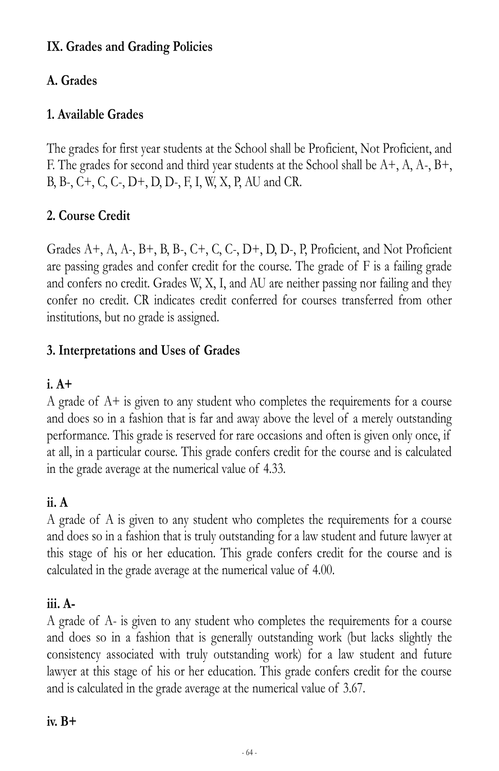# **IX. Grades and Grading Policies**

# **A. Grades**

## **1. Available Grades**

The grades for first year students at the School shall be Proficient, Not Proficient, and F. The grades for second and third year students at the School shall be A+, A, A-, B+, B, B-, C+, C, C-, D+, D, D-, F, I, W, X, P, AU and CR.

# **2. Course Credit**

Grades A+, A, A-, B+, B, B-, C+, C, C-, D+, D, D-, P, Proficient, and Not Proficient are passing grades and confer credit for the course. The grade of F is a failing grade and confers no credit. Grades W, X, I, and AU are neither passing nor failing and they confer no credit. CR indicates credit conferred for courses transferred from other institutions, but no grade is assigned.

### **3. Interpretations and Uses of Grades**

### **i. A+**

A grade of A+ is given to any student who completes the requirements for a course and does so in a fashion that is far and away above the level of a merely outstanding performance. This grade is reserved for rare occasions and often is given only once, if at all, in a particular course. This grade confers credit for the course and is calculated in the grade average at the numerical value of 4.33.

### **ii. A**

A grade of A is given to any student who completes the requirements for a course and does so in a fashion that is truly outstanding for a law student and future lawyer at this stage of his or her education. This grade confers credit for the course and is calculated in the grade average at the numerical value of 4.00.

### **iii. A-**

A grade of A- is given to any student who completes the requirements for a course and does so in a fashion that is generally outstanding work (but lacks slightly the consistency associated with truly outstanding work) for a law student and future lawyer at this stage of his or her education. This grade confers credit for the course and is calculated in the grade average at the numerical value of 3.67.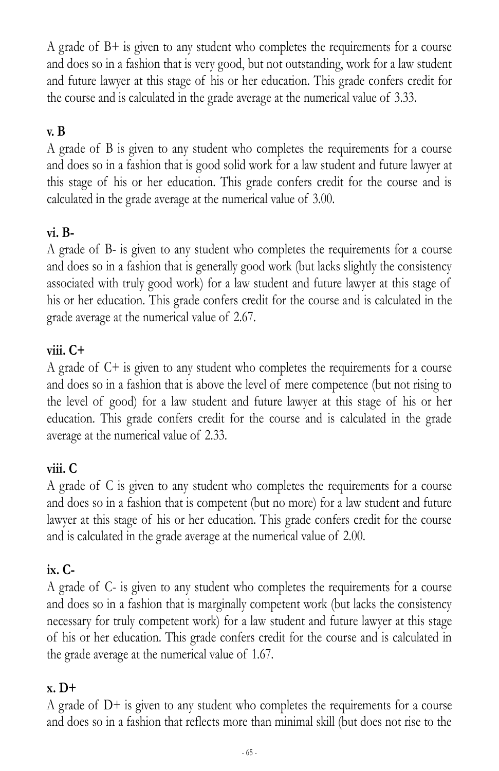A grade of  $B<sup>+</sup>$  is given to any student who completes the requirements for a course and does so in a fashion that is very good, but not outstanding, work for a law student and future lawyer at this stage of his or her education. This grade confers credit for the course and is calculated in the grade average at the numerical value of 3.33.

# **v. B**

A grade of B is given to any student who completes the requirements for a course and does so in a fashion that is good solid work for a law student and future lawyer at this stage of his or her education. This grade confers credit for the course and is calculated in the grade average at the numerical value of 3.00.

### **vi. B-**

A grade of B- is given to any student who completes the requirements for a course and does so in a fashion that is generally good work (but lacks slightly the consistency associated with truly good work) for a law student and future lawyer at this stage of his or her education. This grade confers credit for the course and is calculated in the grade average at the numerical value of 2.67.

### **viii. C+**

A grade of C+ is given to any student who completes the requirements for a course and does so in a fashion that is above the level of mere competence (but not rising to the level of good) for a law student and future lawyer at this stage of his or her education. This grade confers credit for the course and is calculated in the grade average at the numerical value of 2.33.

### **viii. C**

A grade of C is given to any student who completes the requirements for a course and does so in a fashion that is competent (but no more) for a law student and future lawyer at this stage of his or her education. This grade confers credit for the course and is calculated in the grade average at the numerical value of 2.00.

### **ix. C-**

A grade of C- is given to any student who completes the requirements for a course and does so in a fashion that is marginally competent work (but lacks the consistency necessary for truly competent work) for a law student and future lawyer at this stage of his or her education. This grade confers credit for the course and is calculated in the grade average at the numerical value of 1.67.

#### **x. D+**

A grade of D+ is given to any student who completes the requirements for a course and does so in a fashion that reflects more than minimal skill (but does not rise to the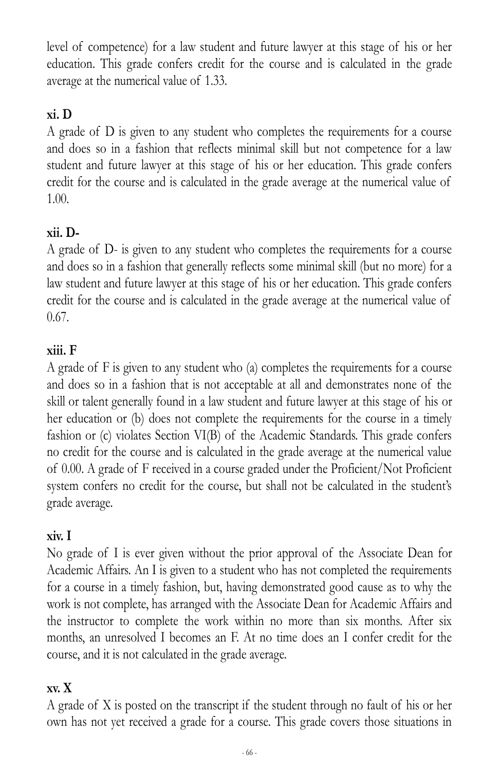level of competence) for a law student and future lawyer at this stage of his or her education. This grade confers credit for the course and is calculated in the grade average at the numerical value of 1.33.

# **xi. D**

A grade of D is given to any student who completes the requirements for a course and does so in a fashion that reflects minimal skill but not competence for a law student and future lawyer at this stage of his or her education. This grade confers credit for the course and is calculated in the grade average at the numerical value of 1.00.

# **xii. D-**

A grade of D- is given to any student who completes the requirements for a course and does so in a fashion that generally reflects some minimal skill (but no more) for a law student and future lawyer at this stage of his or her education. This grade confers credit for the course and is calculated in the grade average at the numerical value of 0.67.

### **xiii. F**

A grade of F is given to any student who (a) completes the requirements for a course and does so in a fashion that is not acceptable at all and demonstrates none of the skill or talent generally found in a law student and future lawyer at this stage of his or her education or (b) does not complete the requirements for the course in a timely fashion or (c) violates Section VI(B) of the Academic Standards. This grade confers no credit for the course and is calculated in the grade average at the numerical value of 0.00. A grade of F received in a course graded under the Proficient/Not Proficient system confers no credit for the course, but shall not be calculated in the student's grade average.

### **xiv. I**

No grade of I is ever given without the prior approval of the Associate Dean for Academic Affairs. An I is given to a student who has not completed the requirements for a course in a timely fashion, but, having demonstrated good cause as to why the work is not complete, has arranged with the Associate Dean for Academic Affairs and the instructor to complete the work within no more than six months. After six months, an unresolved I becomes an F. At no time does an I confer credit for the course, and it is not calculated in the grade average.

### **xv. X**

A grade of X is posted on the transcript if the student through no fault of his or her own has not yet received a grade for a course. This grade covers those situations in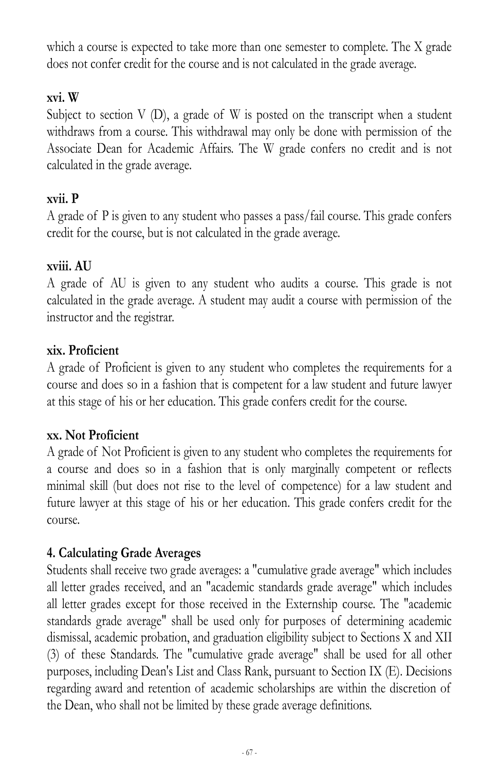which a course is expected to take more than one semester to complete. The X grade does not confer credit for the course and is not calculated in the grade average.

### **xvi. W**

Subject to section  $V(D)$ , a grade of W is posted on the transcript when a student withdraws from a course. This withdrawal may only be done with permission of the Associate Dean for Academic Affairs. The W grade confers no credit and is not calculated in the grade average.

#### **xvii. P**

A grade of P is given to any student who passes a pass/fail course. This grade confers credit for the course, but is not calculated in the grade average.

#### **xviii. AU**

A grade of AU is given to any student who audits a course. This grade is not calculated in the grade average. A student may audit a course with permission of the instructor and the registrar.

#### **xix. Proficient**

A grade of Proficient is given to any student who completes the requirements for a course and does so in a fashion that is competent for a law student and future lawyer at this stage of his or her education. This grade confers credit for the course.

#### **xx. Not Proficient**

A grade of Not Proficient is given to any student who completes the requirements for a course and does so in a fashion that is only marginally competent or reflects minimal skill (but does not rise to the level of competence) for a law student and future lawyer at this stage of his or her education. This grade confers credit for the course.

### **4. Calculating Grade Averages**

Students shall receive two grade averages: a "cumulative grade average" which includes all letter grades received, and an "academic standards grade average" which includes all letter grades except for those received in the Externship course. The "academic standards grade average" shall be used only for purposes of determining academic dismissal, academic probation, and graduation eligibility subject to Sections X and XII (3) of these Standards. The "cumulative grade average" shall be used for all other purposes, including Dean's List and Class Rank, pursuant to Section IX (E). Decisions regarding award and retention of academic scholarships are within the discretion of the Dean, who shall not be limited by these grade average definitions.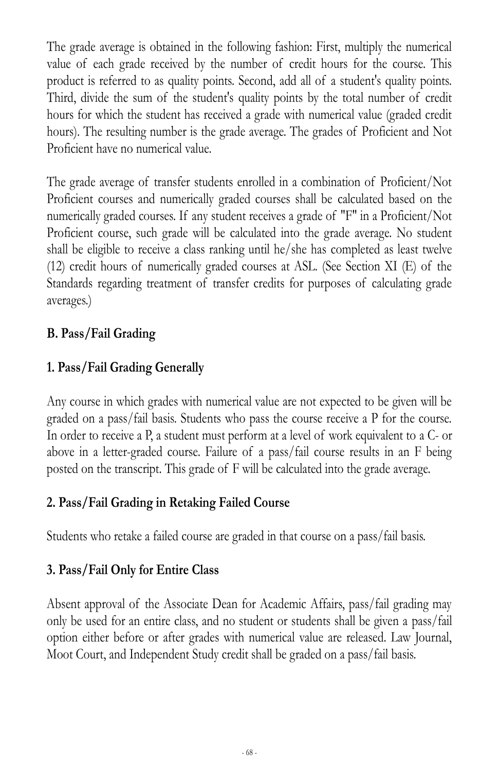The grade average is obtained in the following fashion: First, multiply the numerical value of each grade received by the number of credit hours for the course. This product is referred to as quality points. Second, add all of a student's quality points. Third, divide the sum of the student's quality points by the total number of credit hours for which the student has received a grade with numerical value (graded credit hours). The resulting number is the grade average. The grades of Proficient and Not Proficient have no numerical value.

The grade average of transfer students enrolled in a combination of Proficient/Not Proficient courses and numerically graded courses shall be calculated based on the numerically graded courses. If any student receives a grade of "F" in a Proficient/Not Proficient course, such grade will be calculated into the grade average. No student shall be eligible to receive a class ranking until he/she has completed as least twelve (12) credit hours of numerically graded courses at ASL. (See Section XI (E) of the Standards regarding treatment of transfer credits for purposes of calculating grade averages.)

# **B. Pass/Fail Grading**

# **1. Pass/Fail Grading Generally**

Any course in which grades with numerical value are not expected to be given will be graded on a pass/fail basis. Students who pass the course receive a P for the course. In order to receive a P, a student must perform at a level of work equivalent to a C- or above in a letter-graded course. Failure of a pass/fail course results in an F being posted on the transcript. This grade of F will be calculated into the grade average.

### **2. Pass/Fail Grading in Retaking Failed Course**

Students who retake a failed course are graded in that course on a pass/fail basis.

# **3. Pass/Fail Only for Entire Class**

Absent approval of the Associate Dean for Academic Affairs, pass/fail grading may only be used for an entire class, and no student or students shall be given a pass/fail option either before or after grades with numerical value are released. Law Journal, Moot Court, and Independent Study credit shall be graded on a pass/fail basis.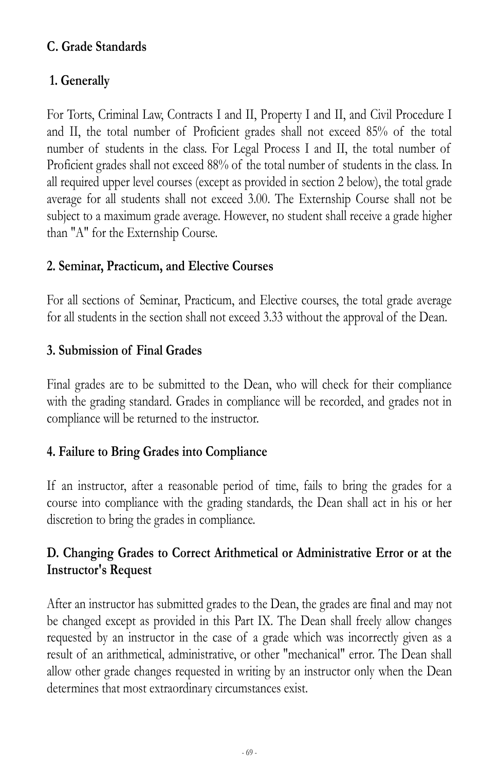### **C. Grade Standards**

# **1. Generally**

For Torts, Criminal Law, Contracts I and II, Property I and II, and Civil Procedure I and II, the total number of Proficient grades shall not exceed 85% of the total number of students in the class. For Legal Process I and II, the total number of Proficient grades shall not exceed 88% of the total number of students in the class. In all required upper level courses (except as provided in section 2 below), the total grade average for all students shall not exceed 3.00. The Externship Course shall not be subject to a maximum grade average. However, no student shall receive a grade higher than "A" for the Externship Course.

### **2. Seminar, Practicum, and Elective Courses**

For all sections of Seminar, Practicum, and Elective courses, the total grade average for all students in the section shall not exceed 3.33 without the approval of the Dean.

### **3. Submission of Final Grades**

Final grades are to be submitted to the Dean, who will check for their compliance with the grading standard. Grades in compliance will be recorded, and grades not in compliance will be returned to the instructor.

### **4. Failure to Bring Grades into Compliance**

If an instructor, after a reasonable period of time, fails to bring the grades for a course into compliance with the grading standards, the Dean shall act in his or her discretion to bring the grades in compliance.

### **D. Changing Grades to Correct Arithmetical or Administrative Error or at the Instructor's Request**

After an instructor has submitted grades to the Dean, the grades are final and may not be changed except as provided in this Part IX. The Dean shall freely allow changes requested by an instructor in the case of a grade which was incorrectly given as a result of an arithmetical, administrative, or other "mechanical" error. The Dean shall allow other grade changes requested in writing by an instructor only when the Dean determines that most extraordinary circumstances exist.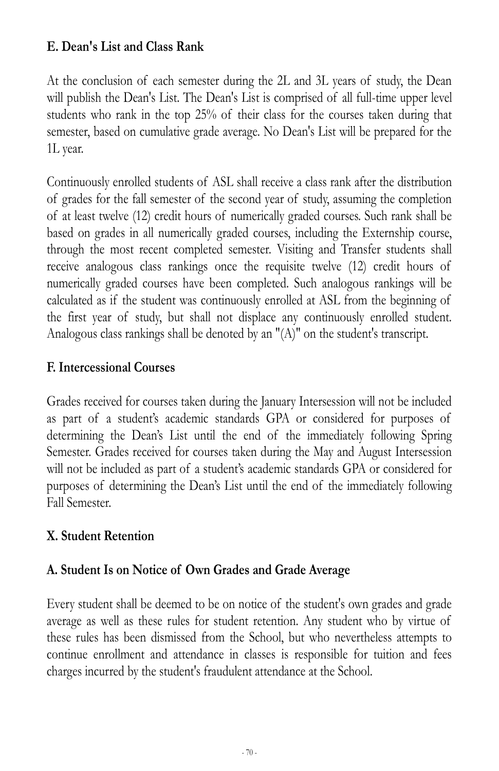### **E. Dean's List and Class Rank**

At the conclusion of each semester during the 2L and 3L years of study, the Dean will publish the Dean's List. The Dean's List is comprised of all full-time upper level students who rank in the top 25% of their class for the courses taken during that semester, based on cumulative grade average. No Dean's List will be prepared for the 1L year.

Continuously enrolled students of ASL shall receive a class rank after the distribution of grades for the fall semester of the second year of study, assuming the completion of at least twelve (12) credit hours of numerically graded courses. Such rank shall be based on grades in all numerically graded courses, including the Externship course, through the most recent completed semester. Visiting and Transfer students shall receive analogous class rankings once the requisite twelve (12) credit hours of numerically graded courses have been completed. Such analogous rankings will be calculated as if the student was continuously enrolled at ASL from the beginning of the first year of study, but shall not displace any continuously enrolled student. Analogous class rankings shall be denoted by an "(A)" on the student's transcript.

#### **F. Intercessional Courses**

Grades received for courses taken during the January Intersession will not be included as part of a student's academic standards GPA or considered for purposes of determining the Dean's List until the end of the immediately following Spring Semester. Grades received for courses taken during the May and August Intersession will not be included as part of a student's academic standards GPA or considered for purposes of determining the Dean's List until the end of the immediately following Fall Semester.

#### **X. Student Retention**

#### **A. Student Is on Notice of Own Grades and Grade Average**

Every student shall be deemed to be on notice of the student's own grades and grade average as well as these rules for student retention. Any student who by virtue of these rules has been dismissed from the School, but who nevertheless attempts to continue enrollment and attendance in classes is responsible for tuition and fees charges incurred by the student's fraudulent attendance at the School.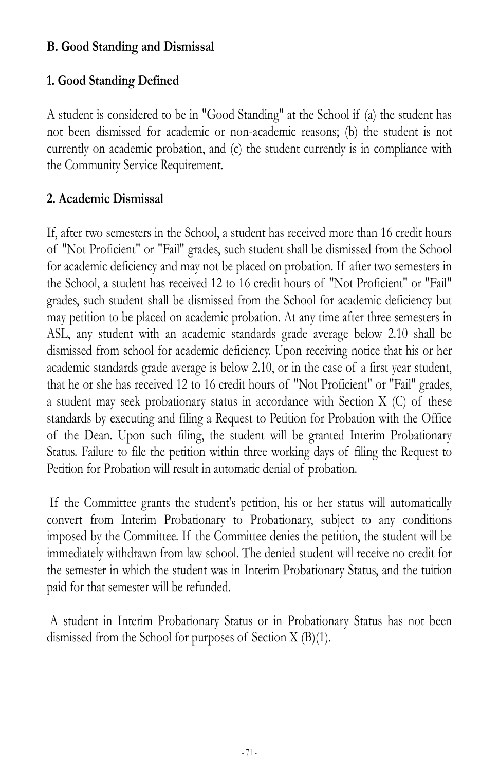#### **B. Good Standing and Dismissal**

# **1. Good Standing Defined**

A student is considered to be in "Good Standing" at the School if (a) the student has not been dismissed for academic or non-academic reasons; (b) the student is not currently on academic probation, and (c) the student currently is in compliance with the Community Service Requirement.

#### **2. Academic Dismissal**

If, after two semesters in the School, a student has received more than 16 credit hours of "Not Proficient" or "Fail" grades, such student shall be dismissed from the School for academic deficiency and may not be placed on probation. If after two semesters in the School, a student has received 12 to 16 credit hours of "Not Proficient" or "Fail" grades, such student shall be dismissed from the School for academic deficiency but may petition to be placed on academic probation. At any time after three semesters in ASL, any student with an academic standards grade average below 2.10 shall be dismissed from school for academic deficiency. Upon receiving notice that his or her academic standards grade average is below 2.10, or in the case of a first year student, that he or she has received 12 to 16 credit hours of "Not Proficient" or "Fail" grades, a student may seek probationary status in accordance with Section X (C) of these standards by executing and filing a Request to Petition for Probation with the Office of the Dean. Upon such filing, the student will be granted Interim Probationary Status. Failure to file the petition within three working days of filing the Request to Petition for Probation will result in automatic denial of probation.

If the Committee grants the student's petition, his or her status will automatically convert from Interim Probationary to Probationary, subject to any conditions imposed by the Committee. If the Committee denies the petition, the student will be immediately withdrawn from law school. The denied student will receive no credit for the semester in which the student was in Interim Probationary Status, and the tuition paid for that semester will be refunded.

A student in Interim Probationary Status or in Probationary Status has not been dismissed from the School for purposes of Section X (B)(1).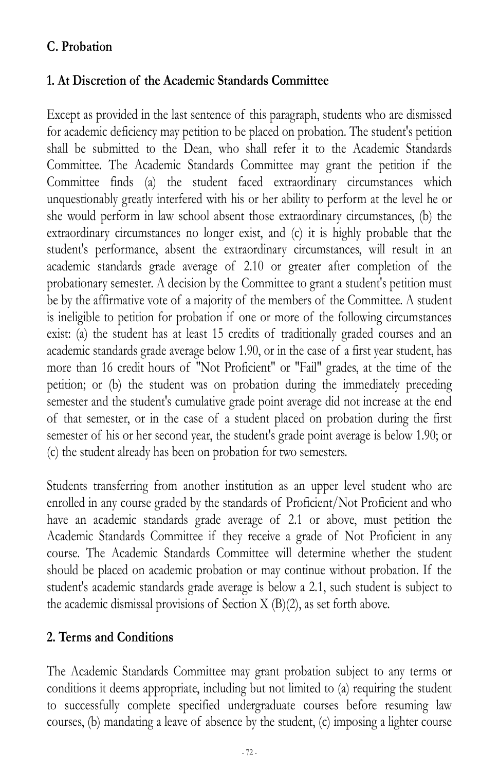## **C. Probation**

### **1. At Discretion of the Academic Standards Committee**

Except as provided in the last sentence of this paragraph, students who are dismissed for academic deficiency may petition to be placed on probation. The student's petition shall be submitted to the Dean, who shall refer it to the Academic Standards Committee. The Academic Standards Committee may grant the petition if the Committee finds (a) the student faced extraordinary circumstances which unquestionably greatly interfered with his or her ability to perform at the level he or she would perform in law school absent those extraordinary circumstances, (b) the extraordinary circumstances no longer exist, and (c) it is highly probable that the student's performance, absent the extraordinary circumstances, will result in an academic standards grade average of 2.10 or greater after completion of the probationary semester. A decision by the Committee to grant a student's petition must be by the affirmative vote of a majority of the members of the Committee. A student is ineligible to petition for probation if one or more of the following circumstances exist: (a) the student has at least 15 credits of traditionally graded courses and an academic standards grade average below 1.90, or in the case of a first year student, has more than 16 credit hours of "Not Proficient" or "Fail" grades, at the time of the petition; or (b) the student was on probation during the immediately preceding semester and the student's cumulative grade point average did not increase at the end of that semester, or in the case of a student placed on probation during the first semester of his or her second year, the student's grade point average is below 1.90; or (c) the student already has been on probation for two semesters.

Students transferring from another institution as an upper level student who are enrolled in any course graded by the standards of Proficient/Not Proficient and who have an academic standards grade average of 2.1 or above, must petition the Academic Standards Committee if they receive a grade of Not Proficient in any course. The Academic Standards Committee will determine whether the student should be placed on academic probation or may continue without probation. If the student's academic standards grade average is below a 2.1, such student is subject to the academic dismissal provisions of Section X (B)(2), as set forth above.

#### **2. Terms and Conditions**

The Academic Standards Committee may grant probation subject to any terms or conditions it deems appropriate, including but not limited to (a) requiring the student to successfully complete specified undergraduate courses before resuming law courses, (b) mandating a leave of absence by the student, (c) imposing a lighter course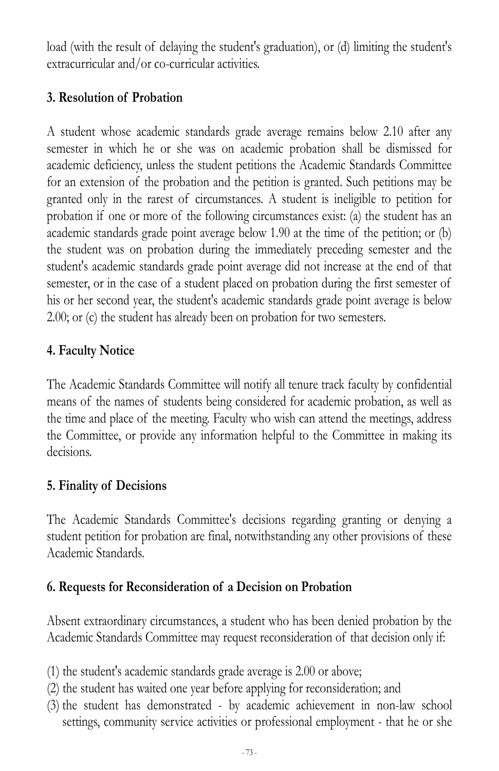load (with the result of delaying the student's graduation), or (d) limiting the student's extracurricular and/or co-curricular activities.

## **3. Resolution of Probation**

A student whose academic standards grade average remains below 2.10 after any semester in which he or she was on academic probation shall be dismissed for academic deficiency, unless the student petitions the Academic Standards Committee for an extension of the probation and the petition is granted. Such petitions may be granted only in the rarest of circumstances. A student is ineligible to petition for probation if one or more of the following circumstances exist: (a) the student has an academic standards grade point average below 1.90 at the time of the petition; or (b) the student was on probation during the immediately preceding semester and the student's academic standards grade point average did not increase at the end of that semester, or in the case of a student placed on probation during the first semester of his or her second year, the student's academic standards grade point average is below 2.00; or (c) the student has already been on probation for two semesters.

## **4. Faculty Notice**

The Academic Standards Committee will notify all tenure track faculty by confidential means of the names of students being considered for academic probation, as well as the time and place of the meeting. Faculty who wish can attend the meetings, address the Committee, or provide any information helpful to the Committee in making its decisions.

## **5. Finality of Decisions**

The Academic Standards Committee's decisions regarding granting or denying a student petition for probation are final, notwithstanding any other provisions of these Academic Standards.

## **6. Requests for Reconsideration of a Decision on Probation**

Absent extraordinary circumstances, a student who has been denied probation by the Academic Standards Committee may request reconsideration of that decision only if:

- (1) the student's academic standards grade average is 2.00 or above;
- (2) the student has waited one year before applying for reconsideration; and
- (3) the student has demonstrated by academic achievement in non-law school settings, community service activities or professional employment - that he or she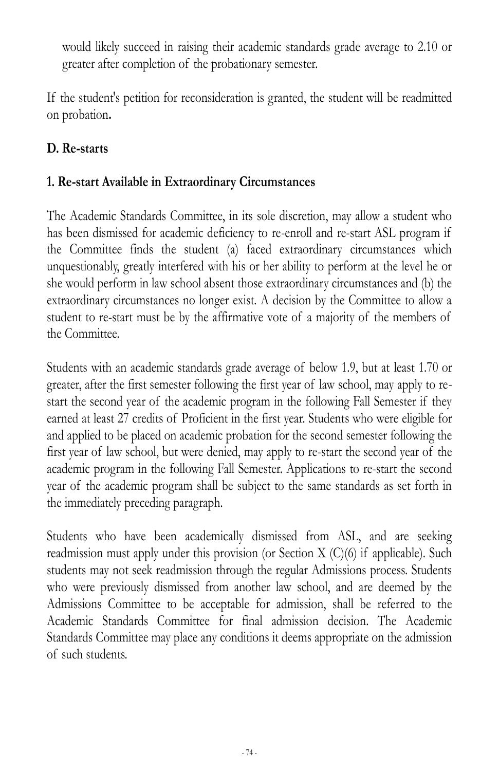would likely succeed in raising their academic standards grade average to 2.10 or greater after completion of the probationary semester.

If the student's petition for reconsideration is granted, the student will be readmitted on probation**.**

## **D. Re-starts**

## **1. Re-start Available in Extraordinary Circumstances**

The Academic Standards Committee, in its sole discretion, may allow a student who has been dismissed for academic deficiency to re-enroll and re-start ASL program if the Committee finds the student (a) faced extraordinary circumstances which unquestionably, greatly interfered with his or her ability to perform at the level he or she would perform in law school absent those extraordinary circumstances and (b) the extraordinary circumstances no longer exist. A decision by the Committee to allow a student to re-start must be by the affirmative vote of a majority of the members of the Committee.

Students with an academic standards grade average of below 1.9, but at least 1.70 or greater, after the first semester following the first year of law school, may apply to restart the second year of the academic program in the following Fall Semester if they earned at least 27 credits of Proficient in the first year. Students who were eligible for and applied to be placed on academic probation for the second semester following the first year of law school, but were denied, may apply to re-start the second year of the academic program in the following Fall Semester. Applications to re-start the second year of the academic program shall be subject to the same standards as set forth in the immediately preceding paragraph.

Students who have been academically dismissed from ASL, and are seeking readmission must apply under this provision (or Section X (C)(6) if applicable). Such students may not seek readmission through the regular Admissions process. Students who were previously dismissed from another law school, and are deemed by the Admissions Committee to be acceptable for admission, shall be referred to the Academic Standards Committee for final admission decision. The Academic Standards Committee may place any conditions it deems appropriate on the admission of such students.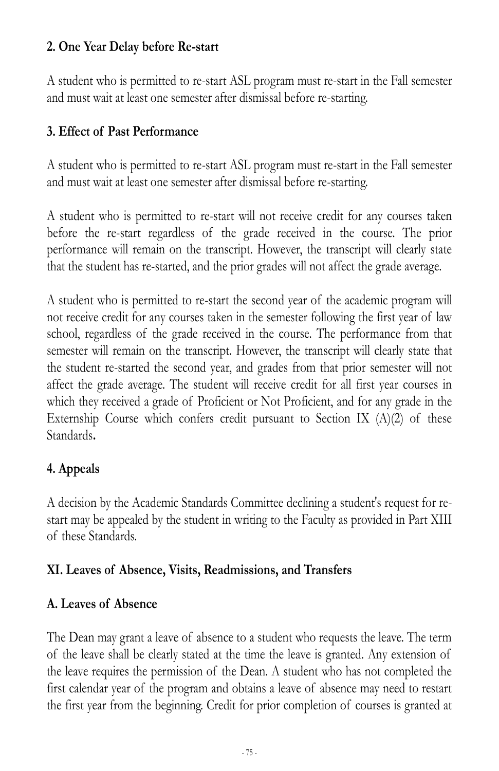## **2. One Year Delay before Re-start**

A student who is permitted to re-start ASL program must re-start in the Fall semester and must wait at least one semester after dismissal before re-starting.

## **3. Effect of Past Performance**

A student who is permitted to re-start ASL program must re-start in the Fall semester and must wait at least one semester after dismissal before re-starting.

A student who is permitted to re-start will not receive credit for any courses taken before the re-start regardless of the grade received in the course. The prior performance will remain on the transcript. However, the transcript will clearly state that the student has re-started, and the prior grades will not affect the grade average.

A student who is permitted to re-start the second year of the academic program will not receive credit for any courses taken in the semester following the first year of law school, regardless of the grade received in the course. The performance from that semester will remain on the transcript. However, the transcript will clearly state that the student re-started the second year, and grades from that prior semester will not affect the grade average. The student will receive credit for all first year courses in which they received a grade of Proficient or Not Proficient, and for any grade in the Externship Course which confers credit pursuant to Section IX  $(A)(2)$  of these Standards**.**

## **4. Appeals**

A decision by the Academic Standards Committee declining a student's request for restart may be appealed by the student in writing to the Faculty as provided in Part XIII of these Standards.

## **XI. Leaves of Absence, Visits, Readmissions, and Transfers**

## **A. Leaves of Absence**

The Dean may grant a leave of absence to a student who requests the leave. The term of the leave shall be clearly stated at the time the leave is granted. Any extension of the leave requires the permission of the Dean. A student who has not completed the first calendar year of the program and obtains a leave of absence may need to restart the first year from the beginning. Credit for prior completion of courses is granted at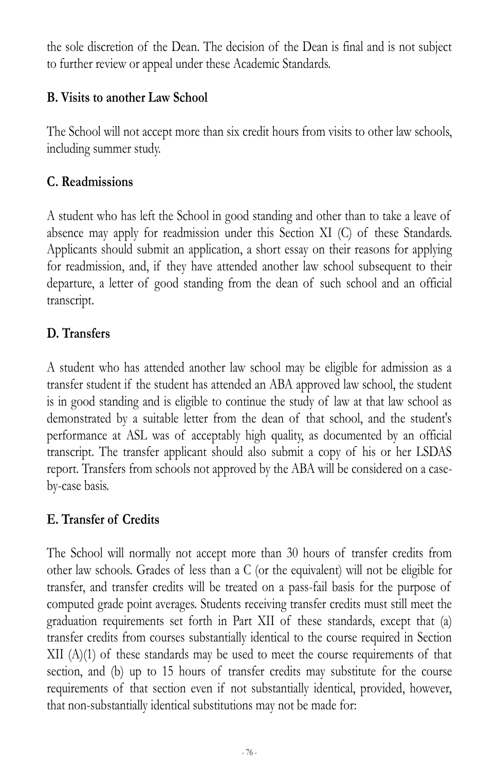the sole discretion of the Dean. The decision of the Dean is final and is not subject to further review or appeal under these Academic Standards.

## **B. Visits to another Law School**

The School will not accept more than six credit hours from visits to other law schools, including summer study.

## **C. Readmissions**

A student who has left the School in good standing and other than to take a leave of absence may apply for readmission under this Section XI (C) of these Standards. Applicants should submit an application, a short essay on their reasons for applying for readmission, and, if they have attended another law school subsequent to their departure, a letter of good standing from the dean of such school and an official transcript.

# **D. Transfers**

A student who has attended another law school may be eligible for admission as a transfer student if the student has attended an ABA approved law school, the student is in good standing and is eligible to continue the study of law at that law school as demonstrated by a suitable letter from the dean of that school, and the student's performance at ASL was of acceptably high quality, as documented by an official transcript. The transfer applicant should also submit a copy of his or her LSDAS report. Transfers from schools not approved by the ABA will be considered on a caseby-case basis.

## **E. Transfer of Credits**

The School will normally not accept more than 30 hours of transfer credits from other law schools. Grades of less than a C (or the equivalent) will not be eligible for transfer, and transfer credits will be treated on a pass-fail basis for the purpose of computed grade point averages. Students receiving transfer credits must still meet the graduation requirements set forth in Part XII of these standards, except that (a) transfer credits from courses substantially identical to the course required in Section  $XII$  (A)(1) of these standards may be used to meet the course requirements of that section, and (b) up to 15 hours of transfer credits may substitute for the course requirements of that section even if not substantially identical, provided, however, that non-substantially identical substitutions may not be made for: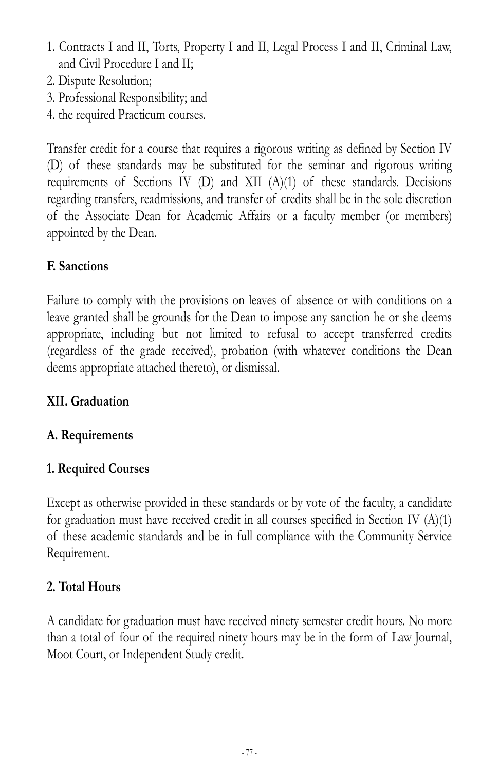- 1. Contracts I and II, Torts, Property I and II, Legal Process I and II, Criminal Law, and Civil Procedure I and II;
- 2. Dispute Resolution;
- 3. Professional Responsibility; and
- 4. the required Practicum courses.

Transfer credit for a course that requires a rigorous writing as defined by Section IV (D) of these standards may be substituted for the seminar and rigorous writing requirements of Sections IV (D) and XII  $(A)(1)$  of these standards. Decisions regarding transfers, readmissions, and transfer of credits shall be in the sole discretion of the Associate Dean for Academic Affairs or a faculty member (or members) appointed by the Dean.

## **F. Sanctions**

Failure to comply with the provisions on leaves of absence or with conditions on a leave granted shall be grounds for the Dean to impose any sanction he or she deems appropriate, including but not limited to refusal to accept transferred credits (regardless of the grade received), probation (with whatever conditions the Dean deems appropriate attached thereto), or dismissal.

## **XII. Graduation**

# **A. Requirements**

## **1. Required Courses**

Except as otherwise provided in these standards or by vote of the faculty, a candidate for graduation must have received credit in all courses specified in Section IV (A)(1) of these academic standards and be in full compliance with the Community Service Requirement.

## **2. Total Hours**

A candidate for graduation must have received ninety semester credit hours. No more than a total of four of the required ninety hours may be in the form of Law Journal, Moot Court, or Independent Study credit.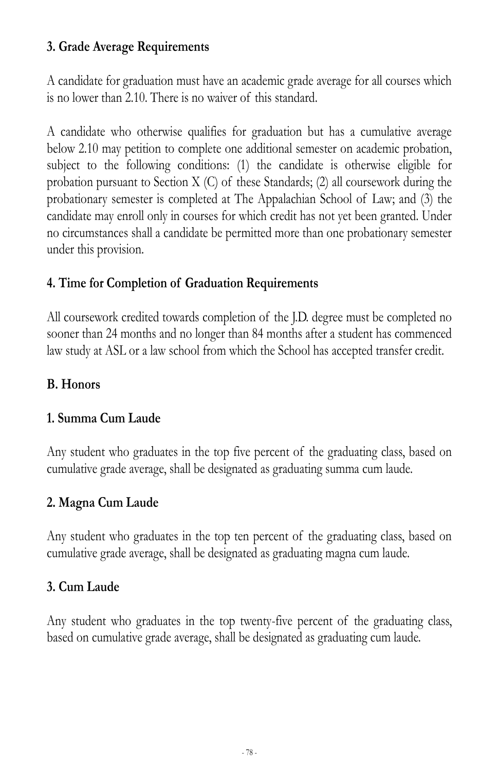## **3. Grade Average Requirements**

A candidate for graduation must have an academic grade average for all courses which is no lower than 2.10. There is no waiver of this standard.

A candidate who otherwise qualifies for graduation but has a cumulative average below 2.10 may petition to complete one additional semester on academic probation, subject to the following conditions: (1) the candidate is otherwise eligible for probation pursuant to Section X (C) of these Standards; (2) all coursework during the probationary semester is completed at The Appalachian School of Law; and (3) the candidate may enroll only in courses for which credit has not yet been granted. Under no circumstances shall a candidate be permitted more than one probationary semester under this provision.

## **4. Time for Completion of Graduation Requirements**

All coursework credited towards completion of the J.D. degree must be completed no sooner than 24 months and no longer than 84 months after a student has commenced law study at ASL or a law school from which the School has accepted transfer credit.

#### **B. Honors**

#### **1. Summa Cum Laude**

Any student who graduates in the top five percent of the graduating class, based on cumulative grade average, shall be designated as graduating summa cum laude.

## **2. Magna Cum Laude**

Any student who graduates in the top ten percent of the graduating class, based on cumulative grade average, shall be designated as graduating magna cum laude.

## **3. Cum Laude**

Any student who graduates in the top twenty-five percent of the graduating class, based on cumulative grade average, shall be designated as graduating cum laude.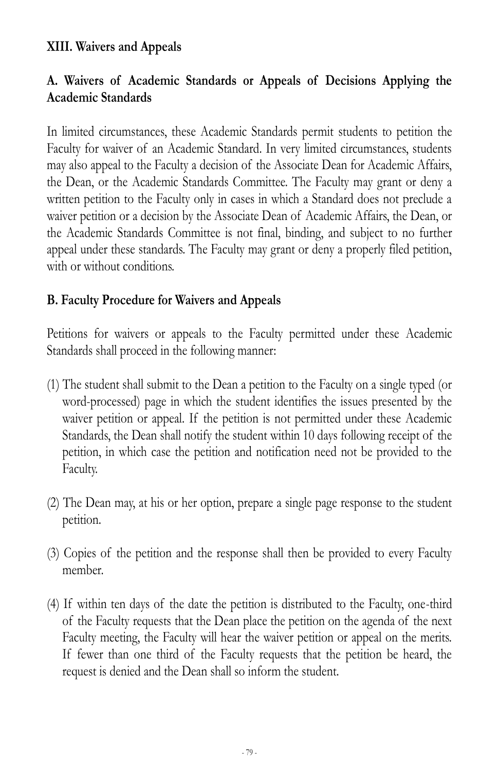#### **XIII. Waivers and Appeals**

## **A. Waivers of Academic Standards or Appeals of Decisions Applying the Academic Standards**

In limited circumstances, these Academic Standards permit students to petition the Faculty for waiver of an Academic Standard. In very limited circumstances, students may also appeal to the Faculty a decision of the Associate Dean for Academic Affairs, the Dean, or the Academic Standards Committee. The Faculty may grant or deny a written petition to the Faculty only in cases in which a Standard does not preclude a waiver petition or a decision by the Associate Dean of Academic Affairs, the Dean, or the Academic Standards Committee is not final, binding, and subject to no further appeal under these standards. The Faculty may grant or deny a properly filed petition, with or without conditions.

#### **B. Faculty Procedure for Waivers and Appeals**

Petitions for waivers or appeals to the Faculty permitted under these Academic Standards shall proceed in the following manner:

- (1) The student shall submit to the Dean a petition to the Faculty on a single typed (or word-processed) page in which the student identifies the issues presented by the waiver petition or appeal. If the petition is not permitted under these Academic Standards, the Dean shall notify the student within 10 days following receipt of the petition, in which case the petition and notification need not be provided to the Faculty.
- (2) The Dean may, at his or her option, prepare a single page response to the student petition.
- (3) Copies of the petition and the response shall then be provided to every Faculty member.
- (4) If within ten days of the date the petition is distributed to the Faculty, one-third of the Faculty requests that the Dean place the petition on the agenda of the next Faculty meeting, the Faculty will hear the waiver petition or appeal on the merits. If fewer than one third of the Faculty requests that the petition be heard, the request is denied and the Dean shall so inform the student.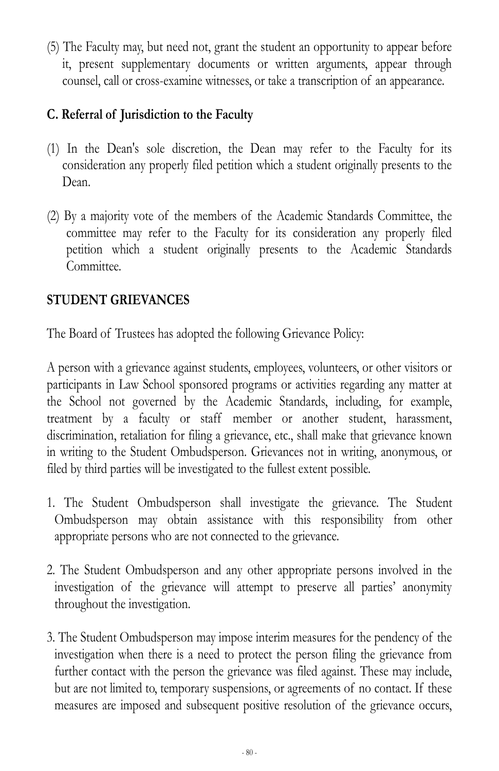(5) The Faculty may, but need not, grant the student an opportunity to appear before it, present supplementary documents or written arguments, appear through counsel, call or cross-examine witnesses, or take a transcription of an appearance.

## **C. Referral of Jurisdiction to the Faculty**

- (1) In the Dean's sole discretion, the Dean may refer to the Faculty for its consideration any properly filed petition which a student originally presents to the Dean.
- (2) By a majority vote of the members of the Academic Standards Committee, the committee may refer to the Faculty for its consideration any properly filed petition which a student originally presents to the Academic Standards Committee.

## **STUDENT GRIEVANCES**

The Board of Trustees has adopted the following Grievance Policy:

A person with a grievance against students, employees, volunteers, or other visitors or participants in Law School sponsored programs or activities regarding any matter at the School not governed by the Academic Standards, including, for example, treatment by a faculty or staff member or another student, harassment, discrimination, retaliation for filing a grievance, etc., shall make that grievance known in writing to the Student Ombudsperson. Grievances not in writing, anonymous, or filed by third parties will be investigated to the fullest extent possible.

- 1. The Student Ombudsperson shall investigate the grievance. The Student Ombudsperson may obtain assistance with this responsibility from other appropriate persons who are not connected to the grievance.
- 2. The Student Ombudsperson and any other appropriate persons involved in the investigation of the grievance will attempt to preserve all parties' anonymity throughout the investigation.
- 3. The Student Ombudsperson may impose interim measures for the pendency of the investigation when there is a need to protect the person filing the grievance from further contact with the person the grievance was filed against. These may include, but are not limited to, temporary suspensions, or agreements of no contact. If these measures are imposed and subsequent positive resolution of the grievance occurs,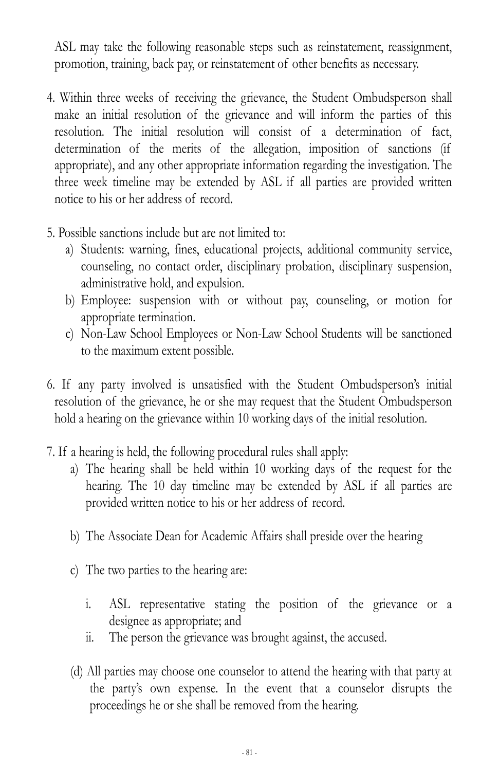ASL may take the following reasonable steps such as reinstatement, reassignment, promotion, training, back pay, or reinstatement of other benefits as necessary.

- 4. Within three weeks of receiving the grievance, the Student Ombudsperson shall make an initial resolution of the grievance and will inform the parties of this resolution. The initial resolution will consist of a determination of fact, determination of the merits of the allegation, imposition of sanctions (if appropriate), and any other appropriate information regarding the investigation. The three week timeline may be extended by ASL if all parties are provided written notice to his or her address of record.
- 5. Possible sanctions include but are not limited to:
	- a) Students: warning, fines, educational projects, additional community service, counseling, no contact order, disciplinary probation, disciplinary suspension, administrative hold, and expulsion.
	- b) Employee: suspension with or without pay, counseling, or motion for appropriate termination.
	- c) Non-Law School Employees or Non-Law School Students will be sanctioned to the maximum extent possible.
- 6. If any party involved is unsatisfied with the Student Ombudsperson's initial resolution of the grievance, he or she may request that the Student Ombudsperson hold a hearing on the grievance within 10 working days of the initial resolution.
- 7. If a hearing is held, the following procedural rules shall apply:
	- a) The hearing shall be held within 10 working days of the request for the hearing. The 10 day timeline may be extended by ASL if all parties are provided written notice to his or her address of record.
	- b) The Associate Dean for Academic Affairs shall preside over the hearing
	- c) The two parties to the hearing are:
		- i. ASL representative stating the position of the grievance or a designee as appropriate; and
		- ii. The person the grievance was brought against, the accused.
	- (d) All parties may choose one counselor to attend the hearing with that party at the party's own expense. In the event that a counselor disrupts the proceedings he or she shall be removed from the hearing.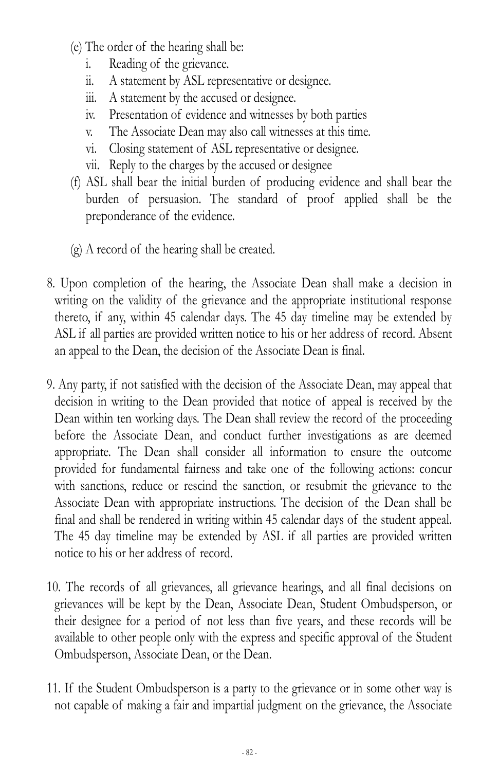- (e) The order of the hearing shall be:
	- i. Reading of the grievance.
	- ii. A statement by ASL representative or designee.
	- iii. A statement by the accused or designee.
	- iv. Presentation of evidence and witnesses by both parties
	- v. The Associate Dean may also call witnesses at this time.
	- vi. Closing statement of ASL representative or designee.
	- vii. Reply to the charges by the accused or designee
- (f) ASL shall bear the initial burden of producing evidence and shall bear the burden of persuasion. The standard of proof applied shall be the preponderance of the evidence.
- (g) A record of the hearing shall be created.
- 8. Upon completion of the hearing, the Associate Dean shall make a decision in writing on the validity of the grievance and the appropriate institutional response thereto, if any, within 45 calendar days. The 45 day timeline may be extended by ASL if all parties are provided written notice to his or her address of record. Absent an appeal to the Dean, the decision of the Associate Dean is final.
- 9. Any party, if not satisfied with the decision of the Associate Dean, may appeal that decision in writing to the Dean provided that notice of appeal is received by the Dean within ten working days. The Dean shall review the record of the proceeding before the Associate Dean, and conduct further investigations as are deemed appropriate. The Dean shall consider all information to ensure the outcome provided for fundamental fairness and take one of the following actions: concur with sanctions, reduce or rescind the sanction, or resubmit the grievance to the Associate Dean with appropriate instructions. The decision of the Dean shall be final and shall be rendered in writing within 45 calendar days of the student appeal. The 45 day timeline may be extended by ASL if all parties are provided written notice to his or her address of record.
- 10. The records of all grievances, all grievance hearings, and all final decisions on grievances will be kept by the Dean, Associate Dean, Student Ombudsperson, or their designee for a period of not less than five years, and these records will be available to other people only with the express and specific approval of the Student Ombudsperson, Associate Dean, or the Dean.
- 11. If the Student Ombudsperson is a party to the grievance or in some other way is not capable of making a fair and impartial judgment on the grievance, the Associate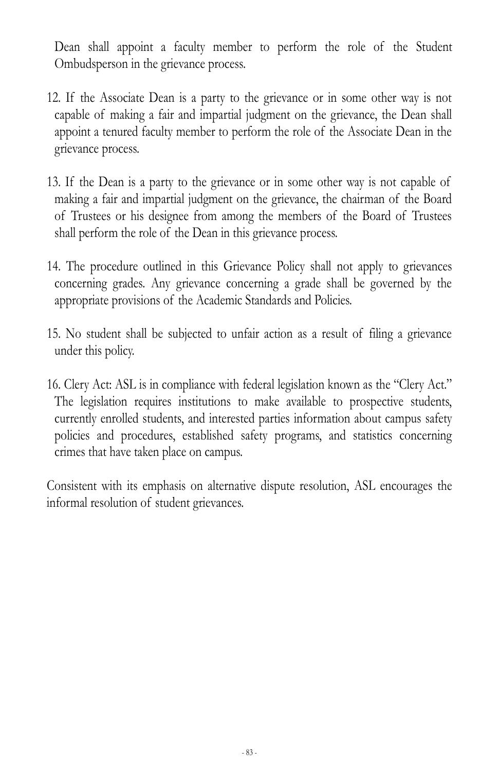Dean shall appoint a faculty member to perform the role of the Student Ombudsperson in the grievance process.

- 12. If the Associate Dean is a party to the grievance or in some other way is not capable of making a fair and impartial judgment on the grievance, the Dean shall appoint a tenured faculty member to perform the role of the Associate Dean in the grievance process.
- 13. If the Dean is a party to the grievance or in some other way is not capable of making a fair and impartial judgment on the grievance, the chairman of the Board of Trustees or his designee from among the members of the Board of Trustees shall perform the role of the Dean in this grievance process.
- 14. The procedure outlined in this Grievance Policy shall not apply to grievances concerning grades. Any grievance concerning a grade shall be governed by the appropriate provisions of the Academic Standards and Policies.
- 15. No student shall be subjected to unfair action as a result of filing a grievance under this policy.
- 16. Clery Act: ASL is in compliance with federal legislation known as the "Clery Act." The legislation requires institutions to make available to prospective students, currently enrolled students, and interested parties information about campus safety policies and procedures, established safety programs, and statistics concerning crimes that have taken place on campus.

Consistent with its emphasis on alternative dispute resolution, ASL encourages the informal resolution of student grievances.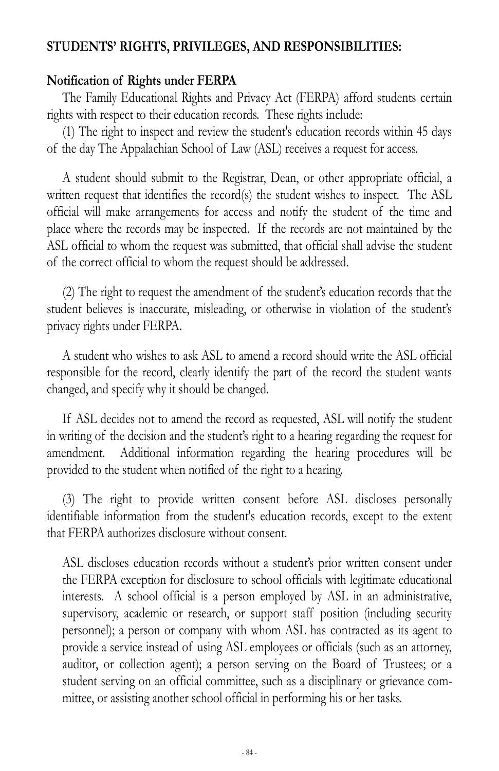#### **STUDENTS' RIGHTS, PRIVILEGES, AND RESPONSIBILITIES:**

#### **Notification of Rights under FERPA**

The Family Educational Rights and Privacy Act (FERPA) afford students certain rights with respect to their education records. These rights include:

(1) The right to inspect and review the student's education records within 45 days of the day The Appalachian School of Law (ASL) receives a request for access.

A student should submit to the Registrar, Dean, or other appropriate official, a written request that identifies the record(s) the student wishes to inspect. The ASL official will make arrangements for access and notify the student of the time and place where the records may be inspected. If the records are not maintained by the ASL official to whom the request was submitted, that official shall advise the student of the correct official to whom the request should be addressed.

(2) The right to request the amendment of the student's education records that the student believes is inaccurate, misleading, or otherwise in violation of the student's privacy rights under FERPA.

A student who wishes to ask ASL to amend a record should write the ASL official responsible for the record, clearly identify the part of the record the student wants changed, and specify why it should be changed.

If ASL decides not to amend the record as requested, ASL will notify the student in writing of the decision and the student's right to a hearing regarding the request for amendment. Additional information regarding the hearing procedures will be provided to the student when notified of the right to a hearing.

(3) The right to provide written consent before ASL discloses personally identifiable information from the student's education records, except to the extent that FERPA authorizes disclosure without consent.

ASL discloses education records without a student's prior written consent under the FERPA exception for disclosure to school officials with legitimate educational interests. A school official is a person employed by ASL in an administrative, supervisory, academic or research, or support staff position (including security personnel); a person or company with whom ASL has contracted as its agent to provide a service instead of using ASL employees or officials (such as an attorney, auditor, or collection agent); a person serving on the Board of Trustees; or a student serving on an official committee, such as a disciplinary or grievance committee, or assisting another school official in performing his or her tasks.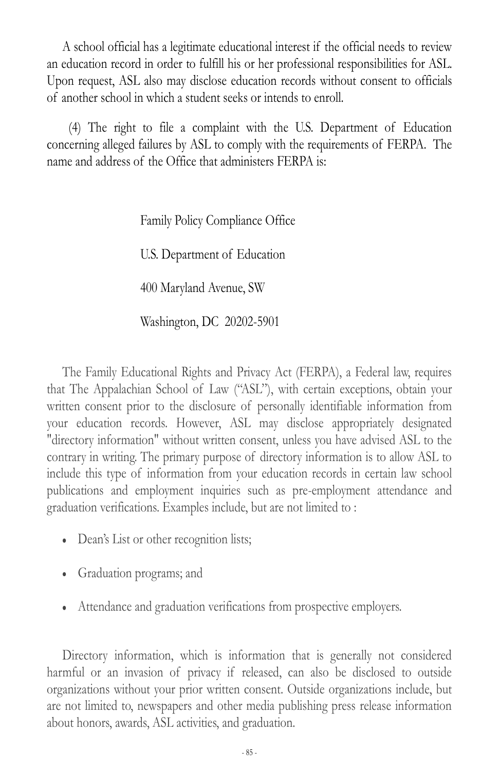A school official has a legitimate educational interest if the official needs to review an education record in order to fulfill his or her professional responsibilities for ASL. Upon request, ASL also may disclose education records without consent to officials of another school in which a student seeks or intends to enroll.

 (4) The right to file a complaint with the U.S. Department of Education concerning alleged failures by ASL to comply with the requirements of FERPA. The name and address of the Office that administers FERPA is:

Family Policy Compliance Office

U.S. Department of Education

400 Maryland Avenue, SW

Washington, DC 20202-5901

The Family Educational Rights and Privacy Act (FERPA), a Federal law, requires that The Appalachian School of Law ("ASL"), with certain exceptions, obtain your written consent prior to the disclosure of personally identifiable information from your education records. However, ASL may disclose appropriately designated "directory information" without written consent, unless you have advised ASL to the contrary in writing. The primary purpose of directory information is to allow ASL to include this type of information from your education records in certain law school publications and employment inquiries such as pre-employment attendance and graduation verifications. Examples include, but are not limited to :

- Dean's List or other recognition lists;
- Graduation programs; and
- Attendance and graduation verifications from prospective employers.

Directory information, which is information that is generally not considered harmful or an invasion of privacy if released, can also be disclosed to outside organizations without your prior written consent. Outside organizations include, but are not limited to, newspapers and other media publishing press release information about honors, awards, ASL activities, and graduation.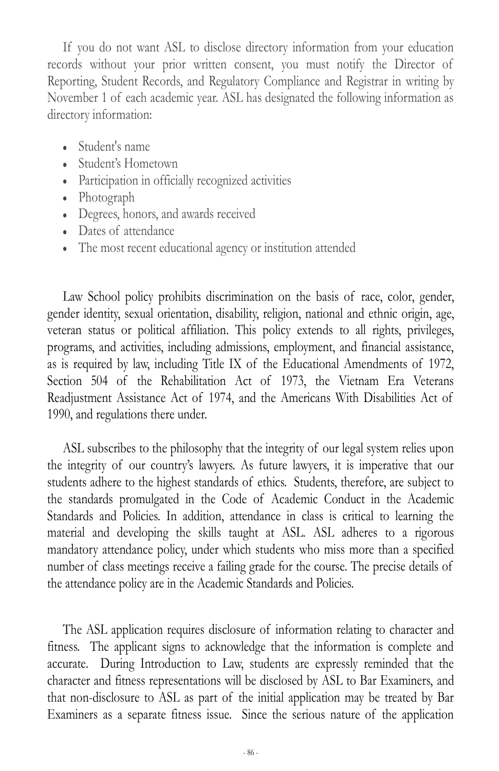If you do not want ASL to disclose directory information from your education records without your prior written consent, you must notify the Director of Reporting, Student Records, and Regulatory Compliance and Registrar in writing by November 1 of each academic year. ASL has designated the following information as directory information:

- Student's name
- Student's Hometown
- Participation in officially recognized activities
- Photograph
- Degrees, honors, and awards received
- Dates of attendance
- The most recent educational agency or institution attended

Law School policy prohibits discrimination on the basis of race, color, gender, gender identity, sexual orientation, disability, religion, national and ethnic origin, age, veteran status or political affiliation. This policy extends to all rights, privileges, programs, and activities, including admissions, employment, and financial assistance, as is required by law, including Title IX of the Educational Amendments of 1972, Section 504 of the Rehabilitation Act of 1973, the Vietnam Era Veterans Readjustment Assistance Act of 1974, and the Americans With Disabilities Act of 1990, and regulations there under.

ASL subscribes to the philosophy that the integrity of our legal system relies upon the integrity of our country's lawyers. As future lawyers, it is imperative that our students adhere to the highest standards of ethics. Students, therefore, are subject to the standards promulgated in the Code of Academic Conduct in the Academic Standards and Policies. In addition, attendance in class is critical to learning the material and developing the skills taught at ASL. ASL adheres to a rigorous mandatory attendance policy, under which students who miss more than a specified number of class meetings receive a failing grade for the course. The precise details of the attendance policy are in the Academic Standards and Policies.

The ASL application requires disclosure of information relating to character and fitness. The applicant signs to acknowledge that the information is complete and accurate. During Introduction to Law, students are expressly reminded that the character and fitness representations will be disclosed by ASL to Bar Examiners, and that non-disclosure to ASL as part of the initial application may be treated by Bar Examiners as a separate fitness issue. Since the serious nature of the application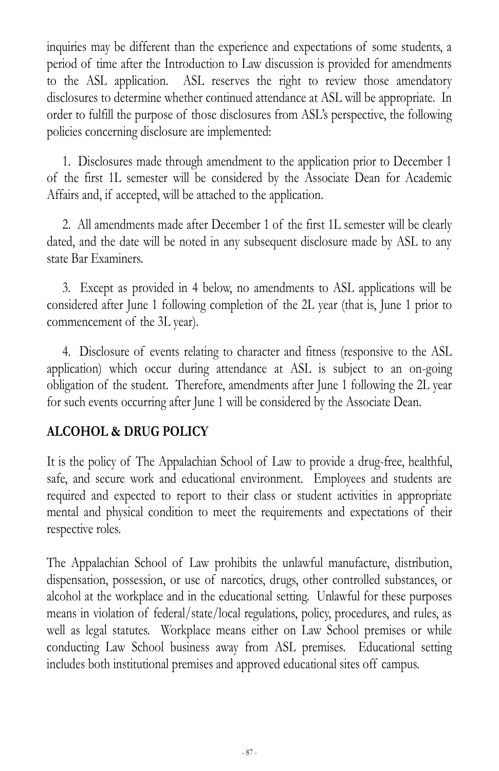inquiries may be different than the experience and expectations of some students, a period of time after the Introduction to Law discussion is provided for amendments to the ASL application. ASL reserves the right to review those amendatory disclosures to determine whether continued attendance at ASL will be appropriate. In order to fulfill the purpose of those disclosures from ASL's perspective, the following policies concerning disclosure are implemented:

1. Disclosures made through amendment to the application prior to December 1 of the first 1L semester will be considered by the Associate Dean for Academic Affairs and, if accepted, will be attached to the application.

2. All amendments made after December 1 of the first 1L semester will be clearly dated, and the date will be noted in any subsequent disclosure made by ASL to any state Bar Examiners.

3. Except as provided in 4 below, no amendments to ASL applications will be considered after June 1 following completion of the 2L year (that is, June 1 prior to commencement of the 3L year).

4. Disclosure of events relating to character and fitness (responsive to the ASL application) which occur during attendance at ASL is subject to an on-going obligation of the student. Therefore, amendments after June 1 following the 2L year for such events occurring after June 1 will be considered by the Associate Dean.

## **ALCOHOL & DRUG POLICY**

It is the policy of The Appalachian School of Law to provide a drug-free, healthful, safe, and secure work and educational environment. Employees and students are required and expected to report to their class or student activities in appropriate mental and physical condition to meet the requirements and expectations of their respective roles.

The Appalachian School of Law prohibits the unlawful manufacture, distribution, dispensation, possession, or use of narcotics, drugs, other controlled substances, or alcohol at the workplace and in the educational setting. Unlawful for these purposes means in violation of federal/state/local regulations, policy, procedures, and rules, as well as legal statutes. Workplace means either on Law School premises or while conducting Law School business away from ASL premises. Educational setting includes both institutional premises and approved educational sites off campus.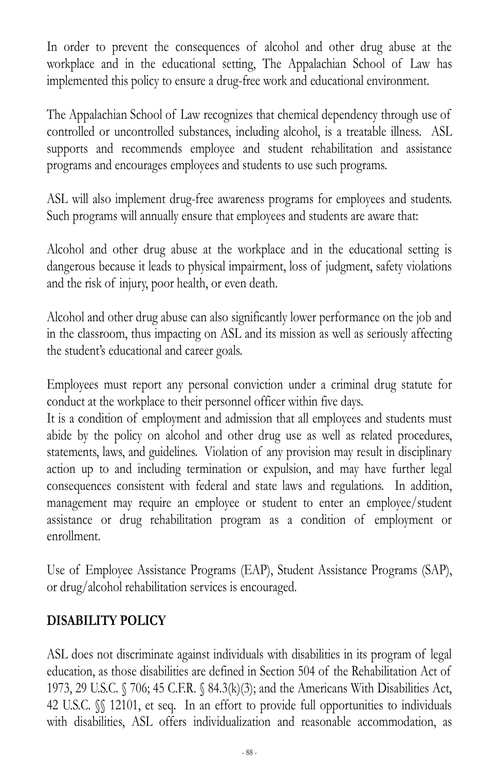In order to prevent the consequences of alcohol and other drug abuse at the workplace and in the educational setting, The Appalachian School of Law has implemented this policy to ensure a drug-free work and educational environment.

The Appalachian School of Law recognizes that chemical dependency through use of controlled or uncontrolled substances, including alcohol, is a treatable illness. ASL supports and recommends employee and student rehabilitation and assistance programs and encourages employees and students to use such programs.

ASL will also implement drug-free awareness programs for employees and students. Such programs will annually ensure that employees and students are aware that:

Alcohol and other drug abuse at the workplace and in the educational setting is dangerous because it leads to physical impairment, loss of judgment, safety violations and the risk of injury, poor health, or even death.

Alcohol and other drug abuse can also significantly lower performance on the job and in the classroom, thus impacting on ASL and its mission as well as seriously affecting the student's educational and career goals.

Employees must report any personal conviction under a criminal drug statute for conduct at the workplace to their personnel officer within five days.

It is a condition of employment and admission that all employees and students must abide by the policy on alcohol and other drug use as well as related procedures, statements, laws, and guidelines. Violation of any provision may result in disciplinary action up to and including termination or expulsion, and may have further legal consequences consistent with federal and state laws and regulations. In addition, management may require an employee or student to enter an employee/student assistance or drug rehabilitation program as a condition of employment or enrollment.

Use of Employee Assistance Programs (EAP), Student Assistance Programs (SAP), or drug/alcohol rehabilitation services is encouraged.

## **DISABILITY POLICY**

ASL does not discriminate against individuals with disabilities in its program of legal education, as those disabilities are defined in Section 504 of the Rehabilitation Act of 1973, 29 U.S.C. § 706; 45 C.F.R. § 84.3(k)(3); and the Americans With Disabilities Act, 42 U.S.C.  $\%$  12101, et seq. In an effort to provide full opportunities to individuals with disabilities, ASL offers individualization and reasonable accommodation, as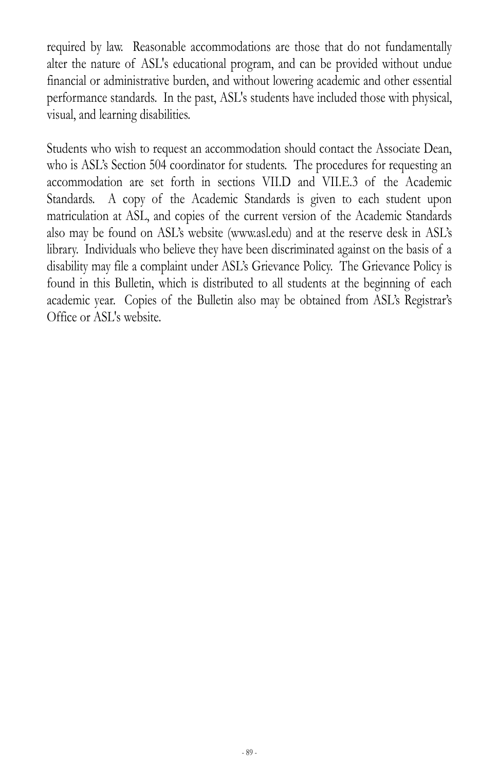required by law. Reasonable accommodations are those that do not fundamentally alter the nature of ASL's educational program, and can be provided without undue financial or administrative burden, and without lowering academic and other essential performance standards. In the past, ASL's students have included those with physical, visual, and learning disabilities.

Students who wish to request an accommodation should contact the Associate Dean, who is ASL's Section 504 coordinator for students. The procedures for requesting an accommodation are set forth in sections VII.D and VII.E.3 of the Academic Standards. A copy of the Academic Standards is given to each student upon matriculation at ASL, and copies of the current version of the Academic Standards also may be found on ASL's website (www.asl.edu) and at the reserve desk in ASL's library. Individuals who believe they have been discriminated against on the basis of a disability may file a complaint under ASL's Grievance Policy. The Grievance Policy is found in this Bulletin, which is distributed to all students at the beginning of each academic year. Copies of the Bulletin also may be obtained from ASL's Registrar's Office or ASL's website.